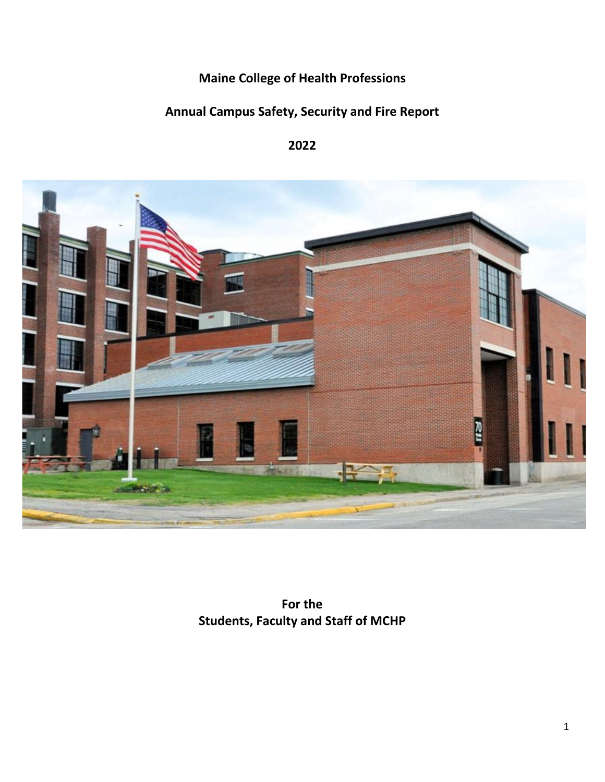**Maine College of Health Professions**

# **Annual Campus Safety, Security and Fire Report**

# **2022**



**For the Students, Faculty and Staff of MCHP**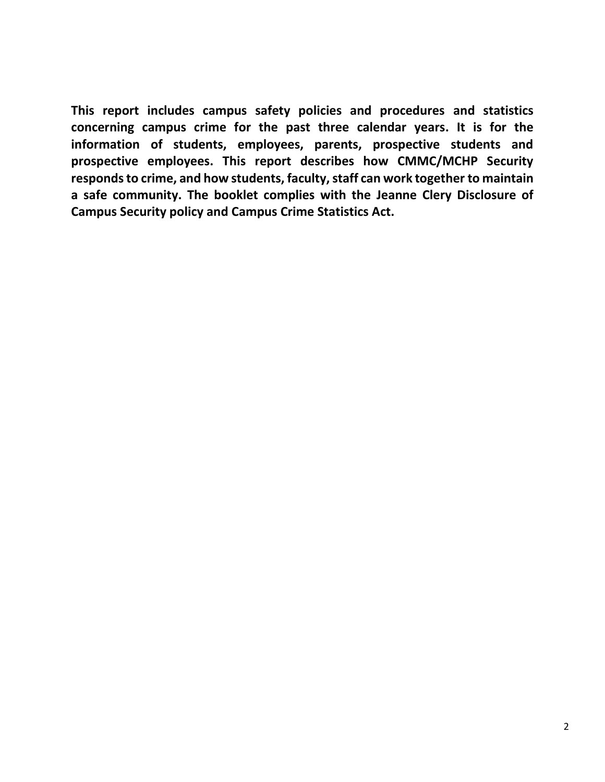**This report includes campus safety policies and procedures and statistics concerning campus crime for the past three calendar years. It is for the information of students, employees, parents, prospective students and prospective employees. This report describes how CMMC/MCHP Security responds to crime, and how students, faculty, staff can work together to maintain a safe community. The booklet complies with the Jeanne Clery Disclosure of Campus Security policy and Campus Crime Statistics Act.**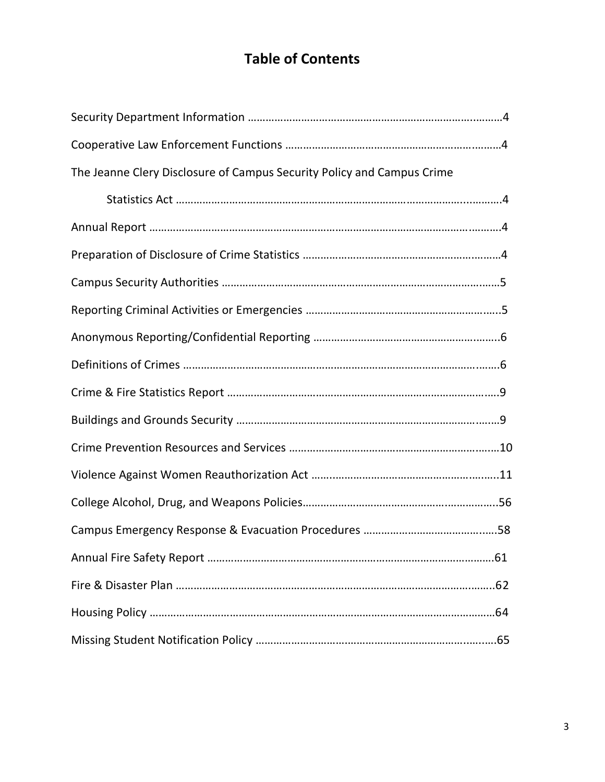# **Table of Contents**

| The Jeanne Clery Disclosure of Campus Security Policy and Campus Crime |
|------------------------------------------------------------------------|
|                                                                        |
|                                                                        |
|                                                                        |
|                                                                        |
|                                                                        |
|                                                                        |
|                                                                        |
|                                                                        |
|                                                                        |
|                                                                        |
|                                                                        |
|                                                                        |
|                                                                        |
|                                                                        |
|                                                                        |
|                                                                        |
|                                                                        |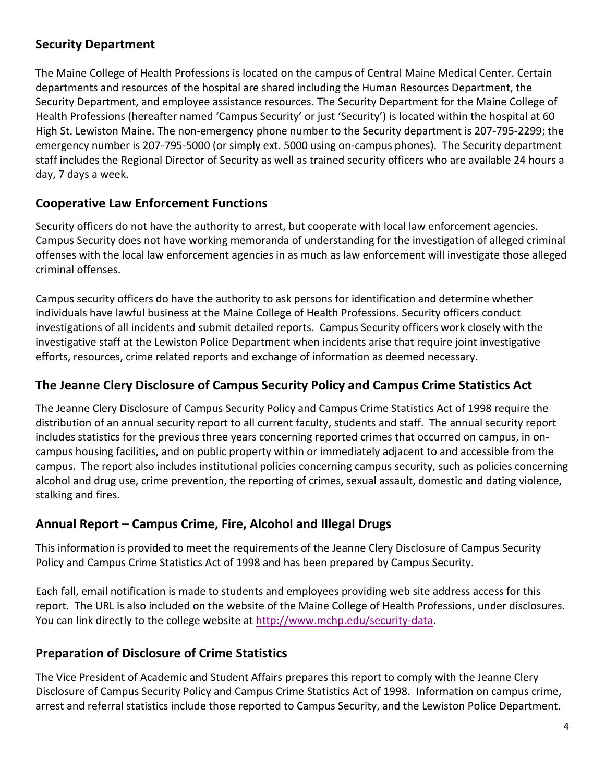# **Security Department**

The Maine College of Health Professions is located on the campus of Central Maine Medical Center. Certain departments and resources of the hospital are shared including the Human Resources Department, the Security Department, and employee assistance resources. The Security Department for the Maine College of Health Professions (hereafter named 'Campus Security' or just 'Security') is located within the hospital at 60 High St. Lewiston Maine. The non-emergency phone number to the Security department is 207-795-2299; the emergency number is 207-795-5000 (or simply ext. 5000 using on-campus phones). The Security department staff includes the Regional Director of Security as well as trained security officers who are available 24 hours a day, 7 days a week.

# **Cooperative Law Enforcement Functions**

Security officers do not have the authority to arrest, but cooperate with local law enforcement agencies. Campus Security does not have working memoranda of understanding for the investigation of alleged criminal offenses with the local law enforcement agencies in as much as law enforcement will investigate those alleged criminal offenses.

Campus security officers do have the authority to ask persons for identification and determine whether individuals have lawful business at the Maine College of Health Professions. Security officers conduct investigations of all incidents and submit detailed reports. Campus Security officers work closely with the investigative staff at the Lewiston Police Department when incidents arise that require joint investigative efforts, resources, crime related reports and exchange of information as deemed necessary.

# **The Jeanne Clery Disclosure of Campus Security Policy and Campus Crime Statistics Act**

The Jeanne Clery Disclosure of Campus Security Policy and Campus Crime Statistics Act of 1998 require the distribution of an annual security report to all current faculty, students and staff. The annual security report includes statistics for the previous three years concerning reported crimes that occurred on campus, in oncampus housing facilities, and on public property within or immediately adjacent to and accessible from the campus. The report also includes institutional policies concerning campus security, such as policies concerning alcohol and drug use, crime prevention, the reporting of crimes, sexual assault, domestic and dating violence, stalking and fires.

# **Annual Report – Campus Crime, Fire, Alcohol and Illegal Drugs**

This information is provided to meet the requirements of the Jeanne Clery Disclosure of Campus Security Policy and Campus Crime Statistics Act of 1998 and has been prepared by Campus Security.

Each fall, email notification is made to students and employees providing web site address access for this report. The URL is also included on the website of the Maine College of Health Professions, under disclosures. You can link directly to the college website at [http://www.mchp.edu/security-data.](http://www.mchp.edu/security-data)

# **Preparation of Disclosure of Crime Statistics**

The Vice President of Academic and Student Affairs prepares this report to comply with the Jeanne Clery Disclosure of Campus Security Policy and Campus Crime Statistics Act of 1998. Information on campus crime, arrest and referral statistics include those reported to Campus Security, and the Lewiston Police Department.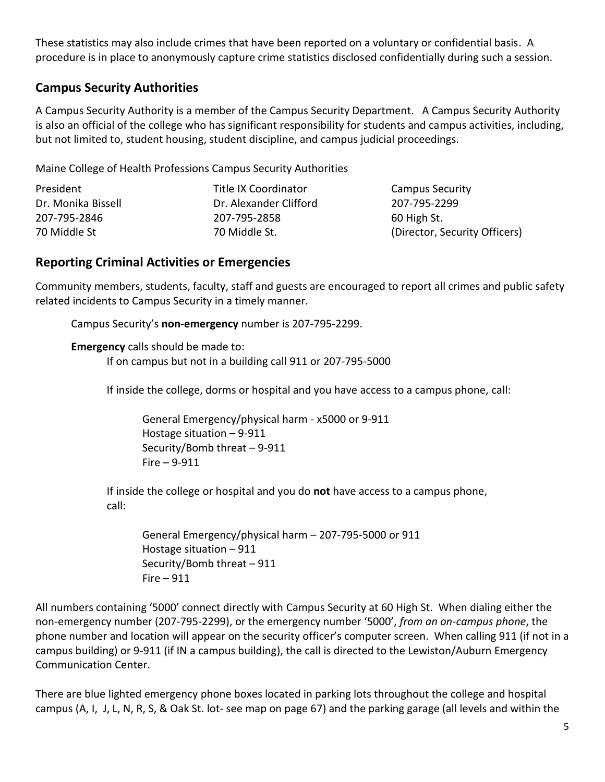These statistics may also include crimes that have been reported on a voluntary or confidential basis. A procedure is in place to anonymously capture crime statistics disclosed confidentially during such a session.

# **Campus Security Authorities**

A Campus Security Authority is a member of the Campus Security Department. A Campus Security Authority is also an official of the college who has significant responsibility for students and campus activities, including, but not limited to, student housing, student discipline, and campus judicial proceedings.

Maine College of Health Professions Campus Security Authorities

| President          | Title IX Coordinator   | <b>Campus Security</b>        |
|--------------------|------------------------|-------------------------------|
| Dr. Monika Bissell | Dr. Alexander Clifford | 207-795-2299                  |
| 207-795-2846       | 207-795-2858           | 60 High St.                   |
| 70 Middle St       | 70 Middle St.          | (Director, Security Officers) |
|                    |                        |                               |

# **Reporting Criminal Activities or Emergencies**

Community members, students, faculty, staff and guests are encouraged to report all crimes and public safety related incidents to Campus Security in a timely manner.

Campus Security's **non-emergency** number is 207-795-2299.

**Emergency** calls should be made to:

If on campus but not in a building call 911 or 207-795-5000

If inside the college, dorms or hospital and you have access to a campus phone, call:

General Emergency/physical harm - x5000 or 9-911 Hostage situation – 9-911 Security/Bomb threat – 9-911 Fire – 9-911

If inside the college or hospital and you do **not** have access to a campus phone, call:

General Emergency/physical harm – 207-795-5000 or 911 Hostage situation – 911 Security/Bomb threat – 911 Fire  $-911$ 

All numbers containing '5000' connect directly with Campus Security at 60 High St. When dialing either the non-emergency number (207-795-2299), or the emergency number '5000', *from an on-campus phone*, the phone number and location will appear on the security officer's computer screen. When calling 911 (if not in a campus building) or 9-911 (if IN a campus building), the call is directed to the Lewiston/Auburn Emergency Communication Center.

There are blue lighted emergency phone boxes located in parking lots throughout the college and hospital campus (A, I, J, L, N, R, S, & Oak St. lot- see map on page 67) and the parking garage (all levels and within the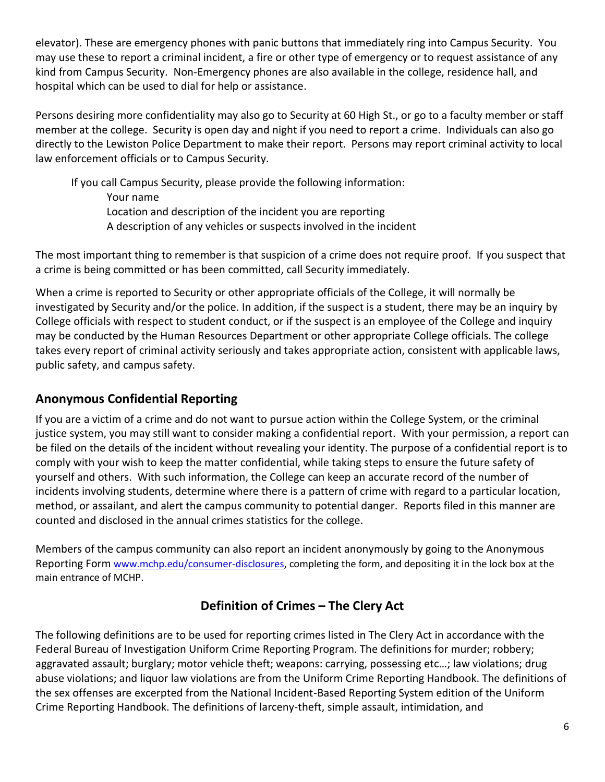elevator). These are emergency phones with panic buttons that immediately ring into Campus Security. You may use these to report a criminal incident, a fire or other type of emergency or to request assistance of any kind from Campus Security. Non-Emergency phones are also available in the college, residence hall, and hospital which can be used to dial for help or assistance.

Persons desiring more confidentiality may also go to Security at 60 High St., or go to a faculty member or staff member at the college. Security is open day and night if you need to report a crime. Individuals can also go directly to the Lewiston Police Department to make their report. Persons may report criminal activity to local law enforcement officials or to Campus Security.

If you call Campus Security, please provide the following information: Your name Location and description of the incident you are reporting A description of any vehicles or suspects involved in the incident

The most important thing to remember is that suspicion of a crime does not require proof. If you suspect that a crime is being committed or has been committed, call Security immediately.

When a crime is reported to Security or other appropriate officials of the College, it will normally be investigated by Security and/or the police. In addition, if the suspect is a student, there may be an inquiry by College officials with respect to student conduct, or if the suspect is an employee of the College and inquiry may be conducted by the Human Resources Department or other appropriate College officials. The college takes every report of criminal activity seriously and takes appropriate action, consistent with applicable laws, public safety, and campus safety.

# **Anonymous Confidential Reporting**

If you are a victim of a crime and do not want to pursue action within the College System, or the criminal justice system, you may still want to consider making a confidential report. With your permission, a report can be filed on the details of the incident without revealing your identity. The purpose of a confidential report is to comply with your wish to keep the matter confidential, while taking steps to ensure the future safety of yourself and others. With such information, the College can keep an accurate record of the number of incidents involving students, determine where there is a pattern of crime with regard to a particular location, method, or assailant, and alert the campus community to potential danger. Reports filed in this manner are counted and disclosed in the annual crimes statistics for the college.

Members of the campus community can also report an incident anonymously by going to the Anonymous Reporting Form [www.mchp.edu/consumer-disclosures,](http://www.mchp.edu/consumer-disclosures) completing the form, and depositing it in the lock box at the main entrance of MCHP.

# **Definition of Crimes – The Clery Act**

The following definitions are to be used for reporting crimes listed in The Clery Act in accordance with the Federal Bureau of Investigation Uniform Crime Reporting Program. The definitions for murder; robbery; aggravated assault; burglary; motor vehicle theft; weapons: carrying, possessing etc…; law violations; drug abuse violations; and liquor law violations are from the Uniform Crime Reporting Handbook. The definitions of the sex offenses are excerpted from the National Incident-Based Reporting System edition of the Uniform Crime Reporting Handbook. The definitions of larceny-theft, simple assault, intimidation, and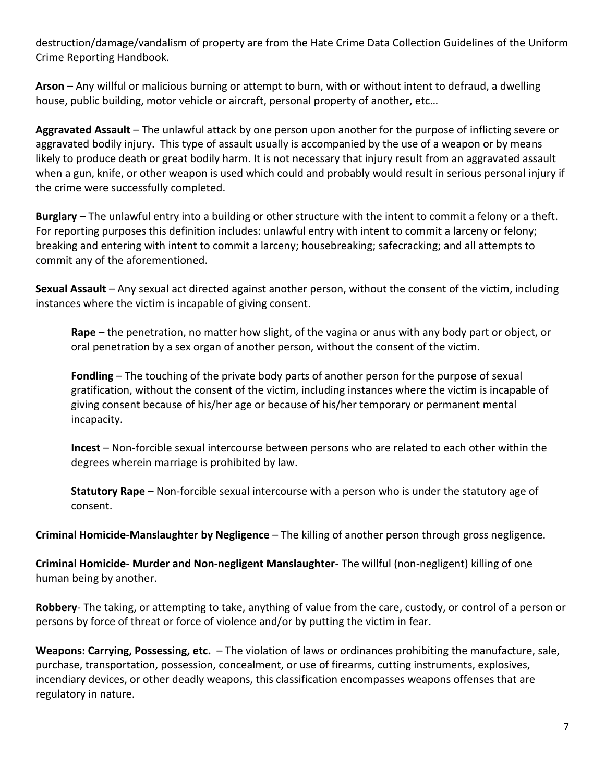destruction/damage/vandalism of property are from the Hate Crime Data Collection Guidelines of the Uniform Crime Reporting Handbook.

**Arson** – Any willful or malicious burning or attempt to burn, with or without intent to defraud, a dwelling house, public building, motor vehicle or aircraft, personal property of another, etc…

**Aggravated Assault** – The unlawful attack by one person upon another for the purpose of inflicting severe or aggravated bodily injury. This type of assault usually is accompanied by the use of a weapon or by means likely to produce death or great bodily harm. It is not necessary that injury result from an aggravated assault when a gun, knife, or other weapon is used which could and probably would result in serious personal injury if the crime were successfully completed.

**Burglary** – The unlawful entry into a building or other structure with the intent to commit a felony or a theft. For reporting purposes this definition includes: unlawful entry with intent to commit a larceny or felony; breaking and entering with intent to commit a larceny; housebreaking; safecracking; and all attempts to commit any of the aforementioned.

**Sexual Assault** – Any sexual act directed against another person, without the consent of the victim, including instances where the victim is incapable of giving consent.

**Rape** – the penetration, no matter how slight, of the vagina or anus with any body part or object, or oral penetration by a sex organ of another person, without the consent of the victim.

**Fondling** – The touching of the private body parts of another person for the purpose of sexual gratification, without the consent of the victim, including instances where the victim is incapable of giving consent because of his/her age or because of his/her temporary or permanent mental incapacity.

**Incest** – Non-forcible sexual intercourse between persons who are related to each other within the degrees wherein marriage is prohibited by law.

**Statutory Rape** – Non-forcible sexual intercourse with a person who is under the statutory age of consent.

**Criminal Homicide-Manslaughter by Negligence** – The killing of another person through gross negligence.

**Criminal Homicide- Murder and Non-negligent Manslaughter**- The willful (non-negligent) killing of one human being by another.

**Robbery**- The taking, or attempting to take, anything of value from the care, custody, or control of a person or persons by force of threat or force of violence and/or by putting the victim in fear.

**Weapons: Carrying, Possessing, etc.** – The violation of laws or ordinances prohibiting the manufacture, sale, purchase, transportation, possession, concealment, or use of firearms, cutting instruments, explosives, incendiary devices, or other deadly weapons, this classification encompasses weapons offenses that are regulatory in nature.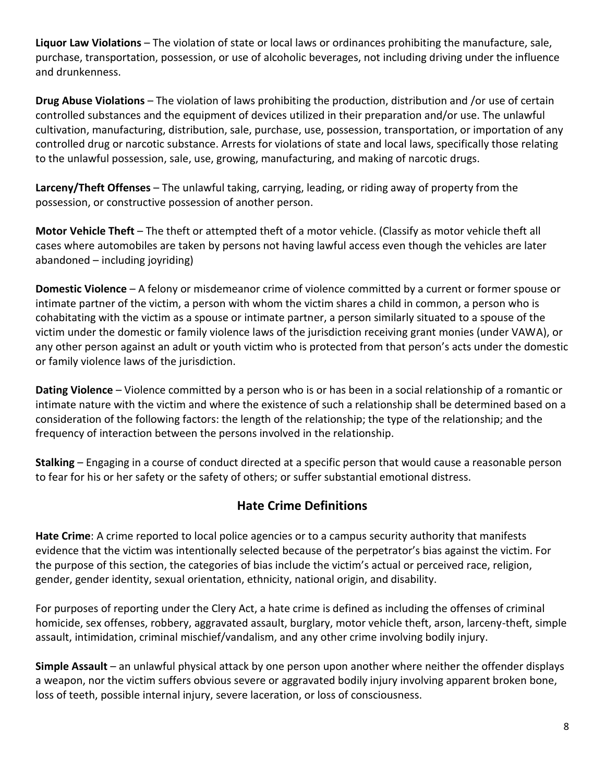**Liquor Law Violations** – The violation of state or local laws or ordinances prohibiting the manufacture, sale, purchase, transportation, possession, or use of alcoholic beverages, not including driving under the influence and drunkenness.

**Drug Abuse Violations** – The violation of laws prohibiting the production, distribution and /or use of certain controlled substances and the equipment of devices utilized in their preparation and/or use. The unlawful cultivation, manufacturing, distribution, sale, purchase, use, possession, transportation, or importation of any controlled drug or narcotic substance. Arrests for violations of state and local laws, specifically those relating to the unlawful possession, sale, use, growing, manufacturing, and making of narcotic drugs.

**Larceny/Theft Offenses** – The unlawful taking, carrying, leading, or riding away of property from the possession, or constructive possession of another person.

**Motor Vehicle Theft** – The theft or attempted theft of a motor vehicle. (Classify as motor vehicle theft all cases where automobiles are taken by persons not having lawful access even though the vehicles are later abandoned – including joyriding)

**Domestic Violence** – A felony or misdemeanor crime of violence committed by a current or former spouse or intimate partner of the victim, a person with whom the victim shares a child in common, a person who is cohabitating with the victim as a spouse or intimate partner, a person similarly situated to a spouse of the victim under the domestic or family violence laws of the jurisdiction receiving grant monies (under VAWA), or any other person against an adult or youth victim who is protected from that person's acts under the domestic or family violence laws of the jurisdiction.

**Dating Violence** – Violence committed by a person who is or has been in a social relationship of a romantic or intimate nature with the victim and where the existence of such a relationship shall be determined based on a consideration of the following factors: the length of the relationship; the type of the relationship; and the frequency of interaction between the persons involved in the relationship.

**Stalking** – Engaging in a course of conduct directed at a specific person that would cause a reasonable person to fear for his or her safety or the safety of others; or suffer substantial emotional distress.

# **Hate Crime Definitions**

**Hate Crime**: A crime reported to local police agencies or to a campus security authority that manifests evidence that the victim was intentionally selected because of the perpetrator's bias against the victim. For the purpose of this section, the categories of bias include the victim's actual or perceived race, religion, gender, gender identity, sexual orientation, ethnicity, national origin, and disability.

For purposes of reporting under the Clery Act, a hate crime is defined as including the offenses of criminal homicide, sex offenses, robbery, aggravated assault, burglary, motor vehicle theft, arson, larceny-theft, simple assault, intimidation, criminal mischief/vandalism, and any other crime involving bodily injury.

**Simple Assault** – an unlawful physical attack by one person upon another where neither the offender displays a weapon, nor the victim suffers obvious severe or aggravated bodily injury involving apparent broken bone, loss of teeth, possible internal injury, severe laceration, or loss of consciousness.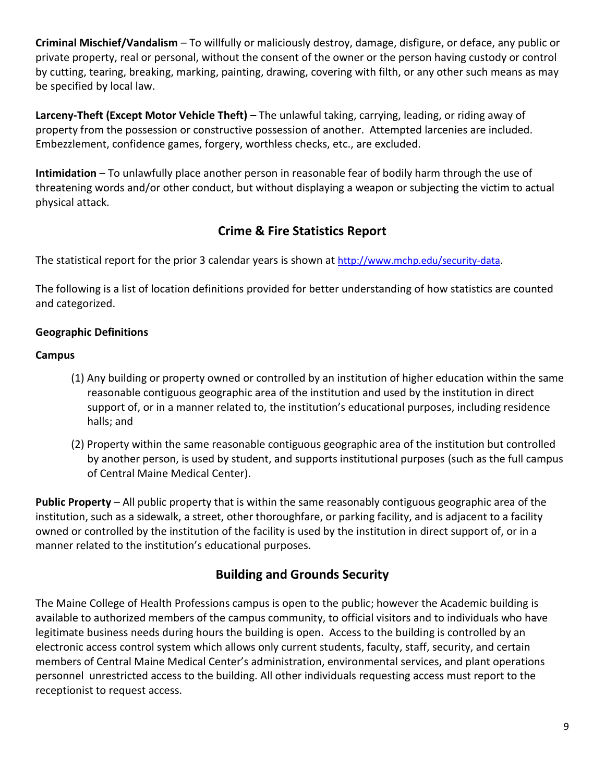**Criminal Mischief/Vandalism** – To willfully or maliciously destroy, damage, disfigure, or deface, any public or private property, real or personal, without the consent of the owner or the person having custody or control by cutting, tearing, breaking, marking, painting, drawing, covering with filth, or any other such means as may be specified by local law.

**Larceny-Theft (Except Motor Vehicle Theft)** – The unlawful taking, carrying, leading, or riding away of property from the possession or constructive possession of another. Attempted larcenies are included. Embezzlement, confidence games, forgery, worthless checks, etc., are excluded.

**Intimidation** – To unlawfully place another person in reasonable fear of bodily harm through the use of threatening words and/or other conduct, but without displaying a weapon or subjecting the victim to actual physical attack.

# **Crime & Fire Statistics Report**

The statistical report for the prior 3 calendar years is shown at [http://www.mchp.edu/security-data.](http://www.mchp.edu/security-data)

The following is a list of location definitions provided for better understanding of how statistics are counted and categorized.

# **Geographic Definitions**

#### **Campus**

- (1) Any building or property owned or controlled by an institution of higher education within the same reasonable contiguous geographic area of the institution and used by the institution in direct support of, or in a manner related to, the institution's educational purposes, including residence halls; and
- (2) Property within the same reasonable contiguous geographic area of the institution but controlled by another person, is used by student, and supports institutional purposes (such as the full campus of Central Maine Medical Center).

**Public Property** – All public property that is within the same reasonably contiguous geographic area of the institution, such as a sidewalk, a street, other thoroughfare, or parking facility, and is adjacent to a facility owned or controlled by the institution of the facility is used by the institution in direct support of, or in a manner related to the institution's educational purposes.

# **Building and Grounds Security**

The Maine College of Health Professions campus is open to the public; however the Academic building is available to authorized members of the campus community, to official visitors and to individuals who have legitimate business needs during hours the building is open. Access to the building is controlled by an electronic access control system which allows only current students, faculty, staff, security, and certain members of Central Maine Medical Center's administration, environmental services, and plant operations personnel unrestricted access to the building. All other individuals requesting access must report to the receptionist to request access.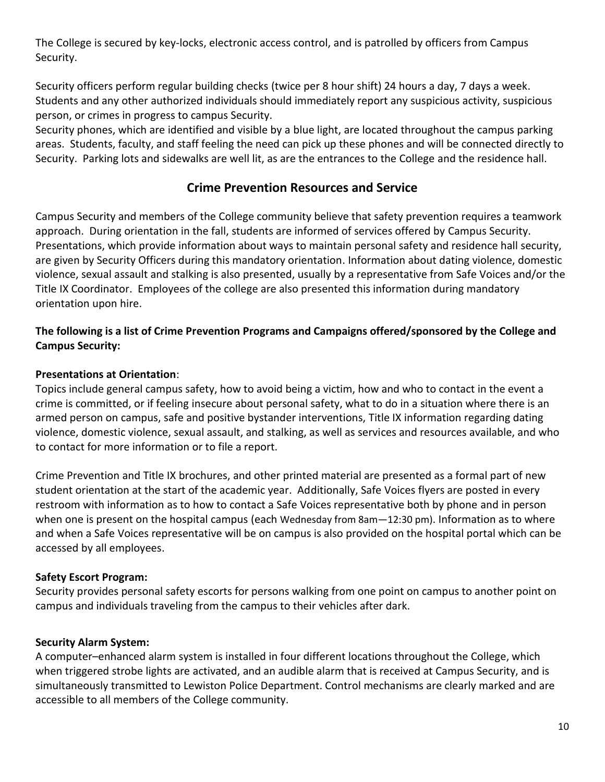The College is secured by key-locks, electronic access control, and is patrolled by officers from Campus Security.

Security officers perform regular building checks (twice per 8 hour shift) 24 hours a day, 7 days a week. Students and any other authorized individuals should immediately report any suspicious activity, suspicious person, or crimes in progress to campus Security.

Security phones, which are identified and visible by a blue light, are located throughout the campus parking areas. Students, faculty, and staff feeling the need can pick up these phones and will be connected directly to Security. Parking lots and sidewalks are well lit, as are the entrances to the College and the residence hall.

# **Crime Prevention Resources and Service**

Campus Security and members of the College community believe that safety prevention requires a teamwork approach. During orientation in the fall, students are informed of services offered by Campus Security. Presentations, which provide information about ways to maintain personal safety and residence hall security, are given by Security Officers during this mandatory orientation. Information about dating violence, domestic violence, sexual assault and stalking is also presented, usually by a representative from Safe Voices and/or the Title IX Coordinator. Employees of the college are also presented this information during mandatory orientation upon hire.

# **The following is a list of Crime Prevention Programs and Campaigns offered/sponsored by the College and Campus Security:**

#### **Presentations at Orientation**:

Topics include general campus safety, how to avoid being a victim, how and who to contact in the event a crime is committed, or if feeling insecure about personal safety, what to do in a situation where there is an armed person on campus, safe and positive bystander interventions, Title IX information regarding dating violence, domestic violence, sexual assault, and stalking, as well as services and resources available, and who to contact for more information or to file a report.

Crime Prevention and Title IX brochures, and other printed material are presented as a formal part of new student orientation at the start of the academic year. Additionally, Safe Voices flyers are posted in every restroom with information as to how to contact a Safe Voices representative both by phone and in person when one is present on the hospital campus (each Wednesday from 8am - 12:30 pm). Information as to where and when a Safe Voices representative will be on campus is also provided on the hospital portal which can be accessed by all employees.

#### **Safety Escort Program:**

Security provides personal safety escorts for persons walking from one point on campus to another point on campus and individuals traveling from the campus to their vehicles after dark.

#### **Security Alarm System:**

A computer–enhanced alarm system is installed in four different locations throughout the College, which when triggered strobe lights are activated, and an audible alarm that is received at Campus Security, and is simultaneously transmitted to Lewiston Police Department. Control mechanisms are clearly marked and are accessible to all members of the College community.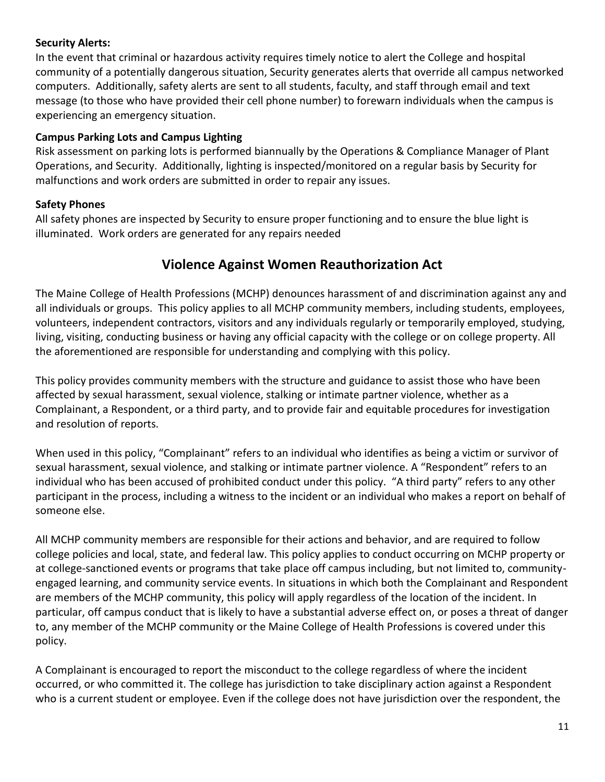# **Security Alerts:**

In the event that criminal or hazardous activity requires timely notice to alert the College and hospital community of a potentially dangerous situation, Security generates alerts that override all campus networked computers. Additionally, safety alerts are sent to all students, faculty, and staff through email and text message (to those who have provided their cell phone number) to forewarn individuals when the campus is experiencing an emergency situation.

# **Campus Parking Lots and Campus Lighting**

Risk assessment on parking lots is performed biannually by the Operations & Compliance Manager of Plant Operations, and Security. Additionally, lighting is inspected/monitored on a regular basis by Security for malfunctions and work orders are submitted in order to repair any issues.

# **Safety Phones**

All safety phones are inspected by Security to ensure proper functioning and to ensure the blue light is illuminated. Work orders are generated for any repairs needed

# **Violence Against Women Reauthorization Act**

The Maine College of Health Professions (MCHP) denounces harassment of and discrimination against any and all individuals or groups. This policy applies to all MCHP community members, including students, employees, volunteers, independent contractors, visitors and any individuals regularly or temporarily employed, studying, living, visiting, conducting business or having any official capacity with the college or on college property. All the aforementioned are responsible for understanding and complying with this policy.

This policy provides community members with the structure and guidance to assist those who have been affected by sexual harassment, sexual violence, stalking or intimate partner violence, whether as a Complainant, a Respondent, or a third party, and to provide fair and equitable procedures for investigation and resolution of reports.

When used in this policy, "Complainant" refers to an individual who identifies as being a victim or survivor of sexual harassment, sexual violence, and stalking or intimate partner violence. A "Respondent" refers to an individual who has been accused of prohibited conduct under this policy. "A third party" refers to any other participant in the process, including a witness to the incident or an individual who makes a report on behalf of someone else.

All MCHP community members are responsible for their actions and behavior, and are required to follow college policies and local, state, and federal law. This policy applies to conduct occurring on MCHP property or at college‐sanctioned events or programs that take place off campus including, but not limited to, communityengaged learning, and community service events. In situations in which both the Complainant and Respondent are members of the MCHP community, this policy will apply regardless of the location of the incident. In particular, off campus conduct that is likely to have a substantial adverse effect on, or poses a threat of danger to, any member of the MCHP community or the Maine College of Health Professions is covered under this policy.

A Complainant is encouraged to report the misconduct to the college regardless of where the incident occurred, or who committed it. The college has jurisdiction to take disciplinary action against a Respondent who is a current student or employee. Even if the college does not have jurisdiction over the respondent, the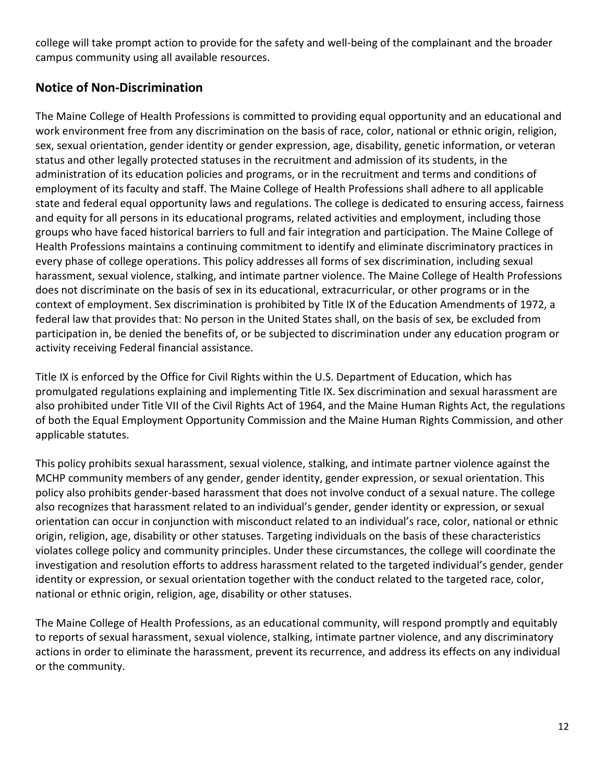college will take prompt action to provide for the safety and well‐being of the complainant and the broader campus community using all available resources.

# **Notice of Non‐Discrimination**

The Maine College of Health Professions is committed to providing equal opportunity and an educational and work environment free from any discrimination on the basis of race, color, national or ethnic origin, religion, sex, sexual orientation, gender identity or gender expression, age, disability, genetic information, or veteran status and other legally protected statuses in the recruitment and admission of its students, in the administration of its education policies and programs, or in the recruitment and terms and conditions of employment of its faculty and staff. The Maine College of Health Professions shall adhere to all applicable state and federal equal opportunity laws and regulations. The college is dedicated to ensuring access, fairness and equity for all persons in its educational programs, related activities and employment, including those groups who have faced historical barriers to full and fair integration and participation. The Maine College of Health Professions maintains a continuing commitment to identify and eliminate discriminatory practices in every phase of college operations. This policy addresses all forms of sex discrimination, including sexual harassment, sexual violence, stalking, and intimate partner violence. The Maine College of Health Professions does not discriminate on the basis of sex in its educational, extracurricular, or other programs or in the context of employment. Sex discrimination is prohibited by Title IX of the Education Amendments of 1972, a federal law that provides that: No person in the United States shall, on the basis of sex, be excluded from participation in, be denied the benefits of, or be subjected to discrimination under any education program or activity receiving Federal financial assistance.

Title IX is enforced by the Office for Civil Rights within the U.S. Department of Education, which has promulgated regulations explaining and implementing Title IX. Sex discrimination and sexual harassment are also prohibited under Title VII of the Civil Rights Act of 1964, and the Maine Human Rights Act, the regulations of both the Equal Employment Opportunity Commission and the Maine Human Rights Commission, and other applicable statutes.

This policy prohibits sexual harassment, sexual violence, stalking, and intimate partner violence against the MCHP community members of any gender, gender identity, gender expression, or sexual orientation. This policy also prohibits gender‐based harassment that does not involve conduct of a sexual nature. The college also recognizes that harassment related to an individual's gender, gender identity or expression, or sexual orientation can occur in conjunction with misconduct related to an individual's race, color, national or ethnic origin, religion, age, disability or other statuses. Targeting individuals on the basis of these characteristics violates college policy and community principles. Under these circumstances, the college will coordinate the investigation and resolution efforts to address harassment related to the targeted individual's gender, gender identity or expression, or sexual orientation together with the conduct related to the targeted race, color, national or ethnic origin, religion, age, disability or other statuses.

The Maine College of Health Professions, as an educational community, will respond promptly and equitably to reports of sexual harassment, sexual violence, stalking, intimate partner violence, and any discriminatory actions in order to eliminate the harassment, prevent its recurrence, and address its effects on any individual or the community.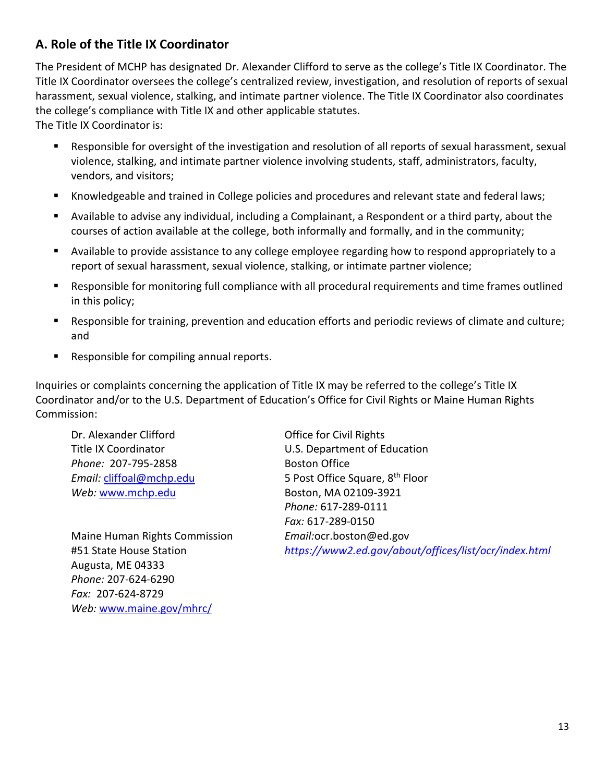# **A. Role of the Title IX Coordinator**

The President of MCHP has designated Dr. Alexander Clifford to serve as the college's Title IX Coordinator. The Title IX Coordinator oversees the college's centralized review, investigation, and resolution of reports of sexual harassment, sexual violence, stalking, and intimate partner violence. The Title IX Coordinator also coordinates the college's compliance with Title IX and other applicable statutes. The Title IX Coordinator is:

Responsible for oversight of the investigation and resolution of all reports of sexual harassment, sexual violence, stalking, and intimate partner violence involving students, staff, administrators, faculty, vendors, and visitors;

- Knowledgeable and trained in College policies and procedures and relevant state and federal laws;
- Available to advise any individual, including a Complainant, a Respondent or a third party, about the courses of action available at the college, both informally and formally, and in the community;
- Available to provide assistance to any college employee regarding how to respond appropriately to a report of sexual harassment, sexual violence, stalking, or intimate partner violence;
- Responsible for monitoring full compliance with all procedural requirements and time frames outlined in this policy;
- Responsible for training, prevention and education efforts and periodic reviews of climate and culture; and
- Responsible for compiling annual reports.

Inquiries or complaints concerning the application of Title IX may be referred to the college's Title IX Coordinator and/or to the U.S. Department of Education's Office for Civil Rights or Maine Human Rights Commission:

Dr. Alexander Clifford **Office for Civil Rights** *Phone:* 207-795-2858 Boston Office *Web:* [www.mchp.edu](http://www.mchp.edu/) Boston, MA 02109-3921

Maine Human Rights Commission *Email:*ocr.boston@ed.gov Augusta, ME 04333 *Phone:* 207-624-6290 *Fax:* 207-624-8729 *Web:* [www.maine.gov/mhrc/](http://www.maine.gov/mhrc/)

Title IX Coordinator **U.S. Department of Education** *Email:* **[cliffoal@mchp.edu](mailto:cliffoal@mchp.edu)** 5 Post Office Square, 8<sup>th</sup> Floor *Phone:* 617-289-0111 *Fax:* 617-289-0150 #51 State House Station *<https://www2.ed.gov/about/offices/list/ocr/index.html>*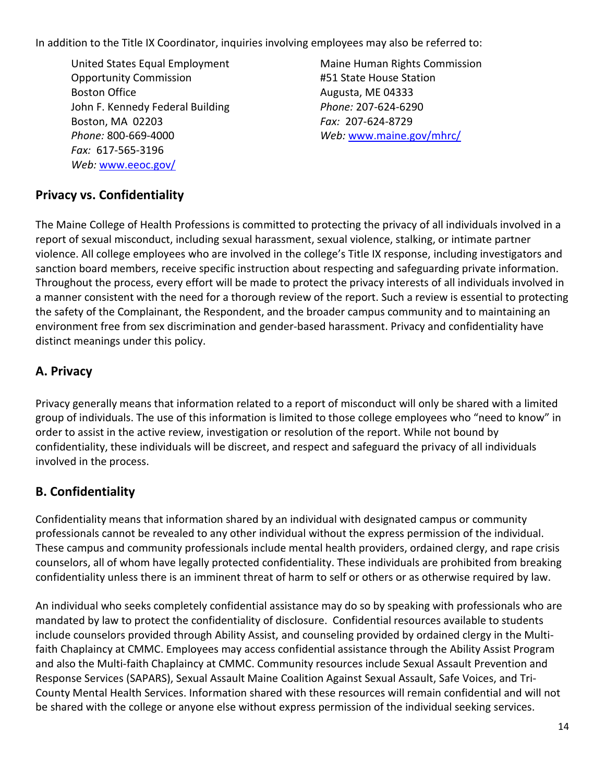In addition to the Title IX Coordinator, inquiries involving employees may also be referred to:

United States Equal Employment Maine Human Rights Commission Opportunity Commission #51 State House Station Boston Office **Augusta, ME 04333** John F. Kennedy Federal Building *Phone:* 207-624-6290 Boston, MA 02203 *Fax:* 207-624-8729 *Phone:* 800-669-4000 *Web:* [www.maine.gov/mhrc/](http://www.maine.gov/mhrc/) *Fax:* 617-565-3196 *Web:* [www.eeoc.gov/](http://www.eeoc.gov/)

# **Privacy vs. Confidentiality**

The Maine College of Health Professions is committed to protecting the privacy of all individuals involved in a report of sexual misconduct, including sexual harassment, sexual violence, stalking, or intimate partner violence. All college employees who are involved in the college's Title IX response, including investigators and sanction board members, receive specific instruction about respecting and safeguarding private information. Throughout the process, every effort will be made to protect the privacy interests of all individuals involved in a manner consistent with the need for a thorough review of the report. Such a review is essential to protecting the safety of the Complainant, the Respondent, and the broader campus community and to maintaining an environment free from sex discrimination and gender‐based harassment. Privacy and confidentiality have distinct meanings under this policy.

# **A. Privacy**

Privacy generally means that information related to a report of misconduct will only be shared with a limited group of individuals. The use of this information is limited to those college employees who "need to know" in order to assist in the active review, investigation or resolution of the report. While not bound by confidentiality, these individuals will be discreet, and respect and safeguard the privacy of all individuals involved in the process.

# **B. Confidentiality**

Confidentiality means that information shared by an individual with designated campus or community professionals cannot be revealed to any other individual without the express permission of the individual. These campus and community professionals include mental health providers, ordained clergy, and rape crisis counselors, all of whom have legally protected confidentiality. These individuals are prohibited from breaking confidentiality unless there is an imminent threat of harm to self or others or as otherwise required by law.

An individual who seeks completely confidential assistance may do so by speaking with professionals who are mandated by law to protect the confidentiality of disclosure. Confidential resources available to students include counselors provided through Ability Assist, and counseling provided by ordained clergy in the Multifaith Chaplaincy at CMMC. Employees may access confidential assistance through the Ability Assist Program and also the Multi-faith Chaplaincy at CMMC. Community resources include Sexual Assault Prevention and Response Services (SAPARS), Sexual Assault Maine Coalition Against Sexual Assault, Safe Voices, and Tri-County Mental Health Services. Information shared with these resources will remain confidential and will not be shared with the college or anyone else without express permission of the individual seeking services.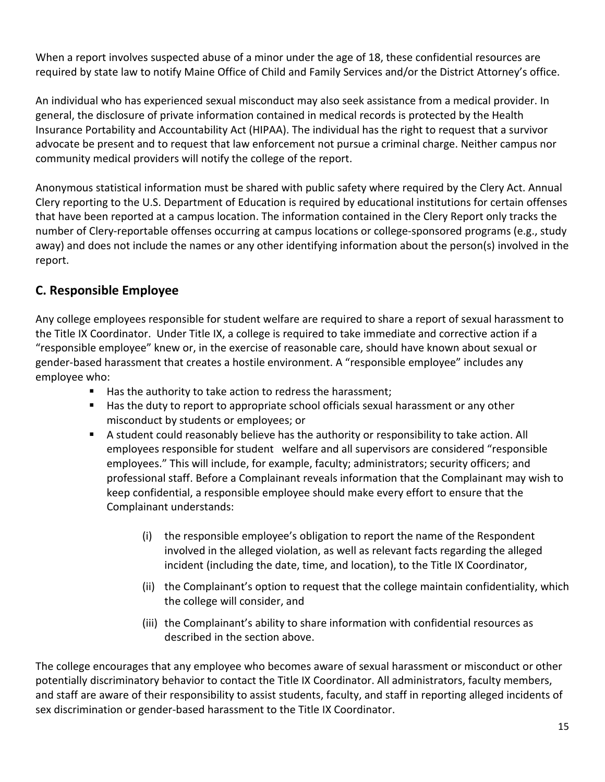When a report involves suspected abuse of a minor under the age of 18, these confidential resources are required by state law to notify Maine Office of Child and Family Services and/or the District Attorney's office.

An individual who has experienced sexual misconduct may also seek assistance from a medical provider. In general, the disclosure of private information contained in medical records is protected by the Health Insurance Portability and Accountability Act (HIPAA). The individual has the right to request that a survivor advocate be present and to request that law enforcement not pursue a criminal charge. Neither campus nor community medical providers will notify the college of the report.

Anonymous statistical information must be shared with public safety where required by the Clery Act. Annual Clery reporting to the U.S. Department of Education is required by educational institutions for certain offenses that have been reported at a campus location. The information contained in the Clery Report only tracks the number of Clery-reportable offenses occurring at campus locations or college-sponsored programs (e.g., study away) and does not include the names or any other identifying information about the person(s) involved in the report.

# **C. Responsible Employee**

Any college employees responsible for student welfare are required to share a report of sexual harassment to the Title IX Coordinator. Under Title IX, a college is required to take immediate and corrective action if a "responsible employee" knew or, in the exercise of reasonable care, should have known about sexual or gender-based harassment that creates a hostile environment. A "responsible employee" includes any employee who:

- Has the authority to take action to redress the harassment;
- Has the duty to report to appropriate school officials sexual harassment or any other misconduct by students or employees; or
- **E** A student could reasonably believe has the authority or responsibility to take action. All employees responsible for student welfare and all supervisors are considered "responsible employees." This will include, for example, faculty; administrators; security officers; and professional staff. Before a Complainant reveals information that the Complainant may wish to keep confidential, a responsible employee should make every effort to ensure that the Complainant understands:
	- (i) the responsible employee's obligation to report the name of the Respondent involved in the alleged violation, as well as relevant facts regarding the alleged incident (including the date, time, and location), to the Title IX Coordinator,
	- (ii) the Complainant's option to request that the college maintain confidentiality, which the college will consider, and
	- (iii) the Complainant's ability to share information with confidential resources as described in the section above.

The college encourages that any employee who becomes aware of sexual harassment or misconduct or other potentially discriminatory behavior to contact the Title IX Coordinator. All administrators, faculty members, and staff are aware of their responsibility to assist students, faculty, and staff in reporting alleged incidents of sex discrimination or gender‐based harassment to the Title IX Coordinator.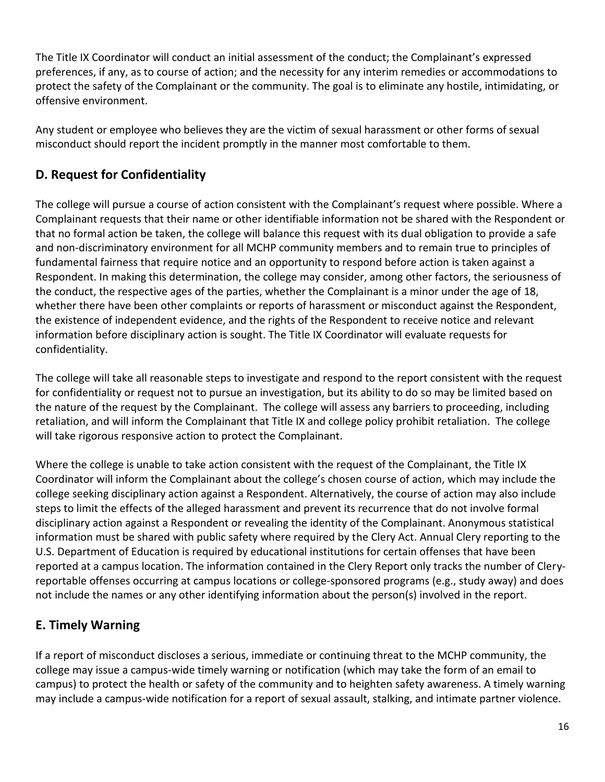The Title IX Coordinator will conduct an initial assessment of the conduct; the Complainant's expressed preferences, if any, as to course of action; and the necessity for any interim remedies or accommodations to protect the safety of the Complainant or the community. The goal is to eliminate any hostile, intimidating, or offensive environment.

Any student or employee who believes they are the victim of sexual harassment or other forms of sexual misconduct should report the incident promptly in the manner most comfortable to them.

# **D. Request for Confidentiality**

The college will pursue a course of action consistent with the Complainant's request where possible. Where a Complainant requests that their name or other identifiable information not be shared with the Respondent or that no formal action be taken, the college will balance this request with its dual obligation to provide a safe and non-discriminatory environment for all MCHP community members and to remain true to principles of fundamental fairness that require notice and an opportunity to respond before action is taken against a Respondent. In making this determination, the college may consider, among other factors, the seriousness of the conduct, the respective ages of the parties, whether the Complainant is a minor under the age of 18, whether there have been other complaints or reports of harassment or misconduct against the Respondent, the existence of independent evidence, and the rights of the Respondent to receive notice and relevant information before disciplinary action is sought. The Title IX Coordinator will evaluate requests for confidentiality.

The college will take all reasonable steps to investigate and respond to the report consistent with the request for confidentiality or request not to pursue an investigation, but its ability to do so may be limited based on the nature of the request by the Complainant. The college will assess any barriers to proceeding, including retaliation, and will inform the Complainant that Title IX and college policy prohibit retaliation. The college will take rigorous responsive action to protect the Complainant.

Where the college is unable to take action consistent with the request of the Complainant, the Title IX Coordinator will inform the Complainant about the college's chosen course of action, which may include the college seeking disciplinary action against a Respondent. Alternatively, the course of action may also include steps to limit the effects of the alleged harassment and prevent its recurrence that do not involve formal disciplinary action against a Respondent or revealing the identity of the Complainant. Anonymous statistical information must be shared with public safety where required by the Clery Act. Annual Clery reporting to the U.S. Department of Education is required by educational institutions for certain offenses that have been reported at a campus location. The information contained in the Clery Report only tracks the number of Cleryreportable offenses occurring at campus locations or college-sponsored programs (e.g., study away) and does not include the names or any other identifying information about the person(s) involved in the report.

# **E. Timely Warning**

If a report of misconduct discloses a serious, immediate or continuing threat to the MCHP community, the college may issue a campus-wide timely warning or notification (which may take the form of an email to campus) to protect the health or safety of the community and to heighten safety awareness. A timely warning may include a campus-wide notification for a report of sexual assault, stalking, and intimate partner violence.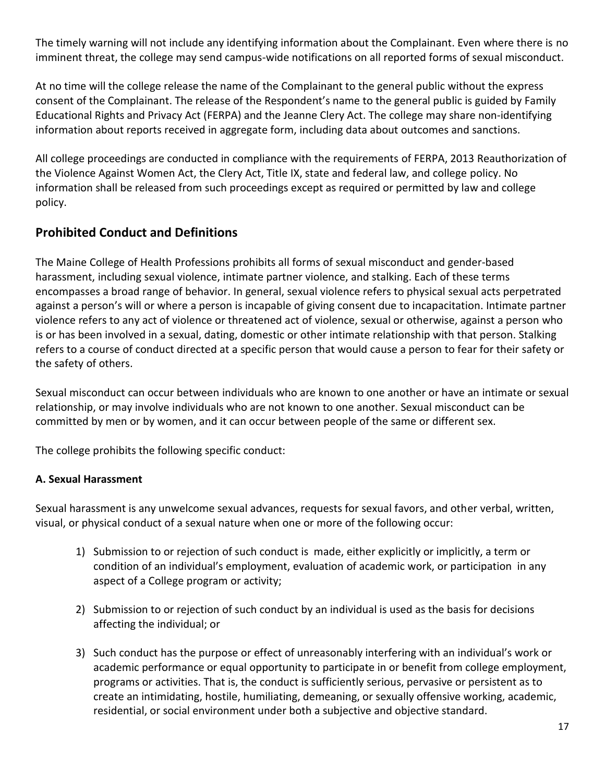The timely warning will not include any identifying information about the Complainant. Even where there is no imminent threat, the college may send campus-wide notifications on all reported forms of sexual misconduct.

At no time will the college release the name of the Complainant to the general public without the express consent of the Complainant. The release of the Respondent's name to the general public is guided by Family Educational Rights and Privacy Act (FERPA) and the Jeanne Clery Act. The college may share non‐identifying information about reports received in aggregate form, including data about outcomes and sanctions.

All college proceedings are conducted in compliance with the requirements of FERPA, 2013 Reauthorization of the Violence Against Women Act, the Clery Act, Title IX, state and federal law, and college policy. No information shall be released from such proceedings except as required or permitted by law and college policy.

# **Prohibited Conduct and Definitions**

The Maine College of Health Professions prohibits all forms of sexual misconduct and gender-based harassment, including sexual violence, intimate partner violence, and stalking. Each of these terms encompasses a broad range of behavior. In general, sexual violence refers to physical sexual acts perpetrated against a person's will or where a person is incapable of giving consent due to incapacitation. Intimate partner violence refers to any act of violence or threatened act of violence, sexual or otherwise, against a person who is or has been involved in a sexual, dating, domestic or other intimate relationship with that person. Stalking refers to a course of conduct directed at a specific person that would cause a person to fear for their safety or the safety of others.

Sexual misconduct can occur between individuals who are known to one another or have an intimate or sexual relationship, or may involve individuals who are not known to one another. Sexual misconduct can be committed by men or by women, and it can occur between people of the same or different sex.

The college prohibits the following specific conduct:

# **A. Sexual Harassment**

Sexual harassment is any unwelcome sexual advances, requests for sexual favors, and other verbal, written, visual, or physical conduct of a sexual nature when one or more of the following occur:

- 1) Submission to or rejection of such conduct is made, either explicitly or implicitly, a term or condition of an individual's employment, evaluation of academic work, or participation in any aspect of a College program or activity;
- 2) Submission to or rejection of such conduct by an individual is used as the basis for decisions affecting the individual; or
- 3) Such conduct has the purpose or effect of unreasonably interfering with an individual's work or academic performance or equal opportunity to participate in or benefit from college employment, programs or activities. That is, the conduct is sufficiently serious, pervasive or persistent as to create an intimidating, hostile, humiliating, demeaning, or sexually offensive working, academic, residential, or social environment under both a subjective and objective standard.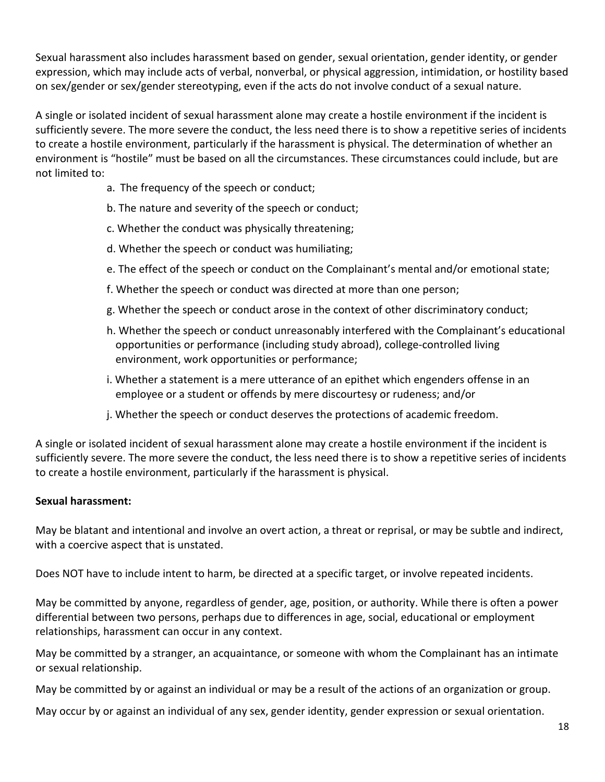Sexual harassment also includes harassment based on gender, sexual orientation, gender identity, or gender expression, which may include acts of verbal, nonverbal, or physical aggression, intimidation, or hostility based on sex/gender or sex/gender stereotyping, even if the acts do not involve conduct of a sexual nature.

A single or isolated incident of sexual harassment alone may create a hostile environment if the incident is sufficiently severe. The more severe the conduct, the less need there is to show a repetitive series of incidents to create a hostile environment, particularly if the harassment is physical. The determination of whether an environment is "hostile" must be based on all the circumstances. These circumstances could include, but are not limited to:

- a. The frequency of the speech or conduct;
- b. The nature and severity of the speech or conduct;
- c. Whether the conduct was physically threatening;
- d. Whether the speech or conduct was humiliating;
- e. The effect of the speech or conduct on the Complainant's mental and/or emotional state;
- f. Whether the speech or conduct was directed at more than one person;
- g. Whether the speech or conduct arose in the context of other discriminatory conduct;
- h. Whether the speech or conduct unreasonably interfered with the Complainant's educational opportunities or performance (including study abroad), college-controlled living environment, work opportunities or performance;
- i. Whether a statement is a mere utterance of an epithet which engenders offense in an employee or a student or offends by mere discourtesy or rudeness; and/or
- j. Whether the speech or conduct deserves the protections of academic freedom.

A single or isolated incident of sexual harassment alone may create a hostile environment if the incident is sufficiently severe. The more severe the conduct, the less need there is to show a repetitive series of incidents to create a hostile environment, particularly if the harassment is physical.

# **Sexual harassment:**

May be blatant and intentional and involve an overt action, a threat or reprisal, or may be subtle and indirect, with a coercive aspect that is unstated.

Does NOT have to include intent to harm, be directed at a specific target, or involve repeated incidents.

May be committed by anyone, regardless of gender, age, position, or authority. While there is often a power differential between two persons, perhaps due to differences in age, social, educational or employment relationships, harassment can occur in any context.

May be committed by a stranger, an acquaintance, or someone with whom the Complainant has an intimate or sexual relationship.

May be committed by or against an individual or may be a result of the actions of an organization or group.

May occur by or against an individual of any sex, gender identity, gender expression or sexual orientation.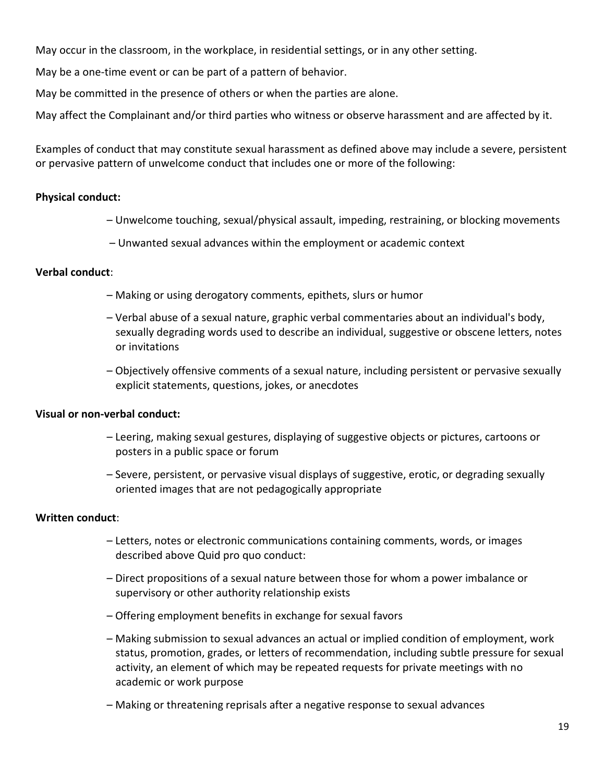May occur in the classroom, in the workplace, in residential settings, or in any other setting.

May be a one-time event or can be part of a pattern of behavior.

May be committed in the presence of others or when the parties are alone.

May affect the Complainant and/or third parties who witness or observe harassment and are affected by it.

Examples of conduct that may constitute sexual harassment as defined above may include a severe, persistent or pervasive pattern of unwelcome conduct that includes one or more of the following:

#### **Physical conduct:**

- Unwelcome touching, sexual/physical assault, impeding, restraining, or blocking movements
- Unwanted sexual advances within the employment or academic context

#### **Verbal conduct**:

- Making or using derogatory comments, epithets, slurs or humor
- Verbal abuse of a sexual nature, graphic verbal commentaries about an individual's body, sexually degrading words used to describe an individual, suggestive or obscene letters, notes or invitations
- Objectively offensive comments of a sexual nature, including persistent or pervasive sexually explicit statements, questions, jokes, or anecdotes

# **Visual or non-verbal conduct:**

- Leering, making sexual gestures, displaying of suggestive objects or pictures, cartoons or posters in a public space or forum
- Severe, persistent, or pervasive visual displays of suggestive, erotic, or degrading sexually oriented images that are not pedagogically appropriate

#### **Written conduct**:

- Letters, notes or electronic communications containing comments, words, or images described above Quid pro quo conduct:
- Direct propositions of a sexual nature between those for whom a power imbalance or supervisory or other authority relationship exists
- Offering employment benefits in exchange for sexual favors
- Making submission to sexual advances an actual or implied condition of employment, work status, promotion, grades, or letters of recommendation, including subtle pressure for sexual activity, an element of which may be repeated requests for private meetings with no academic or work purpose
- Making or threatening reprisals after a negative response to sexual advances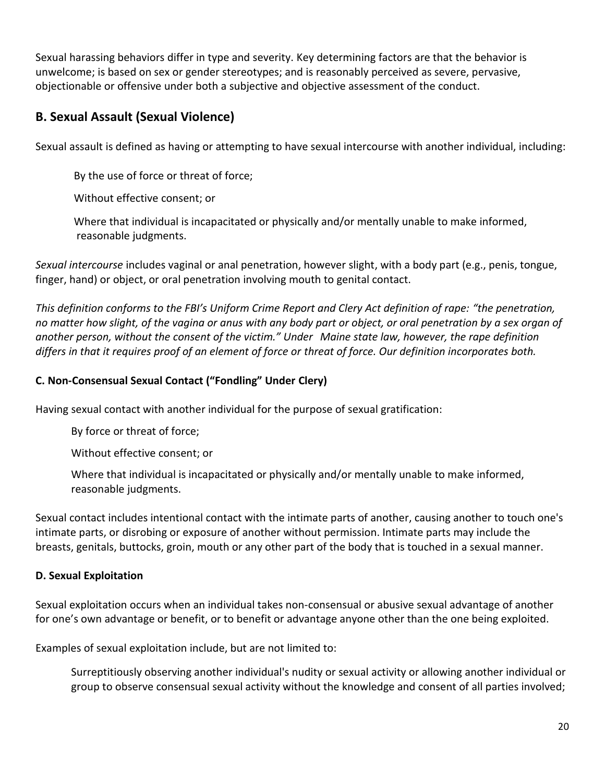Sexual harassing behaviors differ in type and severity. Key determining factors are that the behavior is unwelcome; is based on sex or gender stereotypes; and is reasonably perceived as severe, pervasive, objectionable or offensive under both a subjective and objective assessment of the conduct.

# **B. Sexual Assault (Sexual Violence)**

Sexual assault is defined as having or attempting to have sexual intercourse with another individual, including:

By the use of force or threat of force;

Without effective consent; or

Where that individual is incapacitated or physically and/or mentally unable to make informed, reasonable judgments.

*Sexual intercourse* includes vaginal or anal penetration, however slight, with a body part (e.g., penis, tongue, finger, hand) or object, or oral penetration involving mouth to genital contact.

*This definition conforms to the FBI's Uniform Crime Report and Clery Act definition of rape: "the penetration, no matter how slight, of the vagina or anus with any body part or object, or oral penetration by a sex organ of another person, without the consent of the victim." Under Maine state law, however, the rape definition differs in that it requires proof of an element of force or threat of force. Our definition incorporates both.*

# **C. Non-Consensual Sexual Contact ("Fondling" Under Clery)**

Having sexual contact with another individual for the purpose of sexual gratification:

By force or threat of force;

Without effective consent; or

Where that individual is incapacitated or physically and/or mentally unable to make informed, reasonable judgments.

Sexual contact includes intentional contact with the intimate parts of another, causing another to touch one's intimate parts, or disrobing or exposure of another without permission. Intimate parts may include the breasts, genitals, buttocks, groin, mouth or any other part of the body that is touched in a sexual manner.

# **D. Sexual Exploitation**

Sexual exploitation occurs when an individual takes non-consensual or abusive sexual advantage of another for one's own advantage or benefit, or to benefit or advantage anyone other than the one being exploited.

Examples of sexual exploitation include, but are not limited to:

Surreptitiously observing another individual's nudity or sexual activity or allowing another individual or group to observe consensual sexual activity without the knowledge and consent of all parties involved;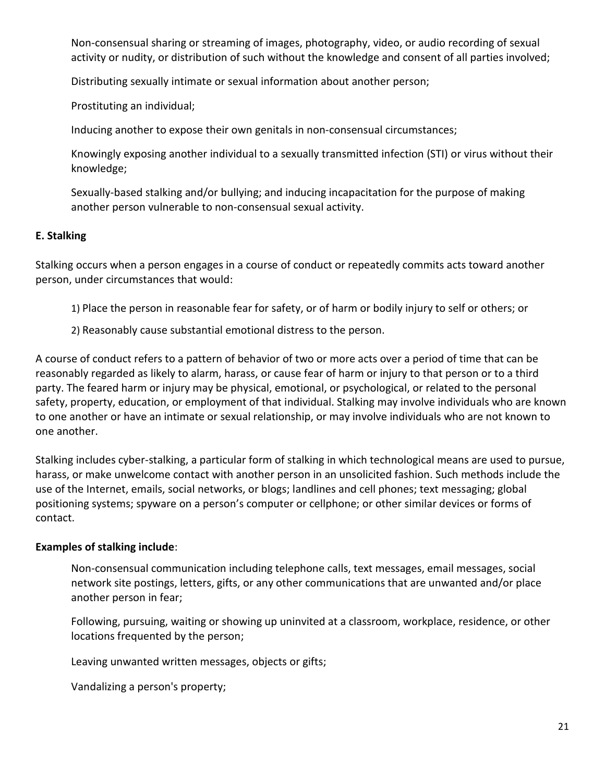Non-consensual sharing or streaming of images, photography, video, or audio recording of sexual activity or nudity, or distribution of such without the knowledge and consent of all parties involved;

Distributing sexually intimate or sexual information about another person;

Prostituting an individual;

Inducing another to expose their own genitals in non-consensual circumstances;

Knowingly exposing another individual to a sexually transmitted infection (STI) or virus without their knowledge;

Sexually-based stalking and/or bullying; and inducing incapacitation for the purpose of making another person vulnerable to non‐consensual sexual activity.

#### **E. Stalking**

Stalking occurs when a person engages in a course of conduct or repeatedly commits acts toward another person, under circumstances that would:

- 1) Place the person in reasonable fear for safety, or of harm or bodily injury to self or others; or
- 2) Reasonably cause substantial emotional distress to the person.

A course of conduct refers to a pattern of behavior of two or more acts over a period of time that can be reasonably regarded as likely to alarm, harass, or cause fear of harm or injury to that person or to a third party. The feared harm or injury may be physical, emotional, or psychological, or related to the personal safety, property, education, or employment of that individual. Stalking may involve individuals who are known to one another or have an intimate or sexual relationship, or may involve individuals who are not known to one another.

Stalking includes cyber-stalking, a particular form of stalking in which technological means are used to pursue, harass, or make unwelcome contact with another person in an unsolicited fashion. Such methods include the use of the Internet, emails, social networks, or blogs; landlines and cell phones; text messaging; global positioning systems; spyware on a person's computer or cellphone; or other similar devices or forms of contact.

#### **Examples of stalking include**:

Non-consensual communication including telephone calls, text messages, email messages, social network site postings, letters, gifts, or any other communications that are unwanted and/or place another person in fear;

Following, pursuing, waiting or showing up uninvited at a classroom, workplace, residence, or other locations frequented by the person;

Leaving unwanted written messages, objects or gifts;

Vandalizing a person's property;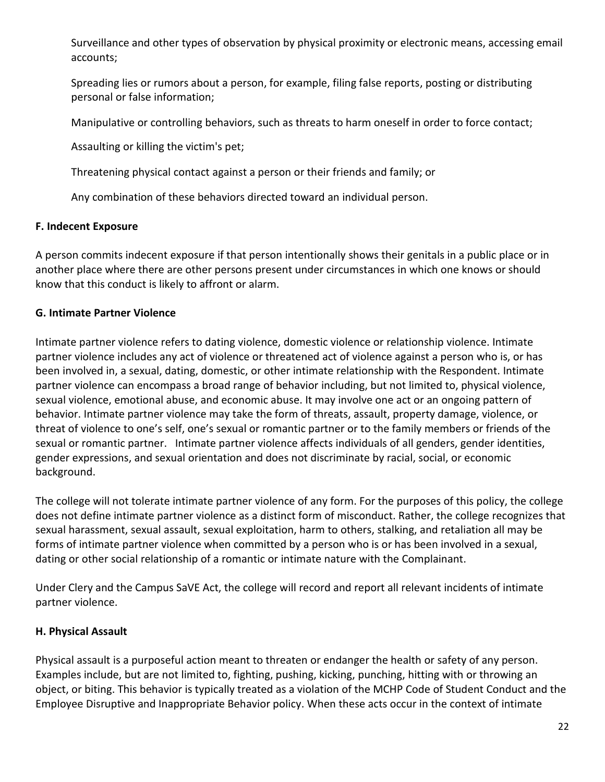Surveillance and other types of observation by physical proximity or electronic means, accessing email accounts;

Spreading lies or rumors about a person, for example, filing false reports, posting or distributing personal or false information;

Manipulative or controlling behaviors, such as threats to harm oneself in order to force contact;

Assaulting or killing the victim's pet;

Threatening physical contact against a person or their friends and family; or

Any combination of these behaviors directed toward an individual person.

# **F. Indecent Exposure**

A person commits indecent exposure if that person intentionally shows their genitals in a public place or in another place where there are other persons present under circumstances in which one knows or should know that this conduct is likely to affront or alarm.

# **G. Intimate Partner Violence**

Intimate partner violence refers to dating violence, domestic violence or relationship violence. Intimate partner violence includes any act of violence or threatened act of violence against a person who is, or has been involved in, a sexual, dating, domestic, or other intimate relationship with the Respondent. Intimate partner violence can encompass a broad range of behavior including, but not limited to, physical violence, sexual violence, emotional abuse, and economic abuse. It may involve one act or an ongoing pattern of behavior. Intimate partner violence may take the form of threats, assault, property damage, violence, or threat of violence to one's self, one's sexual or romantic partner or to the family members or friends of the sexual or romantic partner. Intimate partner violence affects individuals of all genders, gender identities, gender expressions, and sexual orientation and does not discriminate by racial, social, or economic background.

The college will not tolerate intimate partner violence of any form. For the purposes of this policy, the college does not define intimate partner violence as a distinct form of misconduct. Rather, the college recognizes that sexual harassment, sexual assault, sexual exploitation, harm to others, stalking, and retaliation all may be forms of intimate partner violence when committed by a person who is or has been involved in a sexual, dating or other social relationship of a romantic or intimate nature with the Complainant.

Under Clery and the Campus SaVE Act, the college will record and report all relevant incidents of intimate partner violence.

# **H. Physical Assault**

Physical assault is a purposeful action meant to threaten or endanger the health or safety of any person. Examples include, but are not limited to, fighting, pushing, kicking, punching, hitting with or throwing an object, or biting. This behavior is typically treated as a violation of the MCHP Code of Student Conduct and the Employee Disruptive and Inappropriate Behavior policy. When these acts occur in the context of intimate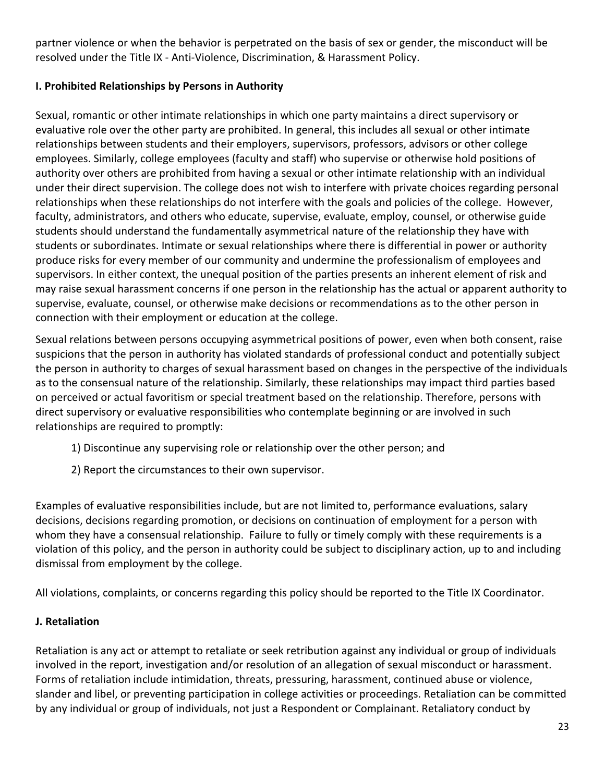partner violence or when the behavior is perpetrated on the basis of sex or gender, the misconduct will be resolved under the Title IX - Anti-Violence, Discrimination, & Harassment Policy.

# **I. Prohibited Relationships by Persons in Authority**

Sexual, romantic or other intimate relationships in which one party maintains a direct supervisory or evaluative role over the other party are prohibited. In general, this includes all sexual or other intimate relationships between students and their employers, supervisors, professors, advisors or other college employees. Similarly, college employees (faculty and staff) who supervise or otherwise hold positions of authority over others are prohibited from having a sexual or other intimate relationship with an individual under their direct supervision. The college does not wish to interfere with private choices regarding personal relationships when these relationships do not interfere with the goals and policies of the college. However, faculty, administrators, and others who educate, supervise, evaluate, employ, counsel, or otherwise guide students should understand the fundamentally asymmetrical nature of the relationship they have with students or subordinates. Intimate or sexual relationships where there is differential in power or authority produce risks for every member of our community and undermine the professionalism of employees and supervisors. In either context, the unequal position of the parties presents an inherent element of risk and may raise sexual harassment concerns if one person in the relationship has the actual or apparent authority to supervise, evaluate, counsel, or otherwise make decisions or recommendations as to the other person in connection with their employment or education at the college.

Sexual relations between persons occupying asymmetrical positions of power, even when both consent, raise suspicions that the person in authority has violated standards of professional conduct and potentially subject the person in authority to charges of sexual harassment based on changes in the perspective of the individuals as to the consensual nature of the relationship. Similarly, these relationships may impact third parties based on perceived or actual favoritism or special treatment based on the relationship. Therefore, persons with direct supervisory or evaluative responsibilities who contemplate beginning or are involved in such relationships are required to promptly:

- 1) Discontinue any supervising role or relationship over the other person; and
- 2) Report the circumstances to their own supervisor.

Examples of evaluative responsibilities include, but are not limited to, performance evaluations, salary decisions, decisions regarding promotion, or decisions on continuation of employment for a person with whom they have a consensual relationship. Failure to fully or timely comply with these requirements is a violation of this policy, and the person in authority could be subject to disciplinary action, up to and including dismissal from employment by the college.

All violations, complaints, or concerns regarding this policy should be reported to the Title IX Coordinator.

# **J. Retaliation**

Retaliation is any act or attempt to retaliate or seek retribution against any individual or group of individuals involved in the report, investigation and/or resolution of an allegation of sexual misconduct or harassment. Forms of retaliation include intimidation, threats, pressuring, harassment, continued abuse or violence, slander and libel, or preventing participation in college activities or proceedings. Retaliation can be committed by any individual or group of individuals, not just a Respondent or Complainant. Retaliatory conduct by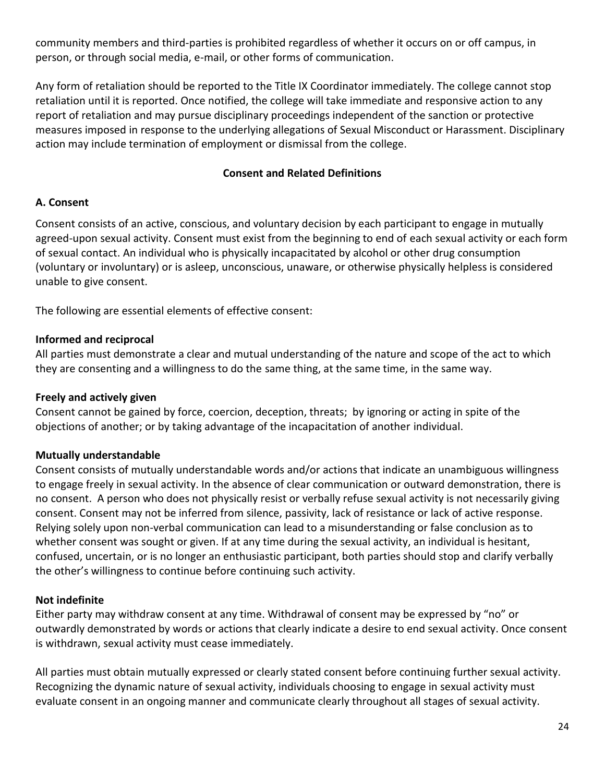community members and third-parties is prohibited regardless of whether it occurs on or off campus, in person, or through social media, e-mail, or other forms of communication.

Any form of retaliation should be reported to the Title IX Coordinator immediately. The college cannot stop retaliation until it is reported. Once notified, the college will take immediate and responsive action to any report of retaliation and may pursue disciplinary proceedings independent of the sanction or protective measures imposed in response to the underlying allegations of Sexual Misconduct or Harassment. Disciplinary action may include termination of employment or dismissal from the college.

# **Consent and Related Definitions**

#### **A. Consent**

Consent consists of an active, conscious, and voluntary decision by each participant to engage in mutually agreed-upon sexual activity. Consent must exist from the beginning to end of each sexual activity or each form of sexual contact. An individual who is physically incapacitated by alcohol or other drug consumption (voluntary or involuntary) or is asleep, unconscious, unaware, or otherwise physically helpless is considered unable to give consent.

The following are essential elements of effective consent:

#### **Informed and reciprocal**

All parties must demonstrate a clear and mutual understanding of the nature and scope of the act to which they are consenting and a willingness to do the same thing, at the same time, in the same way.

#### **Freely and actively given**

Consent cannot be gained by force, coercion, deception, threats; by ignoring or acting in spite of the objections of another; or by taking advantage of the incapacitation of another individual.

# **Mutually understandable**

Consent consists of mutually understandable words and/or actions that indicate an unambiguous willingness to engage freely in sexual activity. In the absence of clear communication or outward demonstration, there is no consent. A person who does not physically resist or verbally refuse sexual activity is not necessarily giving consent. Consent may not be inferred from silence, passivity, lack of resistance or lack of active response. Relying solely upon non-verbal communication can lead to a misunderstanding or false conclusion as to whether consent was sought or given. If at any time during the sexual activity, an individual is hesitant, confused, uncertain, or is no longer an enthusiastic participant, both parties should stop and clarify verbally the other's willingness to continue before continuing such activity.

#### **Not indefinite**

Either party may withdraw consent at any time. Withdrawal of consent may be expressed by "no" or outwardly demonstrated by words or actions that clearly indicate a desire to end sexual activity. Once consent is withdrawn, sexual activity must cease immediately.

All parties must obtain mutually expressed or clearly stated consent before continuing further sexual activity. Recognizing the dynamic nature of sexual activity, individuals choosing to engage in sexual activity must evaluate consent in an ongoing manner and communicate clearly throughout all stages of sexual activity.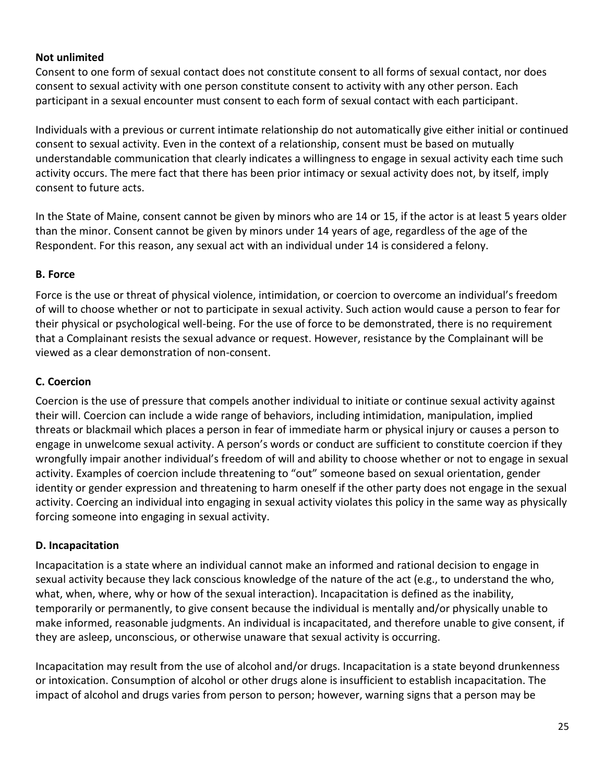# **Not unlimited**

Consent to one form of sexual contact does not constitute consent to all forms of sexual contact, nor does consent to sexual activity with one person constitute consent to activity with any other person. Each participant in a sexual encounter must consent to each form of sexual contact with each participant.

Individuals with a previous or current intimate relationship do not automatically give either initial or continued consent to sexual activity. Even in the context of a relationship, consent must be based on mutually understandable communication that clearly indicates a willingness to engage in sexual activity each time such activity occurs. The mere fact that there has been prior intimacy or sexual activity does not, by itself, imply consent to future acts.

In the State of Maine, consent cannot be given by minors who are 14 or 15, if the actor is at least 5 years older than the minor. Consent cannot be given by minors under 14 years of age, regardless of the age of the Respondent. For this reason, any sexual act with an individual under 14 is considered a felony.

# **B. Force**

Force is the use or threat of physical violence, intimidation, or coercion to overcome an individual's freedom of will to choose whether or not to participate in sexual activity. Such action would cause a person to fear for their physical or psychological well-being. For the use of force to be demonstrated, there is no requirement that a Complainant resists the sexual advance or request. However, resistance by the Complainant will be viewed as a clear demonstration of non-consent.

# **C. Coercion**

Coercion is the use of pressure that compels another individual to initiate or continue sexual activity against their will. Coercion can include a wide range of behaviors, including intimidation, manipulation, implied threats or blackmail which places a person in fear of immediate harm or physical injury or causes a person to engage in unwelcome sexual activity. A person's words or conduct are sufficient to constitute coercion if they wrongfully impair another individual's freedom of will and ability to choose whether or not to engage in sexual activity. Examples of coercion include threatening to "out" someone based on sexual orientation, gender identity or gender expression and threatening to harm oneself if the other party does not engage in the sexual activity. Coercing an individual into engaging in sexual activity violates this policy in the same way as physically forcing someone into engaging in sexual activity.

# **D. Incapacitation**

Incapacitation is a state where an individual cannot make an informed and rational decision to engage in sexual activity because they lack conscious knowledge of the nature of the act (e.g., to understand the who, what, when, where, why or how of the sexual interaction). Incapacitation is defined as the inability, temporarily or permanently, to give consent because the individual is mentally and/or physically unable to make informed, reasonable judgments. An individual is incapacitated, and therefore unable to give consent, if they are asleep, unconscious, or otherwise unaware that sexual activity is occurring.

Incapacitation may result from the use of alcohol and/or drugs. Incapacitation is a state beyond drunkenness or intoxication. Consumption of alcohol or other drugs alone is insufficient to establish incapacitation. The impact of alcohol and drugs varies from person to person; however, warning signs that a person may be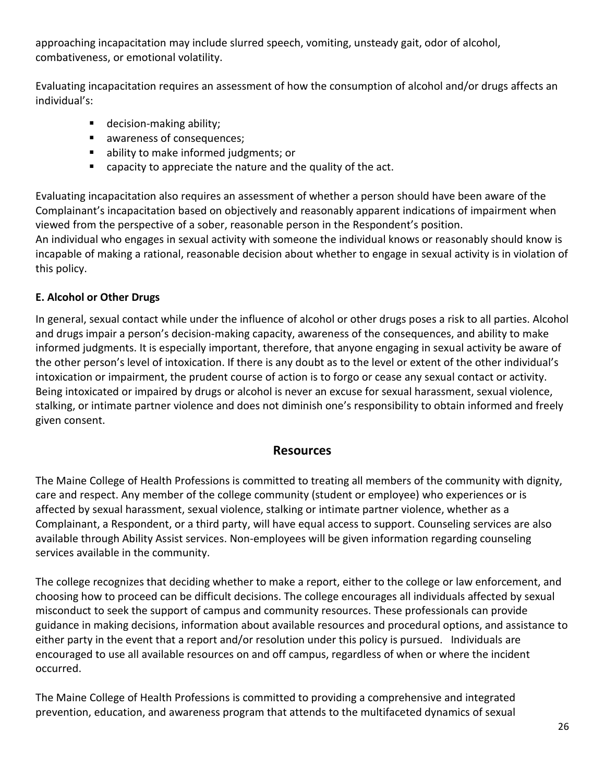approaching incapacitation may include slurred speech, vomiting, unsteady gait, odor of alcohol, combativeness, or emotional volatility.

Evaluating incapacitation requires an assessment of how the consumption of alcohol and/or drugs affects an individual's:

- decision-making ability;
- awareness of consequences;
- ability to make informed judgments; or
- capacity to appreciate the nature and the quality of the act.

Evaluating incapacitation also requires an assessment of whether a person should have been aware of the Complainant's incapacitation based on objectively and reasonably apparent indications of impairment when viewed from the perspective of a sober, reasonable person in the Respondent's position.

An individual who engages in sexual activity with someone the individual knows or reasonably should know is incapable of making a rational, reasonable decision about whether to engage in sexual activity is in violation of this policy.

# **E. Alcohol or Other Drugs**

In general, sexual contact while under the influence of alcohol or other drugs poses a risk to all parties. Alcohol and drugs impair a person's decision‐making capacity, awareness of the consequences, and ability to make informed judgments. It is especially important, therefore, that anyone engaging in sexual activity be aware of the other person's level of intoxication. If there is any doubt as to the level or extent of the other individual's intoxication or impairment, the prudent course of action is to forgo or cease any sexual contact or activity. Being intoxicated or impaired by drugs or alcohol is never an excuse for sexual harassment, sexual violence, stalking, or intimate partner violence and does not diminish one's responsibility to obtain informed and freely given consent.

# **Resources**

The Maine College of Health Professions is committed to treating all members of the community with dignity, care and respect. Any member of the college community (student or employee) who experiences or is affected by sexual harassment, sexual violence, stalking or intimate partner violence, whether as a Complainant, a Respondent, or a third party, will have equal access to support. Counseling services are also available through Ability Assist services. Non-employees will be given information regarding counseling services available in the community.

The college recognizes that deciding whether to make a report, either to the college or law enforcement, and choosing how to proceed can be difficult decisions. The college encourages all individuals affected by sexual misconduct to seek the support of campus and community resources. These professionals can provide guidance in making decisions, information about available resources and procedural options, and assistance to either party in the event that a report and/or resolution under this policy is pursued. Individuals are encouraged to use all available resources on and off campus, regardless of when or where the incident occurred.

The Maine College of Health Professions is committed to providing a comprehensive and integrated prevention, education, and awareness program that attends to the multifaceted dynamics of sexual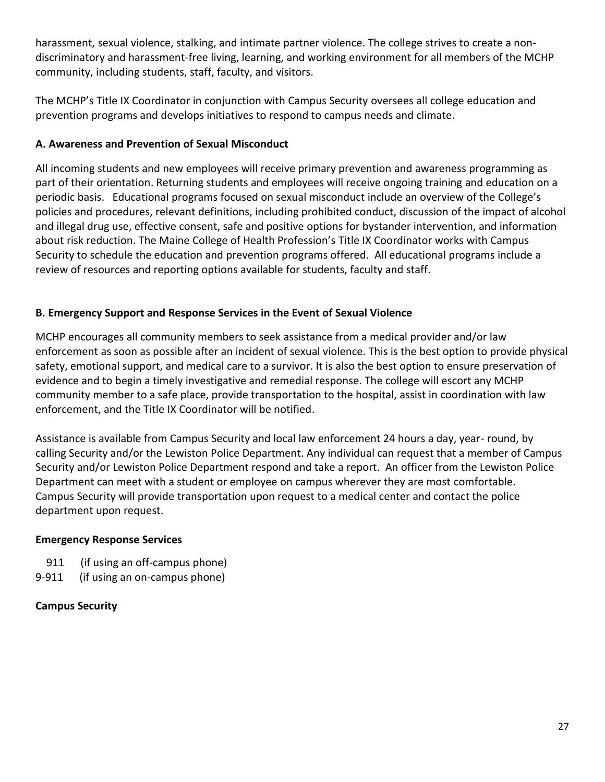harassment, sexual violence, stalking, and intimate partner violence. The college strives to create a nondiscriminatory and harassment‐free living, learning, and working environment for all members of the MCHP community, including students, staff, faculty, and visitors.

The MCHP's Title IX Coordinator in conjunction with Campus Security oversees all college education and prevention programs and develops initiatives to respond to campus needs and climate.

# **A. Awareness and Prevention of Sexual Misconduct**

All incoming students and new employees will receive primary prevention and awareness programming as part of their orientation. Returning students and employees will receive ongoing training and education on a periodic basis. Educational programs focused on sexual misconduct include an overview of the College's policies and procedures, relevant definitions, including prohibited conduct, discussion of the impact of alcohol and illegal drug use, effective consent, safe and positive options for bystander intervention, and information about risk reduction. The Maine College of Health Profession's Title IX Coordinator works with Campus Security to schedule the education and prevention programs offered. All educational programs include a review of resources and reporting options available for students, faculty and staff.

# **B. Emergency Support and Response Services in the Event of Sexual Violence**

MCHP encourages all community members to seek assistance from a medical provider and/or law enforcement as soon as possible after an incident of sexual violence. This is the best option to provide physical safety, emotional support, and medical care to a survivor. It is also the best option to ensure preservation of evidence and to begin a timely investigative and remedial response. The college will escort any MCHP community member to a safe place, provide transportation to the hospital, assist in coordination with law enforcement, and the Title IX Coordinator will be notified.

Assistance is available from Campus Security and local law enforcement 24 hours a day, year- round, by calling Security and/or the Lewiston Police Department. Any individual can request that a member of Campus Security and/or Lewiston Police Department respond and take a report. An officer from the Lewiston Police Department can meet with a student or employee on campus wherever they are most comfortable. Campus Security will provide transportation upon request to a medical center and contact the police department upon request.

# **Emergency Response Services**

- 911 (if using an off-campus phone)
- 9-911 (if using an on-campus phone)

# **Campus Security**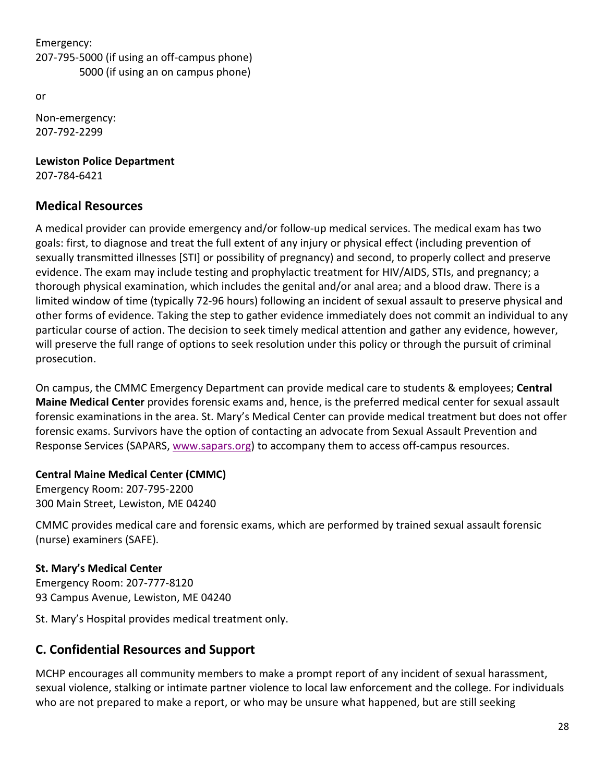Emergency: 207-795-5000 (if using an off-campus phone) 5000 (if using an on campus phone)

or

Non-emergency: 207-792-2299

**Lewiston Police Department** 207‐784‐6421

# **Medical Resources**

A medical provider can provide emergency and/or follow-up medical services. The medical exam has two goals: first, to diagnose and treat the full extent of any injury or physical effect (including prevention of sexually transmitted illnesses [STI] or possibility of pregnancy) and second, to properly collect and preserve evidence. The exam may include testing and prophylactic treatment for HIV/AIDS, STIs, and pregnancy; a thorough physical examination, which includes the genital and/or anal area; and a blood draw. There is a limited window of time (typically 72‐96 hours) following an incident of sexual assault to preserve physical and other forms of evidence. Taking the step to gather evidence immediately does not commit an individual to any particular course of action. The decision to seek timely medical attention and gather any evidence, however, will preserve the full range of options to seek resolution under this policy or through the pursuit of criminal prosecution.

On campus, the CMMC Emergency Department can provide medical care to students & employees; **Central Maine Medical Center** provides forensic exams and, hence, is the preferred medical center for sexual assault forensic examinations in the area. St. Mary's Medical Center can provide medical treatment but does not offer forensic exams. Survivors have the option of contacting an advocate from Sexual Assault Prevention and Response Services (SAPARS, [www.sapars.org\)](http://www.sapars.org/) to accompany them to access off‐campus resources.

# **Central Maine Medical Center (CMMC)**

Emergency Room: 207‐795‐2200 300 Main Street, Lewiston, ME 04240

CMMC provides medical care and forensic exams, which are performed by trained sexual assault forensic (nurse) examiners (SAFE).

# **St. Mary's Medical Center**

Emergency Room: 207‐777‐8120 93 Campus Avenue, Lewiston, ME 04240

St. Mary's Hospital provides medical treatment only.

# **C. Confidential Resources and Support**

MCHP encourages all community members to make a prompt report of any incident of sexual harassment, sexual violence, stalking or intimate partner violence to local law enforcement and the college. For individuals who are not prepared to make a report, or who may be unsure what happened, but are still seeking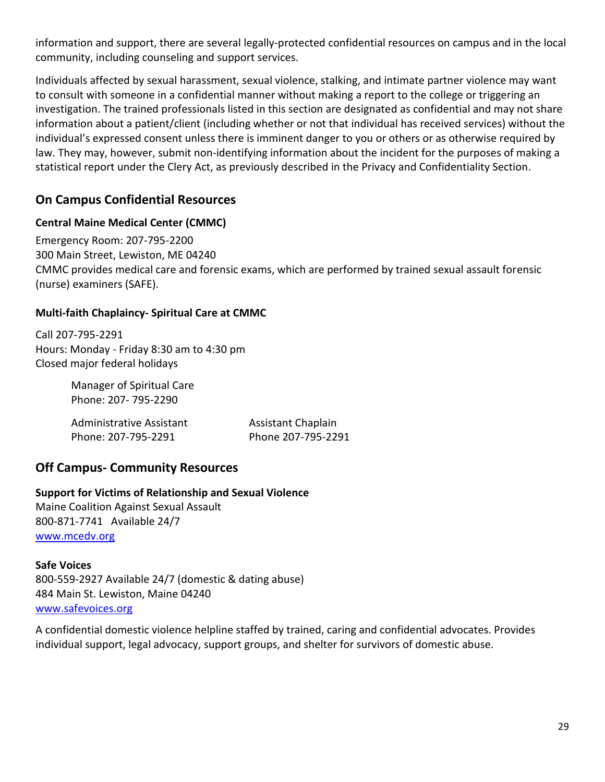information and support, there are several legally‐protected confidential resources on campus and in the local community, including counseling and support services.

Individuals affected by sexual harassment, sexual violence, stalking, and intimate partner violence may want to consult with someone in a confidential manner without making a report to the college or triggering an investigation. The trained professionals listed in this section are designated as confidential and may not share information about a patient/client (including whether or not that individual has received services) without the individual's expressed consent unless there is imminent danger to you or others or as otherwise required by law. They may, however, submit non‐identifying information about the incident for the purposes of making a statistical report under the Clery Act, as previously described in the Privacy and Confidentiality Section.

# **On Campus Confidential Resources**

# **Central Maine Medical Center (CMMC)**

Emergency Room: 207‐795-2200 300 Main Street, Lewiston, ME 04240 CMMC provides medical care and forensic exams, which are performed by trained sexual assault forensic (nurse) examiners (SAFE).

# **Multi-faith Chaplaincy- Spiritual Care at CMMC**

Call 207-795-2291 Hours: Monday - Friday 8:30 am to 4:30 pm Closed major federal holidays

> Manager of Spiritual Care Phone: 207- 795-2290

| Administrative Assistant | <b>Assistant Chaplain</b> |
|--------------------------|---------------------------|
| Phone: 207-795-2291      | Phone 207-795-2291        |

# **Off Campus- Community Resources**

# **Support for Victims of Relationship and Sexual Violence**

Maine Coalition Against Sexual Assault 800-871-7741 Available 24/7 [www.mcedv.org](http://www.mcedv.org/)

# **Safe Voices**

800-559-2927 Available 24/7 (domestic & dating abuse) 484 Main St. Lewiston, Maine 04240 [www.safevoices.org](http://www.safevoices.org/)

A confidential domestic violence helpline staffed by trained, caring and confidential advocates. Provides individual support, legal advocacy, support groups, and shelter for survivors of domestic abuse.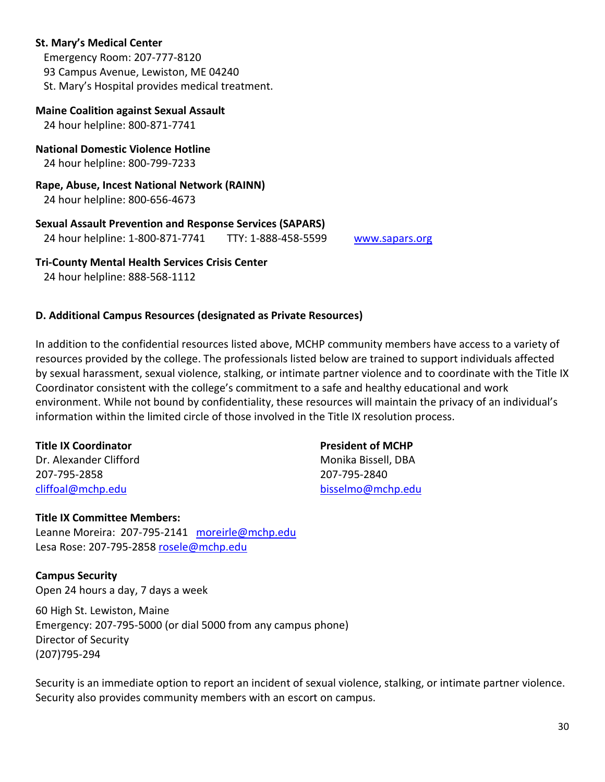#### **St. Mary's Medical Center**

 Emergency Room: 207-777-8120 93 Campus Avenue, Lewiston, ME 04240 St. Mary's Hospital provides medical treatment.

#### **Maine Coalition against Sexual Assault**

24 hour helpline: 800-871-7741

#### **National Domestic Violence Hotline** 24 hour helpline: 800‐799-7233

**Rape, Abuse, Incest National Network (RAINN)**

24 hour helpline: 800‐656‐4673

#### **Sexual Assault Prevention and Response Services (SAPARS)**

24 hour helpline: 1-800-871-7741 TTY: 1-888-458-5599 [www.sapars.org](http://www.sapars.org/)

#### **Tri-County Mental Health Services Crisis Center**

24 hour helpline: 888‐568‐1112

# **D. Additional Campus Resources (designated as Private Resources)**

In addition to the confidential resources listed above, MCHP community members have access to a variety of resources provided by the college. The professionals listed below are trained to support individuals affected by sexual harassment, sexual violence, stalking, or intimate partner violence and to coordinate with the Title IX Coordinator consistent with the college's commitment to a safe and healthy educational and work environment. While not bound by confidentiality, these resources will maintain the privacy of an individual's information within the limited circle of those involved in the Title IX resolution process.

#### **Title IX Coordinator President of MCHP**

Dr. Alexander Clifford Monical Alexander Clifford Monical Alexander Monical Alexander Olive Alexander Alexander 207-795-2858 207-795-2840

# [cliffoal@mchp.edu](mailto:cliffoal@mchp.edu) [bisselmo@mchp.edu](mailto:bisselmo@mchp.edu)

#### **Title IX Committee Members:**

Leanne Moreira: 207-795-2141 [moreirle@mchp.edu](mailto:moreirle@mchp.edu) Lesa Rose: 207-795-2858 [rosele@mchp.edu](mailto:rosele@mchp.edu)

**Campus Security** Open 24 hours a day, 7 days a week

60 High St. Lewiston, Maine Emergency: 207-795-5000 (or dial 5000 from any campus phone) Director of Security (207)795-294

Security is an immediate option to report an incident of sexual violence, stalking, or intimate partner violence. Security also provides community members with an escort on campus.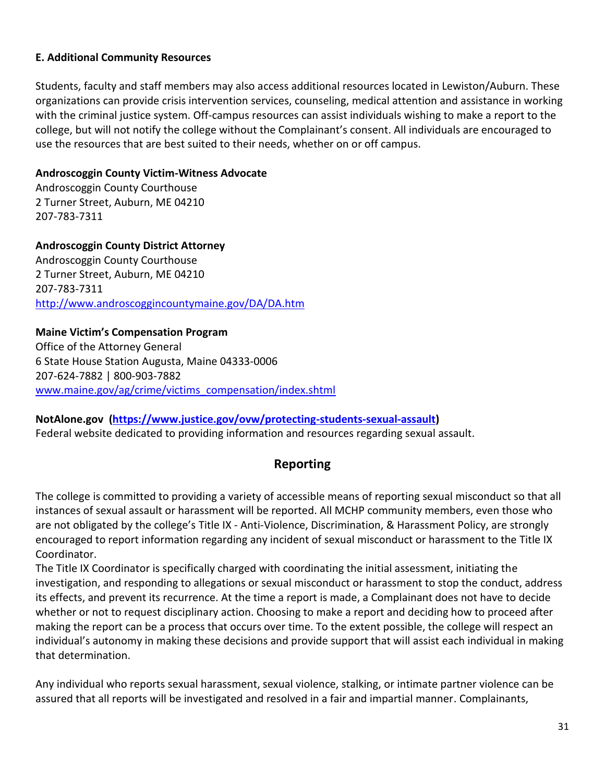# **E. Additional Community Resources**

Students, faculty and staff members may also access additional resources located in Lewiston/Auburn. These organizations can provide crisis intervention services, counseling, medical attention and assistance in working with the criminal justice system. Off-campus resources can assist individuals wishing to make a report to the college, but will not notify the college without the Complainant's consent. All individuals are encouraged to use the resources that are best suited to their needs, whether on or off campus.

#### **Androscoggin County Victim‐Witness Advocate**

Androscoggin County Courthouse 2 Turner Street, Auburn, ME 04210 207-783-7311

**Androscoggin County District Attorney** Androscoggin County Courthouse 2 Turner Street, Auburn, ME 04210 207-783-7311 <http://www.androscoggincountymaine.gov/DA/DA.htm>

#### **Maine Victim's Compensation Program**

Office of the Attorney General 6 State House Station Augusta, Maine 04333‐0006 207‐624-7882 | 800‐903-7882 [www.maine.gov/ag/crime/victims\\_compensation/index.shtml](http://www.maine.gov/ag/crime/victims_compensation/index.shtml)

**NotAlone.gov [\(https://www.justice.gov/ovw/protecting-students-sexual-assault\)](https://www.justice.gov/ovw/protecting-students-sexual-assault)**  Federal website dedicated to providing information and resources regarding sexual assault.

# **Reporting**

The college is committed to providing a variety of accessible means of reporting sexual misconduct so that all instances of sexual assault or harassment will be reported. All MCHP community members, even those who are not obligated by the college's Title IX - Anti-Violence, Discrimination, & Harassment Policy, are strongly encouraged to report information regarding any incident of sexual misconduct or harassment to the Title IX Coordinator.

The Title IX Coordinator is specifically charged with coordinating the initial assessment, initiating the investigation, and responding to allegations or sexual misconduct or harassment to stop the conduct, address its effects, and prevent its recurrence. At the time a report is made, a Complainant does not have to decide whether or not to request disciplinary action. Choosing to make a report and deciding how to proceed after making the report can be a process that occurs over time. To the extent possible, the college will respect an individual's autonomy in making these decisions and provide support that will assist each individual in making that determination.

Any individual who reports sexual harassment, sexual violence, stalking, or intimate partner violence can be assured that all reports will be investigated and resolved in a fair and impartial manner. Complainants,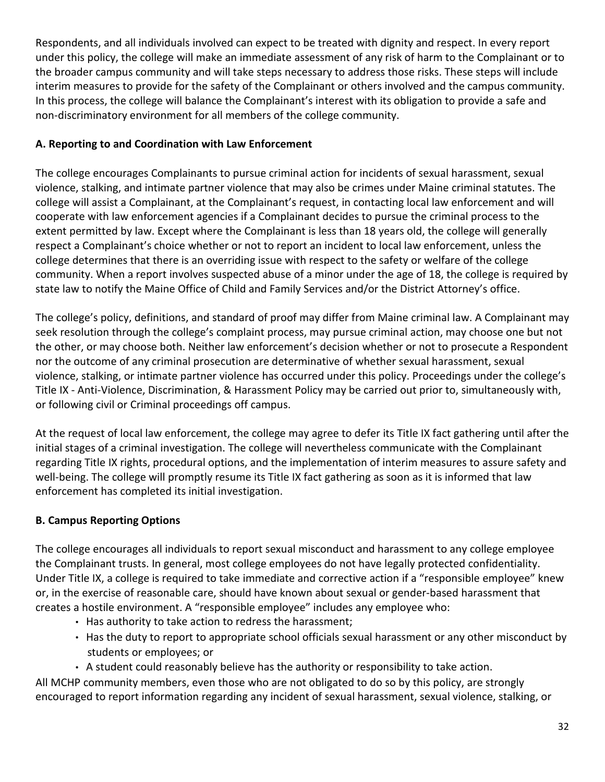Respondents, and all individuals involved can expect to be treated with dignity and respect. In every report under this policy, the college will make an immediate assessment of any risk of harm to the Complainant or to the broader campus community and will take steps necessary to address those risks. These steps will include interim measures to provide for the safety of the Complainant or others involved and the campus community. In this process, the college will balance the Complainant's interest with its obligation to provide a safe and non‐discriminatory environment for all members of the college community.

# **A. Reporting to and Coordination with Law Enforcement**

The college encourages Complainants to pursue criminal action for incidents of sexual harassment, sexual violence, stalking, and intimate partner violence that may also be crimes under Maine criminal statutes. The college will assist a Complainant, at the Complainant's request, in contacting local law enforcement and will cooperate with law enforcement agencies if a Complainant decides to pursue the criminal process to the extent permitted by law. Except where the Complainant is less than 18 years old, the college will generally respect a Complainant's choice whether or not to report an incident to local law enforcement, unless the college determines that there is an overriding issue with respect to the safety or welfare of the college community. When a report involves suspected abuse of a minor under the age of 18, the college is required by state law to notify the Maine Office of Child and Family Services and/or the District Attorney's office.

The college's policy, definitions, and standard of proof may differ from Maine criminal law. A Complainant may seek resolution through the college's complaint process, may pursue criminal action, may choose one but not the other, or may choose both. Neither law enforcement's decision whether or not to prosecute a Respondent nor the outcome of any criminal prosecution are determinative of whether sexual harassment, sexual violence, stalking, or intimate partner violence has occurred under this policy. Proceedings under the college's Title IX - Anti-Violence, Discrimination, & Harassment Policy may be carried out prior to, simultaneously with, or following civil or Criminal proceedings off campus.

At the request of local law enforcement, the college may agree to defer its Title IX fact gathering until after the initial stages of a criminal investigation. The college will nevertheless communicate with the Complainant regarding Title IX rights, procedural options, and the implementation of interim measures to assure safety and well-being. The college will promptly resume its Title IX fact gathering as soon as it is informed that law enforcement has completed its initial investigation.

# **B. Campus Reporting Options**

The college encourages all individuals to report sexual misconduct and harassment to any college employee the Complainant trusts. In general, most college employees do not have legally protected confidentiality. Under Title IX, a college is required to take immediate and corrective action if a "responsible employee" knew or, in the exercise of reasonable care, should have known about sexual or gender‐based harassment that creates a hostile environment. A "responsible employee" includes any employee who:

- Has authority to take action to redress the harassment;
- Has the duty to report to appropriate school officials sexual harassment or any other misconduct by students or employees; or
- A student could reasonably believe has the authority or responsibility to take action.

All MCHP community members, even those who are not obligated to do so by this policy, are strongly encouraged to report information regarding any incident of sexual harassment, sexual violence, stalking, or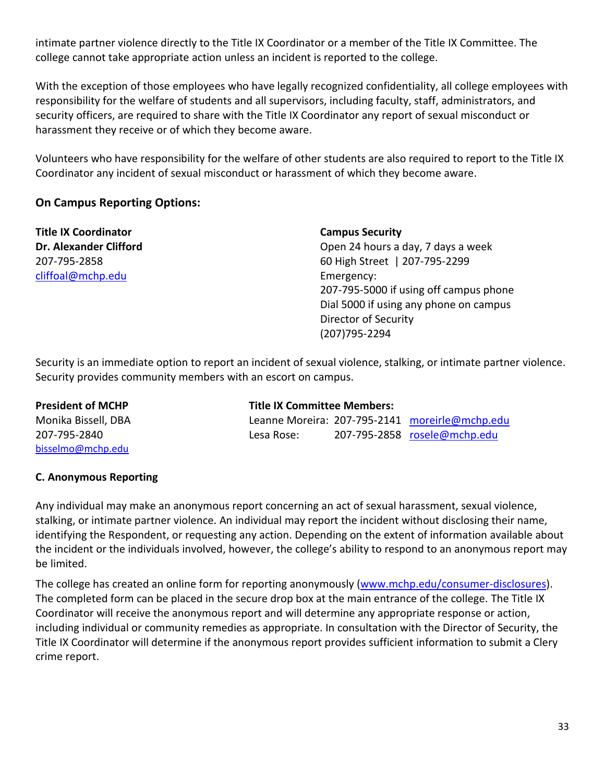intimate partner violence directly to the Title IX Coordinator or a member of the Title IX Committee. The college cannot take appropriate action unless an incident is reported to the college.

With the exception of those employees who have legally recognized confidentiality, all college employees with responsibility for the welfare of students and all supervisors, including faculty, staff, administrators, and security officers, are required to share with the Title IX Coordinator any report of sexual misconduct or harassment they receive or of which they become aware.

Volunteers who have responsibility for the welfare of other students are also required to report to the Title IX Coordinator any incident of sexual misconduct or harassment of which they become aware.

# **On Campus Reporting Options:**

**Title IX Coordinator Campus Security** [cliffoal@mchp.edu](mailto:cliffoal@mchp.edu) entry and the Emergency:

**Dr. Alexander Clifford Dr. Alexander Clifford Open 24 hours a day, 7 days a week** 207-795-2858 60 High Street | 207-795-2299 207-795-5000 if using off campus phone Dial 5000 if using any phone on campus Director of Security (207)795-2294

Security is an immediate option to report an incident of sexual violence, stalking, or intimate partner violence. Security provides community members with an escort on campus.

| <b>President of MCHP</b> | <b>Title IX Committee Members:</b> |  |                                                |
|--------------------------|------------------------------------|--|------------------------------------------------|
| Monika Bissell, DBA      |                                    |  | Leanne Moreira: 207-795-2141 moreirle@mchp.edu |
| 207-795-2840             | Lesa Rose:                         |  | 207-795-2858 rosele@mchp.edu                   |
| bisselmo@mchp.edu        |                                    |  |                                                |

#### **C. Anonymous Reporting**

Any individual may make an anonymous report concerning an act of sexual harassment, sexual violence, stalking, or intimate partner violence. An individual may report the incident without disclosing their name, identifying the Respondent, or requesting any action. Depending on the extent of information available about the incident or the individuals involved, however, the college's ability to respond to an anonymous report may be limited.

The college has created an online form for reporting anonymously [\(www.mchp.edu/consumer-disclosures\)](http://www.mchp.edu/consumer-disclosures). The completed form can be placed in the secure drop box at the main entrance of the college. The Title IX Coordinator will receive the anonymous report and will determine any appropriate response or action, including individual or community remedies as appropriate. In consultation with the Director of Security, the Title IX Coordinator will determine if the anonymous report provides sufficient information to submit a Clery crime report.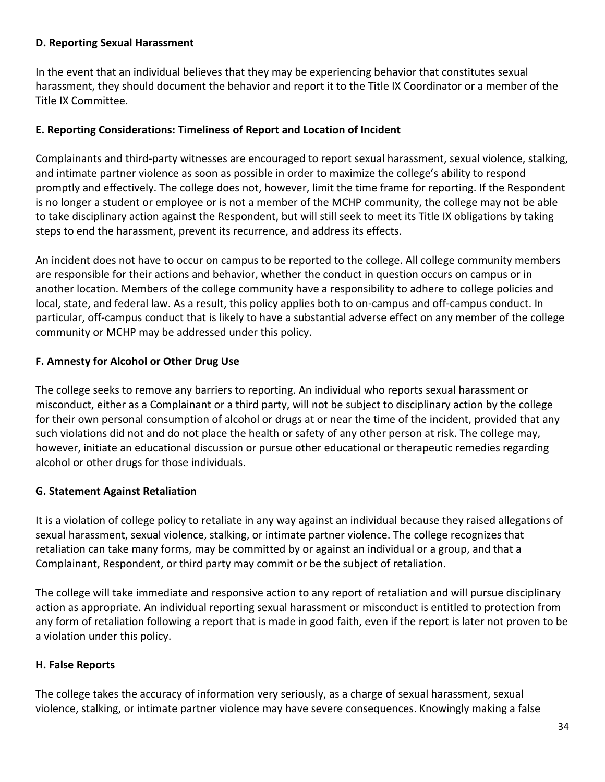#### **D. Reporting Sexual Harassment**

In the event that an individual believes that they may be experiencing behavior that constitutes sexual harassment, they should document the behavior and report it to the Title IX Coordinator or a member of the Title IX Committee.

#### **E. Reporting Considerations: Timeliness of Report and Location of Incident**

Complainants and third‐party witnesses are encouraged to report sexual harassment, sexual violence, stalking, and intimate partner violence as soon as possible in order to maximize the college's ability to respond promptly and effectively. The college does not, however, limit the time frame for reporting. If the Respondent is no longer a student or employee or is not a member of the MCHP community, the college may not be able to take disciplinary action against the Respondent, but will still seek to meet its Title IX obligations by taking steps to end the harassment, prevent its recurrence, and address its effects.

An incident does not have to occur on campus to be reported to the college. All college community members are responsible for their actions and behavior, whether the conduct in question occurs on campus or in another location. Members of the college community have a responsibility to adhere to college policies and local, state, and federal law. As a result, this policy applies both to on-campus and off-campus conduct. In particular, off‐campus conduct that is likely to have a substantial adverse effect on any member of the college community or MCHP may be addressed under this policy.

# **F. Amnesty for Alcohol or Other Drug Use**

The college seeks to remove any barriers to reporting. An individual who reports sexual harassment or misconduct, either as a Complainant or a third party, will not be subject to disciplinary action by the college for their own personal consumption of alcohol or drugs at or near the time of the incident, provided that any such violations did not and do not place the health or safety of any other person at risk. The college may, however, initiate an educational discussion or pursue other educational or therapeutic remedies regarding alcohol or other drugs for those individuals.

# **G. Statement Against Retaliation**

It is a violation of college policy to retaliate in any way against an individual because they raised allegations of sexual harassment, sexual violence, stalking, or intimate partner violence. The college recognizes that retaliation can take many forms, may be committed by or against an individual or a group, and that a Complainant, Respondent, or third party may commit or be the subject of retaliation.

The college will take immediate and responsive action to any report of retaliation and will pursue disciplinary action as appropriate. An individual reporting sexual harassment or misconduct is entitled to protection from any form of retaliation following a report that is made in good faith, even if the report is later not proven to be a violation under this policy.

# **H. False Reports**

The college takes the accuracy of information very seriously, as a charge of sexual harassment, sexual violence, stalking, or intimate partner violence may have severe consequences. Knowingly making a false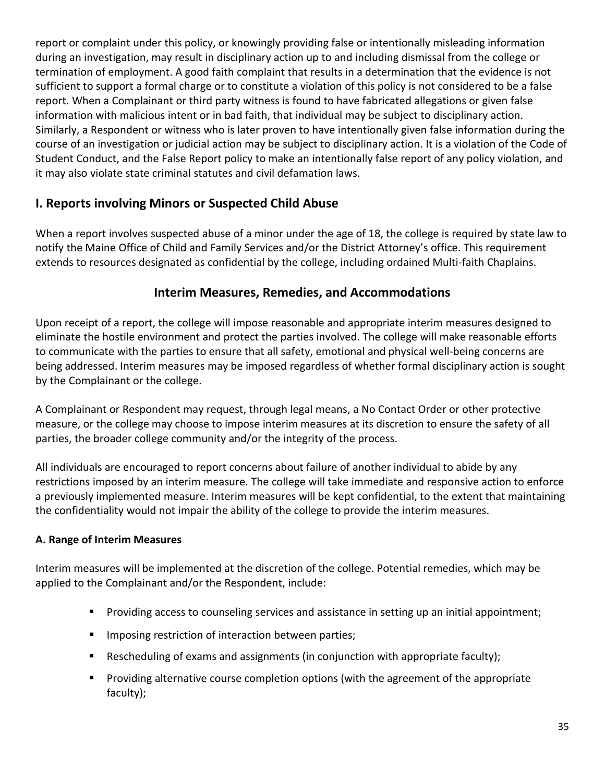report or complaint under this policy, or knowingly providing false or intentionally misleading information during an investigation, may result in disciplinary action up to and including dismissal from the college or termination of employment. A good faith complaint that results in a determination that the evidence is not sufficient to support a formal charge or to constitute a violation of this policy is not considered to be a false report. When a Complainant or third party witness is found to have fabricated allegations or given false information with malicious intent or in bad faith, that individual may be subject to disciplinary action. Similarly, a Respondent or witness who is later proven to have intentionally given false information during the course of an investigation or judicial action may be subject to disciplinary action. It is a violation of the Code of Student Conduct, and the False Report policy to make an intentionally false report of any policy violation, and it may also violate state criminal statutes and civil defamation laws.

# **I. Reports involving Minors or Suspected Child Abuse**

When a report involves suspected abuse of a minor under the age of 18, the college is required by state law to notify the Maine Office of Child and Family Services and/or the District Attorney's office. This requirement extends to resources designated as confidential by the college, including ordained Multi-faith Chaplains.

# **Interim Measures, Remedies, and Accommodations**

Upon receipt of a report, the college will impose reasonable and appropriate interim measures designed to eliminate the hostile environment and protect the parties involved. The college will make reasonable efforts to communicate with the parties to ensure that all safety, emotional and physical well‐being concerns are being addressed. Interim measures may be imposed regardless of whether formal disciplinary action is sought by the Complainant or the college.

A Complainant or Respondent may request, through legal means, a No Contact Order or other protective measure, or the college may choose to impose interim measures at its discretion to ensure the safety of all parties, the broader college community and/or the integrity of the process.

All individuals are encouraged to report concerns about failure of another individual to abide by any restrictions imposed by an interim measure. The college will take immediate and responsive action to enforce a previously implemented measure. Interim measures will be kept confidential, to the extent that maintaining the confidentiality would not impair the ability of the college to provide the interim measures.

# **A. Range of Interim Measures**

Interim measures will be implemented at the discretion of the college. Potential remedies, which may be applied to the Complainant and/or the Respondent, include:

- Providing access to counseling services and assistance in setting up an initial appointment;
- **■** Imposing restriction of interaction between parties;
- Rescheduling of exams and assignments (in conjunction with appropriate faculty);
- Providing alternative course completion options (with the agreement of the appropriate faculty);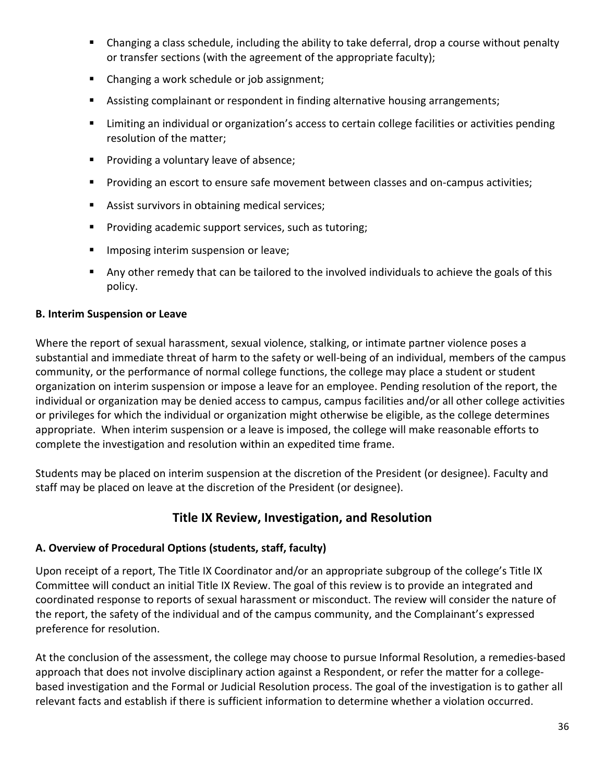- Changing a class schedule, including the ability to take deferral, drop a course without penalty or transfer sections (with the agreement of the appropriate faculty);
- Changing a work schedule or job assignment;
- Assisting complainant or respondent in finding alternative housing arrangements;
- Limiting an individual or organization's access to certain college facilities or activities pending resolution of the matter;
- Providing a voluntary leave of absence;
- Providing an escort to ensure safe movement between classes and on-campus activities;
- Assist survivors in obtaining medical services;
- Providing academic support services, such as tutoring;
- **■** Imposing interim suspension or leave;
- Any other remedy that can be tailored to the involved individuals to achieve the goals of this policy.

# **B. Interim Suspension or Leave**

Where the report of sexual harassment, sexual violence, stalking, or intimate partner violence poses a substantial and immediate threat of harm to the safety or well-being of an individual, members of the campus community, or the performance of normal college functions, the college may place a student or student organization on interim suspension or impose a leave for an employee. Pending resolution of the report, the individual or organization may be denied access to campus, campus facilities and/or all other college activities or privileges for which the individual or organization might otherwise be eligible, as the college determines appropriate. When interim suspension or a leave is imposed, the college will make reasonable efforts to complete the investigation and resolution within an expedited time frame.

Students may be placed on interim suspension at the discretion of the President (or designee). Faculty and staff may be placed on leave at the discretion of the President (or designee).

# **Title IX Review, Investigation, and Resolution**

# **A. Overview of Procedural Options (students, staff, faculty)**

Upon receipt of a report, The Title IX Coordinator and/or an appropriate subgroup of the college's Title IX Committee will conduct an initial Title IX Review. The goal of this review is to provide an integrated and coordinated response to reports of sexual harassment or misconduct. The review will consider the nature of the report, the safety of the individual and of the campus community, and the Complainant's expressed preference for resolution.

At the conclusion of the assessment, the college may choose to pursue Informal Resolution, a remedies‐based approach that does not involve disciplinary action against a Respondent, or refer the matter for a collegebased investigation and the Formal or Judicial Resolution process. The goal of the investigation is to gather all relevant facts and establish if there is sufficient information to determine whether a violation occurred.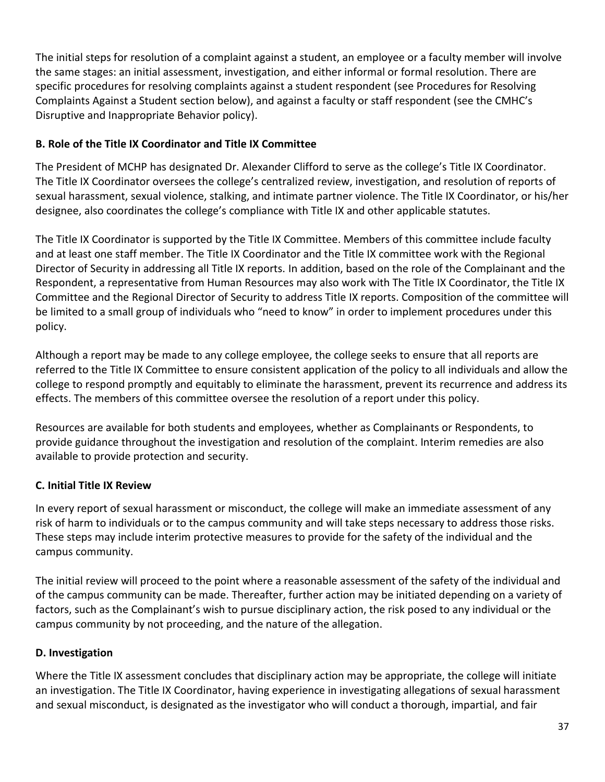The initial steps for resolution of a complaint against a student, an employee or a faculty member will involve the same stages: an initial assessment, investigation, and either informal or formal resolution. There are specific procedures for resolving complaints against a student respondent (see Procedures for Resolving Complaints Against a Student section below), and against a faculty or staff respondent (see the CMHC's Disruptive and Inappropriate Behavior policy).

# **B. Role of the Title IX Coordinator and Title IX Committee**

The President of MCHP has designated Dr. Alexander Clifford to serve as the college's Title IX Coordinator. The Title IX Coordinator oversees the college's centralized review, investigation, and resolution of reports of sexual harassment, sexual violence, stalking, and intimate partner violence. The Title IX Coordinator, or his/her designee, also coordinates the college's compliance with Title IX and other applicable statutes.

The Title IX Coordinator is supported by the Title IX Committee. Members of this committee include faculty and at least one staff member. The Title IX Coordinator and the Title IX committee work with the Regional Director of Security in addressing all Title IX reports. In addition, based on the role of the Complainant and the Respondent, a representative from Human Resources may also work with The Title IX Coordinator, the Title IX Committee and the Regional Director of Security to address Title IX reports. Composition of the committee will be limited to a small group of individuals who "need to know" in order to implement procedures under this policy.

Although a report may be made to any college employee, the college seeks to ensure that all reports are referred to the Title IX Committee to ensure consistent application of the policy to all individuals and allow the college to respond promptly and equitably to eliminate the harassment, prevent its recurrence and address its effects. The members of this committee oversee the resolution of a report under this policy.

Resources are available for both students and employees, whether as Complainants or Respondents, to provide guidance throughout the investigation and resolution of the complaint. Interim remedies are also available to provide protection and security.

# **C. Initial Title IX Review**

In every report of sexual harassment or misconduct, the college will make an immediate assessment of any risk of harm to individuals or to the campus community and will take steps necessary to address those risks. These steps may include interim protective measures to provide for the safety of the individual and the campus community.

The initial review will proceed to the point where a reasonable assessment of the safety of the individual and of the campus community can be made. Thereafter, further action may be initiated depending on a variety of factors, such as the Complainant's wish to pursue disciplinary action, the risk posed to any individual or the campus community by not proceeding, and the nature of the allegation.

# **D. Investigation**

Where the Title IX assessment concludes that disciplinary action may be appropriate, the college will initiate an investigation. The Title IX Coordinator, having experience in investigating allegations of sexual harassment and sexual misconduct, is designated as the investigator who will conduct a thorough, impartial, and fair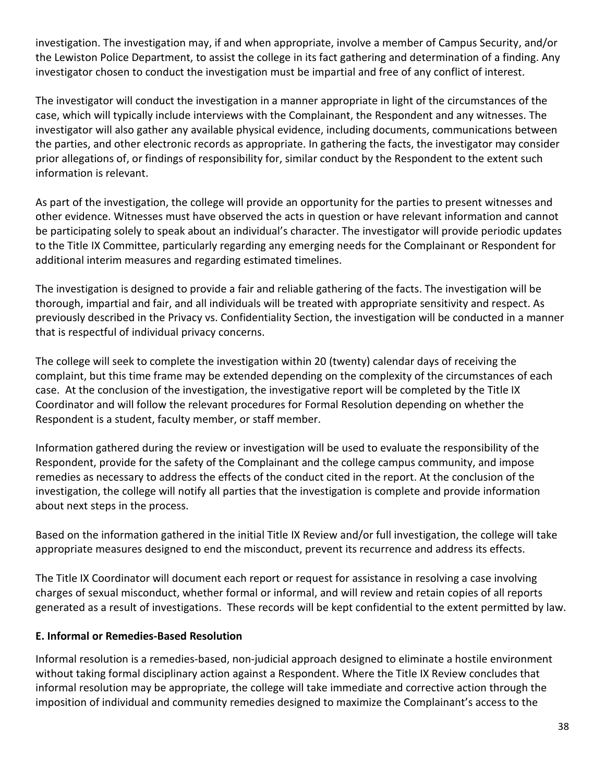investigation. The investigation may, if and when appropriate, involve a member of Campus Security, and/or the Lewiston Police Department, to assist the college in its fact gathering and determination of a finding. Any investigator chosen to conduct the investigation must be impartial and free of any conflict of interest.

The investigator will conduct the investigation in a manner appropriate in light of the circumstances of the case, which will typically include interviews with the Complainant, the Respondent and any witnesses. The investigator will also gather any available physical evidence, including documents, communications between the parties, and other electronic records as appropriate. In gathering the facts, the investigator may consider prior allegations of, or findings of responsibility for, similar conduct by the Respondent to the extent such information is relevant.

As part of the investigation, the college will provide an opportunity for the parties to present witnesses and other evidence. Witnesses must have observed the acts in question or have relevant information and cannot be participating solely to speak about an individual's character. The investigator will provide periodic updates to the Title IX Committee, particularly regarding any emerging needs for the Complainant or Respondent for additional interim measures and regarding estimated timelines.

The investigation is designed to provide a fair and reliable gathering of the facts. The investigation will be thorough, impartial and fair, and all individuals will be treated with appropriate sensitivity and respect. As previously described in the Privacy vs. Confidentiality Section, the investigation will be conducted in a manner that is respectful of individual privacy concerns.

The college will seek to complete the investigation within 20 (twenty) calendar days of receiving the complaint, but this time frame may be extended depending on the complexity of the circumstances of each case. At the conclusion of the investigation, the investigative report will be completed by the Title IX Coordinator and will follow the relevant procedures for Formal Resolution depending on whether the Respondent is a student, faculty member, or staff member.

Information gathered during the review or investigation will be used to evaluate the responsibility of the Respondent, provide for the safety of the Complainant and the college campus community, and impose remedies as necessary to address the effects of the conduct cited in the report. At the conclusion of the investigation, the college will notify all parties that the investigation is complete and provide information about next steps in the process.

Based on the information gathered in the initial Title IX Review and/or full investigation, the college will take appropriate measures designed to end the misconduct, prevent its recurrence and address its effects.

The Title IX Coordinator will document each report or request for assistance in resolving a case involving charges of sexual misconduct, whether formal or informal, and will review and retain copies of all reports generated as a result of investigations. These records will be kept confidential to the extent permitted by law.

# **E. Informal or Remedies-Based Resolution**

Informal resolution is a remedies‐based, non‐judicial approach designed to eliminate a hostile environment without taking formal disciplinary action against a Respondent. Where the Title IX Review concludes that informal resolution may be appropriate, the college will take immediate and corrective action through the imposition of individual and community remedies designed to maximize the Complainant's access to the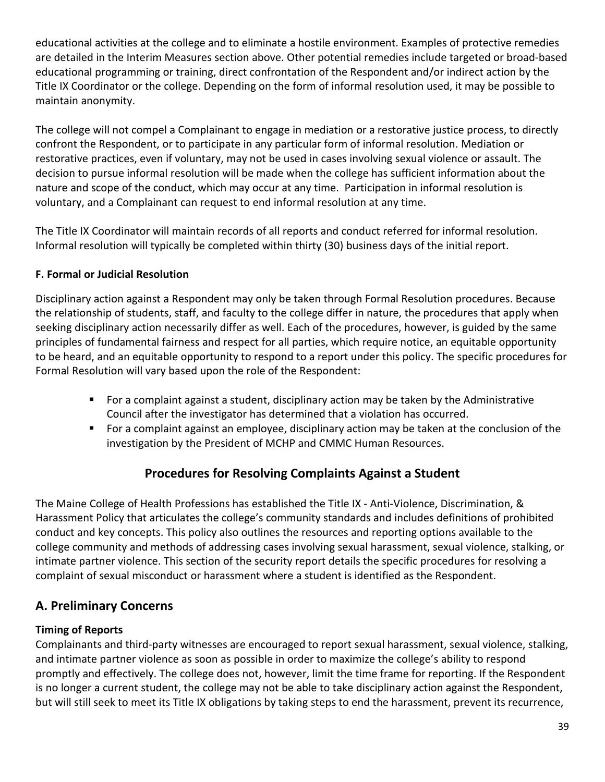educational activities at the college and to eliminate a hostile environment. Examples of protective remedies are detailed in the Interim Measures section above. Other potential remedies include targeted or broad‐based educational programming or training, direct confrontation of the Respondent and/or indirect action by the Title IX Coordinator or the college. Depending on the form of informal resolution used, it may be possible to maintain anonymity.

The college will not compel a Complainant to engage in mediation or a restorative justice process, to directly confront the Respondent, or to participate in any particular form of informal resolution. Mediation or restorative practices, even if voluntary, may not be used in cases involving sexual violence or assault. The decision to pursue informal resolution will be made when the college has sufficient information about the nature and scope of the conduct, which may occur at any time. Participation in informal resolution is voluntary, and a Complainant can request to end informal resolution at any time.

The Title IX Coordinator will maintain records of all reports and conduct referred for informal resolution. Informal resolution will typically be completed within thirty (30) business days of the initial report.

# **F. Formal or Judicial Resolution**

Disciplinary action against a Respondent may only be taken through Formal Resolution procedures. Because the relationship of students, staff, and faculty to the college differ in nature, the procedures that apply when seeking disciplinary action necessarily differ as well. Each of the procedures, however, is guided by the same principles of fundamental fairness and respect for all parties, which require notice, an equitable opportunity to be heard, and an equitable opportunity to respond to a report under this policy. The specific procedures for Formal Resolution will vary based upon the role of the Respondent:

- For a complaint against a student, disciplinary action may be taken by the Administrative Council after the investigator has determined that a violation has occurred.
- For a complaint against an employee, disciplinary action may be taken at the conclusion of the investigation by the President of MCHP and CMMC Human Resources.

# **Procedures for Resolving Complaints Against a Student**

The Maine College of Health Professions has established the Title IX - Anti-Violence, Discrimination, & Harassment Policy that articulates the college's community standards and includes definitions of prohibited conduct and key concepts. This policy also outlines the resources and reporting options available to the college community and methods of addressing cases involving sexual harassment, sexual violence, stalking, or intimate partner violence. This section of the security report details the specific procedures for resolving a complaint of sexual misconduct or harassment where a student is identified as the Respondent.

# **A. Preliminary Concerns**

# **Timing of Reports**

Complainants and third-party witnesses are encouraged to report sexual harassment, sexual violence, stalking, and intimate partner violence as soon as possible in order to maximize the college's ability to respond promptly and effectively. The college does not, however, limit the time frame for reporting. If the Respondent is no longer a current student, the college may not be able to take disciplinary action against the Respondent, but will still seek to meet its Title IX obligations by taking steps to end the harassment, prevent its recurrence,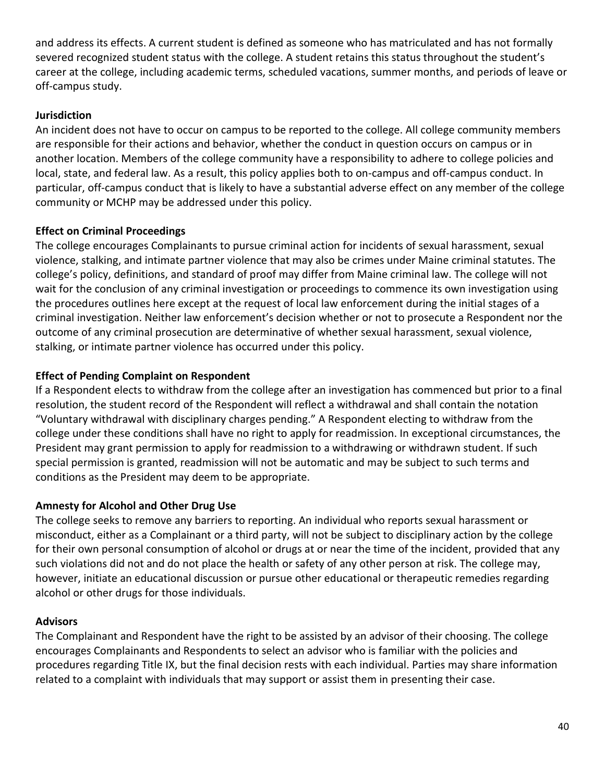and address its effects. A current student is defined as someone who has matriculated and has not formally severed recognized student status with the college. A student retains this status throughout the student's career at the college, including academic terms, scheduled vacations, summer months, and periods of leave or off-campus study.

# **Jurisdiction**

An incident does not have to occur on campus to be reported to the college. All college community members are responsible for their actions and behavior, whether the conduct in question occurs on campus or in another location. Members of the college community have a responsibility to adhere to college policies and local, state, and federal law. As a result, this policy applies both to on-campus and off-campus conduct. In particular, off-campus conduct that is likely to have a substantial adverse effect on any member of the college community or MCHP may be addressed under this policy.

# **Effect on Criminal Proceedings**

The college encourages Complainants to pursue criminal action for incidents of sexual harassment, sexual violence, stalking, and intimate partner violence that may also be crimes under Maine criminal statutes. The college's policy, definitions, and standard of proof may differ from Maine criminal law. The college will not wait for the conclusion of any criminal investigation or proceedings to commence its own investigation using the procedures outlines here except at the request of local law enforcement during the initial stages of a criminal investigation. Neither law enforcement's decision whether or not to prosecute a Respondent nor the outcome of any criminal prosecution are determinative of whether sexual harassment, sexual violence, stalking, or intimate partner violence has occurred under this policy.

# **Effect of Pending Complaint on Respondent**

If a Respondent elects to withdraw from the college after an investigation has commenced but prior to a final resolution, the student record of the Respondent will reflect a withdrawal and shall contain the notation "Voluntary withdrawal with disciplinary charges pending." A Respondent electing to withdraw from the college under these conditions shall have no right to apply for readmission. In exceptional circumstances, the President may grant permission to apply for readmission to a withdrawing or withdrawn student. If such special permission is granted, readmission will not be automatic and may be subject to such terms and conditions as the President may deem to be appropriate.

# **Amnesty for Alcohol and Other Drug Use**

The college seeks to remove any barriers to reporting. An individual who reports sexual harassment or misconduct, either as a Complainant or a third party, will not be subject to disciplinary action by the college for their own personal consumption of alcohol or drugs at or near the time of the incident, provided that any such violations did not and do not place the health or safety of any other person at risk. The college may, however, initiate an educational discussion or pursue other educational or therapeutic remedies regarding alcohol or other drugs for those individuals.

# **Advisors**

The Complainant and Respondent have the right to be assisted by an advisor of their choosing. The college encourages Complainants and Respondents to select an advisor who is familiar with the policies and procedures regarding Title IX, but the final decision rests with each individual. Parties may share information related to a complaint with individuals that may support or assist them in presenting their case.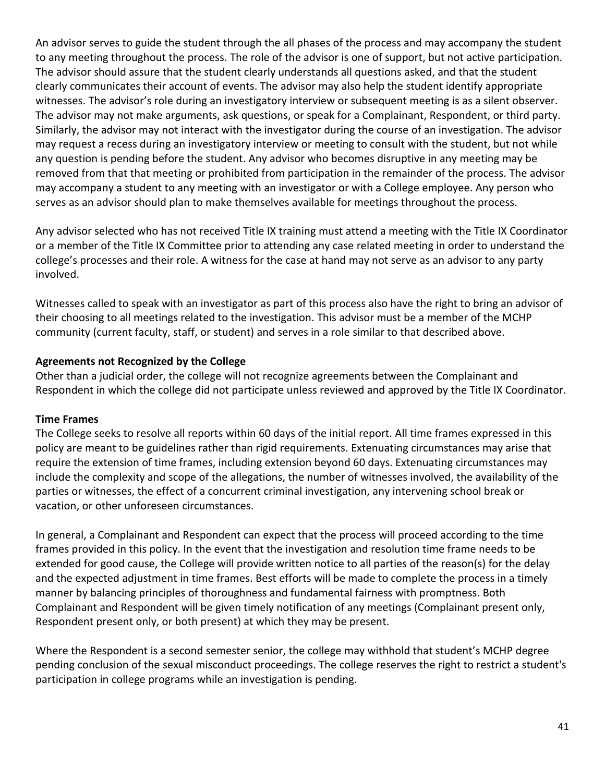An advisor serves to guide the student through the all phases of the process and may accompany the student to any meeting throughout the process. The role of the advisor is one of support, but not active participation. The advisor should assure that the student clearly understands all questions asked, and that the student clearly communicates their account of events. The advisor may also help the student identify appropriate witnesses. The advisor's role during an investigatory interview or subsequent meeting is as a silent observer. The advisor may not make arguments, ask questions, or speak for a Complainant, Respondent, or third party. Similarly, the advisor may not interact with the investigator during the course of an investigation. The advisor may request a recess during an investigatory interview or meeting to consult with the student, but not while any question is pending before the student. Any advisor who becomes disruptive in any meeting may be removed from that that meeting or prohibited from participation in the remainder of the process. The advisor may accompany a student to any meeting with an investigator or with a College employee. Any person who serves as an advisor should plan to make themselves available for meetings throughout the process.

Any advisor selected who has not received Title IX training must attend a meeting with the Title IX Coordinator or a member of the Title IX Committee prior to attending any case related meeting in order to understand the college's processes and their role. A witness for the case at hand may not serve as an advisor to any party involved.

Witnesses called to speak with an investigator as part of this process also have the right to bring an advisor of their choosing to all meetings related to the investigation. This advisor must be a member of the MCHP community (current faculty, staff, or student) and serves in a role similar to that described above.

# **Agreements not Recognized by the College**

Other than a judicial order, the college will not recognize agreements between the Complainant and Respondent in which the college did not participate unless reviewed and approved by the Title IX Coordinator.

# **Time Frames**

The College seeks to resolve all reports within 60 days of the initial report. All time frames expressed in this policy are meant to be guidelines rather than rigid requirements. Extenuating circumstances may arise that require the extension of time frames, including extension beyond 60 days. Extenuating circumstances may include the complexity and scope of the allegations, the number of witnesses involved, the availability of the parties or witnesses, the effect of a concurrent criminal investigation, any intervening school break or vacation, or other unforeseen circumstances.

In general, a Complainant and Respondent can expect that the process will proceed according to the time frames provided in this policy. In the event that the investigation and resolution time frame needs to be extended for good cause, the College will provide written notice to all parties of the reason(s) for the delay and the expected adjustment in time frames. Best efforts will be made to complete the process in a timely manner by balancing principles of thoroughness and fundamental fairness with promptness. Both Complainant and Respondent will be given timely notification of any meetings (Complainant present only, Respondent present only, or both present) at which they may be present.

Where the Respondent is a second semester senior, the college may withhold that student's MCHP degree pending conclusion of the sexual misconduct proceedings. The college reserves the right to restrict a student's participation in college programs while an investigation is pending.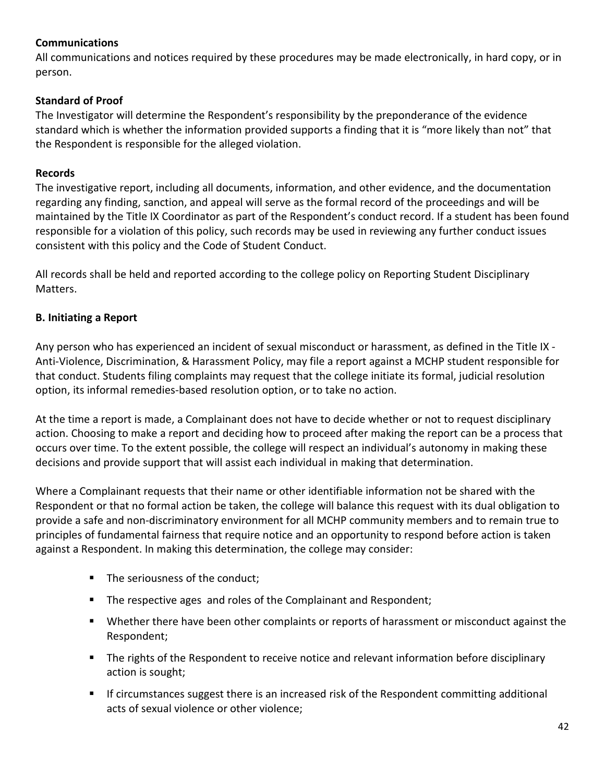# **Communications**

All communications and notices required by these procedures may be made electronically, in hard copy, or in person.

# **Standard of Proof**

The Investigator will determine the Respondent's responsibility by the preponderance of the evidence standard which is whether the information provided supports a finding that it is "more likely than not" that the Respondent is responsible for the alleged violation.

# **Records**

The investigative report, including all documents, information, and other evidence, and the documentation regarding any finding, sanction, and appeal will serve as the formal record of the proceedings and will be maintained by the Title IX Coordinator as part of the Respondent's conduct record. If a student has been found responsible for a violation of this policy, such records may be used in reviewing any further conduct issues consistent with this policy and the Code of Student Conduct.

All records shall be held and reported according to the college policy on Reporting Student Disciplinary Matters.

# **B. Initiating a Report**

Any person who has experienced an incident of sexual misconduct or harassment, as defined in the Title IX - Anti-Violence, Discrimination, & Harassment Policy, may file a report against a MCHP student responsible for that conduct. Students filing complaints may request that the college initiate its formal, judicial resolution option, its informal remedies-based resolution option, or to take no action.

At the time a report is made, a Complainant does not have to decide whether or not to request disciplinary action. Choosing to make a report and deciding how to proceed after making the report can be a process that occurs over time. To the extent possible, the college will respect an individual's autonomy in making these decisions and provide support that will assist each individual in making that determination.

Where a Complainant requests that their name or other identifiable information not be shared with the Respondent or that no formal action be taken, the college will balance this request with its dual obligation to provide a safe and non-discriminatory environment for all MCHP community members and to remain true to principles of fundamental fairness that require notice and an opportunity to respond before action is taken against a Respondent. In making this determination, the college may consider:

- The seriousness of the conduct;
- The respective ages and roles of the Complainant and Respondent;
- Whether there have been other complaints or reports of harassment or misconduct against the Respondent;
- **•** The rights of the Respondent to receive notice and relevant information before disciplinary action is sought;
- **■** If circumstances suggest there is an increased risk of the Respondent committing additional acts of sexual violence or other violence;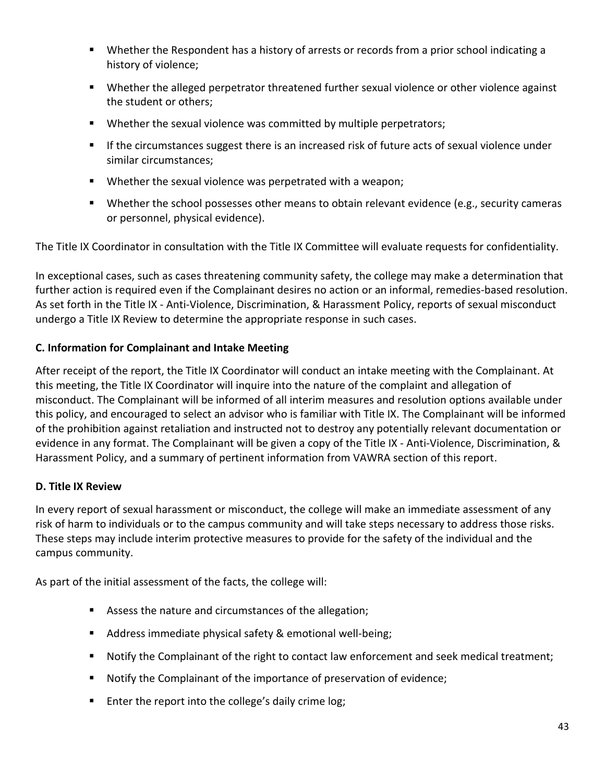- **■** Whether the Respondent has a history of arrests or records from a prior school indicating a history of violence;
- Whether the alleged perpetrator threatened further sexual violence or other violence against the student or others;
- Whether the sexual violence was committed by multiple perpetrators;
- If the circumstances suggest there is an increased risk of future acts of sexual violence under similar circumstances;
- Whether the sexual violence was perpetrated with a weapon;
- Whether the school possesses other means to obtain relevant evidence (e.g., security cameras or personnel, physical evidence).

The Title IX Coordinator in consultation with the Title IX Committee will evaluate requests for confidentiality.

In exceptional cases, such as cases threatening community safety, the college may make a determination that further action is required even if the Complainant desires no action or an informal, remedies-based resolution. As set forth in the Title IX - Anti-Violence, Discrimination, & Harassment Policy, reports of sexual misconduct undergo a Title IX Review to determine the appropriate response in such cases.

# **C. Information for Complainant and Intake Meeting**

After receipt of the report, the Title IX Coordinator will conduct an intake meeting with the Complainant. At this meeting, the Title IX Coordinator will inquire into the nature of the complaint and allegation of misconduct. The Complainant will be informed of all interim measures and resolution options available under this policy, and encouraged to select an advisor who is familiar with Title IX. The Complainant will be informed of the prohibition against retaliation and instructed not to destroy any potentially relevant documentation or evidence in any format. The Complainant will be given a copy of the Title IX - Anti-Violence, Discrimination, & Harassment Policy, and a summary of pertinent information from VAWRA section of this report.

# **D. Title IX Review**

In every report of sexual harassment or misconduct, the college will make an immediate assessment of any risk of harm to individuals or to the campus community and will take steps necessary to address those risks. These steps may include interim protective measures to provide for the safety of the individual and the campus community.

As part of the initial assessment of the facts, the college will:

- Assess the nature and circumstances of the allegation;
- Address immediate physical safety & emotional well-being;
- Notify the Complainant of the right to contact law enforcement and seek medical treatment;
- Notify the Complainant of the importance of preservation of evidence;
- Enter the report into the college's daily crime log;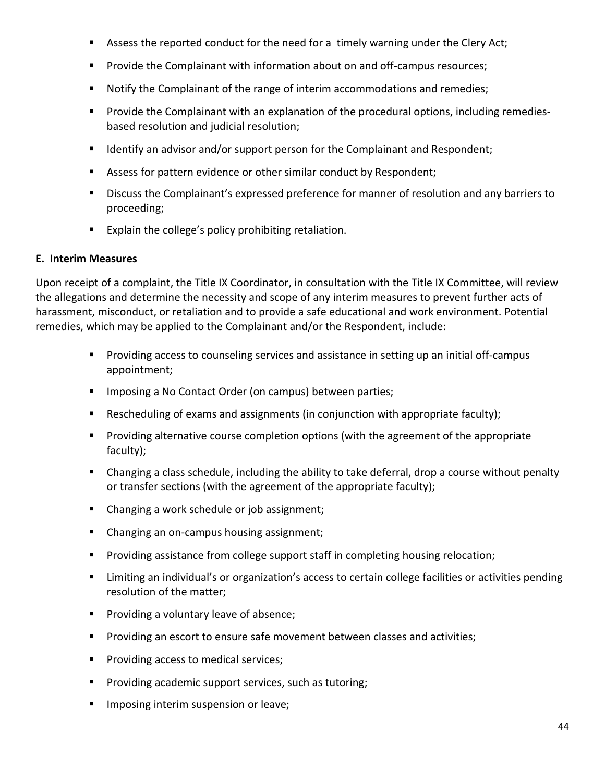- Assess the reported conduct for the need for a timely warning under the Clery Act;
- **•** Provide the Complainant with information about on and off-campus resources;
- Notify the Complainant of the range of interim accommodations and remedies;
- Provide the Complainant with an explanation of the procedural options, including remedies based resolution and judicial resolution;
- Identify an advisor and/or support person for the Complainant and Respondent;
- Assess for pattern evidence or other similar conduct by Respondent;
- Discuss the Complainant's expressed preference for manner of resolution and any barriers to proceeding;
- Explain the college's policy prohibiting retaliation.

#### **E. Interim Measures**

Upon receipt of a complaint, the Title IX Coordinator, in consultation with the Title IX Committee, will review the allegations and determine the necessity and scope of any interim measures to prevent further acts of harassment, misconduct, or retaliation and to provide a safe educational and work environment. Potential remedies, which may be applied to the Complainant and/or the Respondent, include:

- Providing access to counseling services and assistance in setting up an initial off-campus appointment;
- Imposing a No Contact Order (on campus) between parties;
- Rescheduling of exams and assignments (in conjunction with appropriate faculty);
- Providing alternative course completion options (with the agreement of the appropriate faculty);
- Changing a class schedule, including the ability to take deferral, drop a course without penalty or transfer sections (with the agreement of the appropriate faculty);
- Changing a work schedule or job assignment;
- Changing an on-campus housing assignment;
- Providing assistance from college support staff in completing housing relocation;
- Limiting an individual's or organization's access to certain college facilities or activities pending resolution of the matter;
- Providing a voluntary leave of absence;
- Providing an escort to ensure safe movement between classes and activities;
- Providing access to medical services;
- Providing academic support services, such as tutoring;
- **■** Imposing interim suspension or leave;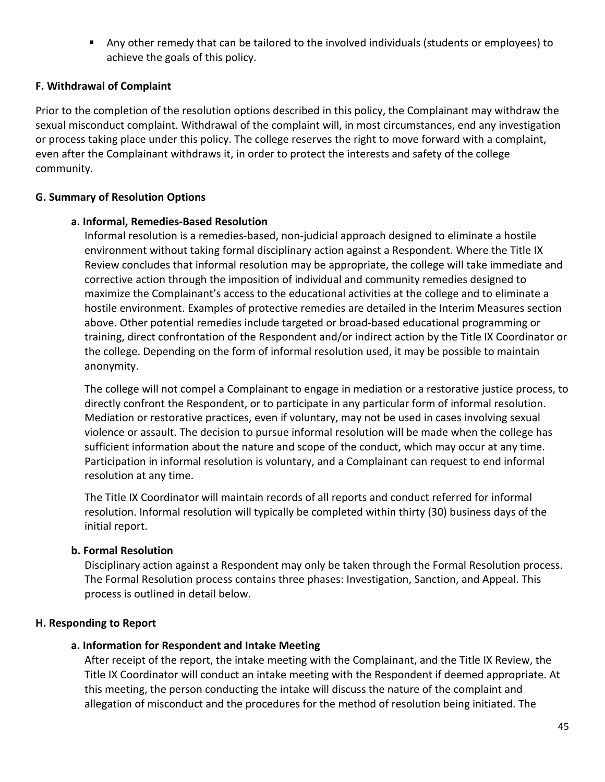■ Any other remedy that can be tailored to the involved individuals (students or employees) to achieve the goals of this policy.

# **F. Withdrawal of Complaint**

Prior to the completion of the resolution options described in this policy, the Complainant may withdraw the sexual misconduct complaint. Withdrawal of the complaint will, in most circumstances, end any investigation or process taking place under this policy. The college reserves the right to move forward with a complaint, even after the Complainant withdraws it, in order to protect the interests and safety of the college community.

# **G. Summary of Resolution Options**

# **a. Informal, Remedies‐Based Resolution**

Informal resolution is a remedies‐based, non‐judicial approach designed to eliminate a hostile environment without taking formal disciplinary action against a Respondent. Where the Title IX Review concludes that informal resolution may be appropriate, the college will take immediate and corrective action through the imposition of individual and community remedies designed to maximize the Complainant's access to the educational activities at the college and to eliminate a hostile environment. Examples of protective remedies are detailed in the Interim Measures section above. Other potential remedies include targeted or broad-based educational programming or training, direct confrontation of the Respondent and/or indirect action by the Title IX Coordinator or the college. Depending on the form of informal resolution used, it may be possible to maintain anonymity.

The college will not compel a Complainant to engage in mediation or a restorative justice process, to directly confront the Respondent, or to participate in any particular form of informal resolution. Mediation or restorative practices, even if voluntary, may not be used in cases involving sexual violence or assault. The decision to pursue informal resolution will be made when the college has sufficient information about the nature and scope of the conduct, which may occur at any time. Participation in informal resolution is voluntary, and a Complainant can request to end informal resolution at any time.

The Title IX Coordinator will maintain records of all reports and conduct referred for informal resolution. Informal resolution will typically be completed within thirty (30) business days of the initial report.

# **b. Formal Resolution**

Disciplinary action against a Respondent may only be taken through the Formal Resolution process. The Formal Resolution process contains three phases: Investigation, Sanction, and Appeal. This process is outlined in detail below.

# **H. Responding to Report**

# **a. Information for Respondent and Intake Meeting**

After receipt of the report, the intake meeting with the Complainant, and the Title IX Review, the Title IX Coordinator will conduct an intake meeting with the Respondent if deemed appropriate. At this meeting, the person conducting the intake will discuss the nature of the complaint and allegation of misconduct and the procedures for the method of resolution being initiated. The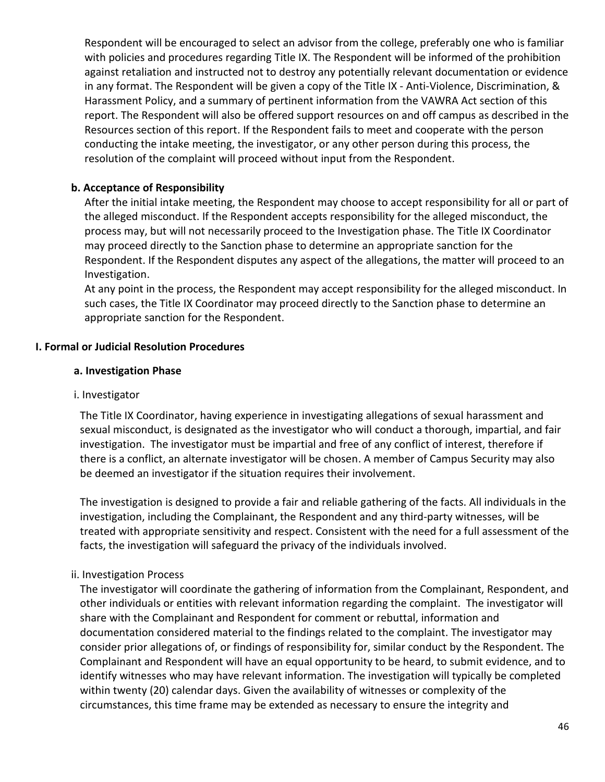Respondent will be encouraged to select an advisor from the college, preferably one who is familiar with policies and procedures regarding Title IX. The Respondent will be informed of the prohibition against retaliation and instructed not to destroy any potentially relevant documentation or evidence in any format. The Respondent will be given a copy of the Title IX - Anti-Violence, Discrimination, & Harassment Policy, and a summary of pertinent information from the VAWRA Act section of this report. The Respondent will also be offered support resources on and off campus as described in the Resources section of this report. If the Respondent fails to meet and cooperate with the person conducting the intake meeting, the investigator, or any other person during this process, the resolution of the complaint will proceed without input from the Respondent.

# **b. Acceptance of Responsibility**

After the initial intake meeting, the Respondent may choose to accept responsibility for all or part of the alleged misconduct. If the Respondent accepts responsibility for the alleged misconduct, the process may, but will not necessarily proceed to the Investigation phase. The Title IX Coordinator may proceed directly to the Sanction phase to determine an appropriate sanction for the Respondent. If the Respondent disputes any aspect of the allegations, the matter will proceed to an Investigation.

At any point in the process, the Respondent may accept responsibility for the alleged misconduct. In such cases, the Title IX Coordinator may proceed directly to the Sanction phase to determine an appropriate sanction for the Respondent.

# **I. Formal or Judicial Resolution Procedures**

#### **a. Investigation Phase**

#### i. Investigator

The Title IX Coordinator, having experience in investigating allegations of sexual harassment and sexual misconduct, is designated as the investigator who will conduct a thorough, impartial, and fair investigation. The investigator must be impartial and free of any conflict of interest, therefore if there is a conflict, an alternate investigator will be chosen. A member of Campus Security may also be deemed an investigator if the situation requires their involvement.

The investigation is designed to provide a fair and reliable gathering of the facts. All individuals in the investigation, including the Complainant, the Respondent and any third-party witnesses, will be treated with appropriate sensitivity and respect. Consistent with the need for a full assessment of the facts, the investigation will safeguard the privacy of the individuals involved.

# ii. Investigation Process

The investigator will coordinate the gathering of information from the Complainant, Respondent, and other individuals or entities with relevant information regarding the complaint. The investigator will share with the Complainant and Respondent for comment or rebuttal, information and documentation considered material to the findings related to the complaint. The investigator may consider prior allegations of, or findings of responsibility for, similar conduct by the Respondent. The Complainant and Respondent will have an equal opportunity to be heard, to submit evidence, and to identify witnesses who may have relevant information. The investigation will typically be completed within twenty (20) calendar days. Given the availability of witnesses or complexity of the circumstances, this time frame may be extended as necessary to ensure the integrity and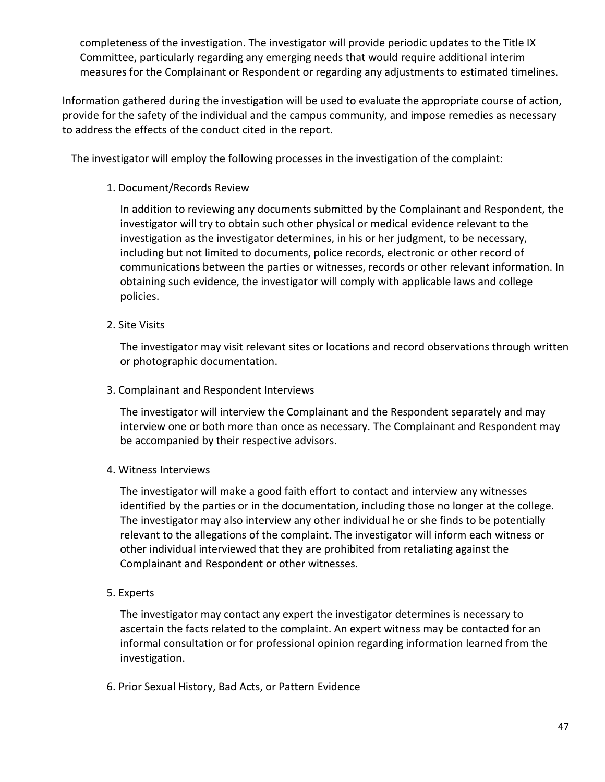completeness of the investigation. The investigator will provide periodic updates to the Title IX Committee, particularly regarding any emerging needs that would require additional interim measures for the Complainant or Respondent or regarding any adjustments to estimated timelines.

Information gathered during the investigation will be used to evaluate the appropriate course of action, provide for the safety of the individual and the campus community, and impose remedies as necessary to address the effects of the conduct cited in the report.

The investigator will employ the following processes in the investigation of the complaint:

#### 1. Document/Records Review

In addition to reviewing any documents submitted by the Complainant and Respondent, the investigator will try to obtain such other physical or medical evidence relevant to the investigation as the investigator determines, in his or her judgment, to be necessary, including but not limited to documents, police records, electronic or other record of communications between the parties or witnesses, records or other relevant information. In obtaining such evidence, the investigator will comply with applicable laws and college policies.

2. Site Visits

The investigator may visit relevant sites or locations and record observations through written or photographic documentation.

3. Complainant and Respondent Interviews

The investigator will interview the Complainant and the Respondent separately and may interview one or both more than once as necessary. The Complainant and Respondent may be accompanied by their respective advisors.

#### 4. Witness Interviews

The investigator will make a good faith effort to contact and interview any witnesses identified by the parties or in the documentation, including those no longer at the college. The investigator may also interview any other individual he or she finds to be potentially relevant to the allegations of the complaint. The investigator will inform each witness or other individual interviewed that they are prohibited from retaliating against the Complainant and Respondent or other witnesses.

#### 5. Experts

The investigator may contact any expert the investigator determines is necessary to ascertain the facts related to the complaint. An expert witness may be contacted for an informal consultation or for professional opinion regarding information learned from the investigation.

6. Prior Sexual History, Bad Acts, or Pattern Evidence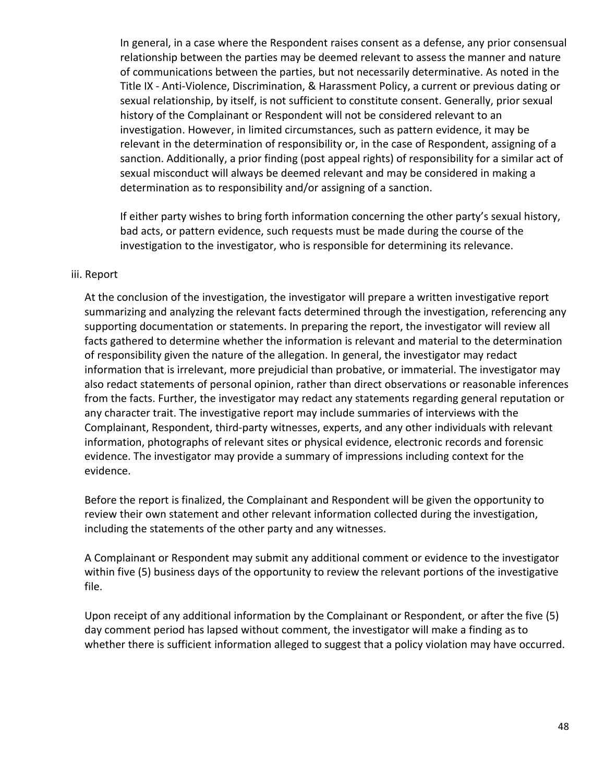In general, in a case where the Respondent raises consent as a defense, any prior consensual relationship between the parties may be deemed relevant to assess the manner and nature of communications between the parties, but not necessarily determinative. As noted in the Title IX - Anti-Violence, Discrimination, & Harassment Policy, a current or previous dating or sexual relationship, by itself, is not sufficient to constitute consent. Generally, prior sexual history of the Complainant or Respondent will not be considered relevant to an investigation. However, in limited circumstances, such as pattern evidence, it may be relevant in the determination of responsibility or, in the case of Respondent, assigning of a sanction. Additionally, a prior finding (post appeal rights) of responsibility for a similar act of sexual misconduct will always be deemed relevant and may be considered in making a determination as to responsibility and/or assigning of a sanction.

If either party wishes to bring forth information concerning the other party's sexual history, bad acts, or pattern evidence, such requests must be made during the course of the investigation to the investigator, who is responsible for determining its relevance.

#### iii. Report

At the conclusion of the investigation, the investigator will prepare a written investigative report summarizing and analyzing the relevant facts determined through the investigation, referencing any supporting documentation or statements. In preparing the report, the investigator will review all facts gathered to determine whether the information is relevant and material to the determination of responsibility given the nature of the allegation. In general, the investigator may redact information that is irrelevant, more prejudicial than probative, or immaterial. The investigator may also redact statements of personal opinion, rather than direct observations or reasonable inferences from the facts. Further, the investigator may redact any statements regarding general reputation or any character trait. The investigative report may include summaries of interviews with the Complainant, Respondent, third‐party witnesses, experts, and any other individuals with relevant information, photographs of relevant sites or physical evidence, electronic records and forensic evidence. The investigator may provide a summary of impressions including context for the evidence.

Before the report is finalized, the Complainant and Respondent will be given the opportunity to review their own statement and other relevant information collected during the investigation, including the statements of the other party and any witnesses.

A Complainant or Respondent may submit any additional comment or evidence to the investigator within five (5) business days of the opportunity to review the relevant portions of the investigative file.

Upon receipt of any additional information by the Complainant or Respondent, or after the five (5) day comment period has lapsed without comment, the investigator will make a finding as to whether there is sufficient information alleged to suggest that a policy violation may have occurred.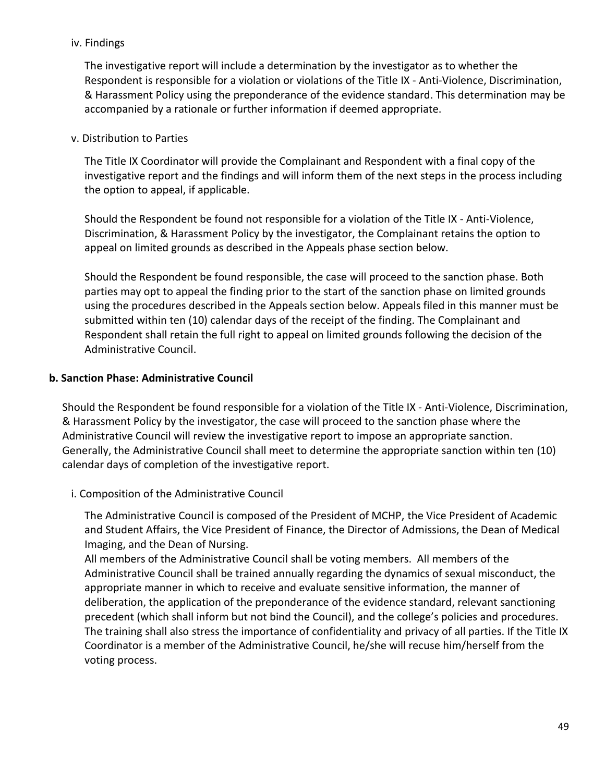#### iv. Findings

The investigative report will include a determination by the investigator as to whether the Respondent is responsible for a violation or violations of the Title IX - Anti-Violence, Discrimination, & Harassment Policy using the preponderance of the evidence standard. This determination may be accompanied by a rationale or further information if deemed appropriate.

#### v. Distribution to Parties

The Title IX Coordinator will provide the Complainant and Respondent with a final copy of the investigative report and the findings and will inform them of the next steps in the process including the option to appeal, if applicable.

Should the Respondent be found not responsible for a violation of the Title IX - Anti-Violence, Discrimination, & Harassment Policy by the investigator, the Complainant retains the option to appeal on limited grounds as described in the Appeals phase section below.

Should the Respondent be found responsible, the case will proceed to the sanction phase. Both parties may opt to appeal the finding prior to the start of the sanction phase on limited grounds using the procedures described in the Appeals section below. Appeals filed in this manner must be submitted within ten (10) calendar days of the receipt of the finding. The Complainant and Respondent shall retain the full right to appeal on limited grounds following the decision of the Administrative Council.

#### **b. Sanction Phase: Administrative Council**

Should the Respondent be found responsible for a violation of the Title IX - Anti-Violence, Discrimination, & Harassment Policy by the investigator, the case will proceed to the sanction phase where the Administrative Council will review the investigative report to impose an appropriate sanction. Generally, the Administrative Council shall meet to determine the appropriate sanction within ten (10) calendar days of completion of the investigative report.

# i. Composition of the Administrative Council

The Administrative Council is composed of the President of MCHP, the Vice President of Academic and Student Affairs, the Vice President of Finance, the Director of Admissions, the Dean of Medical Imaging, and the Dean of Nursing.

All members of the Administrative Council shall be voting members. All members of the Administrative Council shall be trained annually regarding the dynamics of sexual misconduct, the appropriate manner in which to receive and evaluate sensitive information, the manner of deliberation, the application of the preponderance of the evidence standard, relevant sanctioning precedent (which shall inform but not bind the Council), and the college's policies and procedures. The training shall also stress the importance of confidentiality and privacy of all parties. If the Title IX Coordinator is a member of the Administrative Council, he/she will recuse him/herself from the voting process.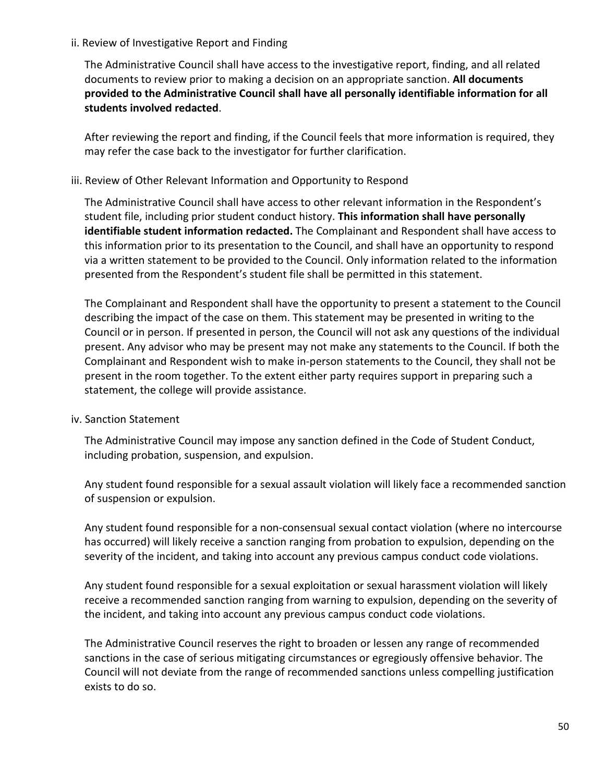#### ii. Review of Investigative Report and Finding

The Administrative Council shall have access to the investigative report, finding, and all related documents to review prior to making a decision on an appropriate sanction. **All documents provided to the Administrative Council shall have all personally identifiable information for all students involved redacted**.

After reviewing the report and finding, if the Council feels that more information is required, they may refer the case back to the investigator for further clarification.

#### iii. Review of Other Relevant Information and Opportunity to Respond

The Administrative Council shall have access to other relevant information in the Respondent's student file, including prior student conduct history. **This information shall have personally identifiable student information redacted.** The Complainant and Respondent shall have access to this information prior to its presentation to the Council, and shall have an opportunity to respond via a written statement to be provided to the Council. Only information related to the information presented from the Respondent's student file shall be permitted in this statement.

The Complainant and Respondent shall have the opportunity to present a statement to the Council describing the impact of the case on them. This statement may be presented in writing to the Council or in person. If presented in person, the Council will not ask any questions of the individual present. Any advisor who may be present may not make any statements to the Council. If both the Complainant and Respondent wish to make in-person statements to the Council, they shall not be present in the room together. To the extent either party requires support in preparing such a statement, the college will provide assistance.

#### iv. Sanction Statement

The Administrative Council may impose any sanction defined in the Code of Student Conduct, including probation, suspension, and expulsion.

Any student found responsible for a sexual assault violation will likely face a recommended sanction of suspension or expulsion.

Any student found responsible for a non-consensual sexual contact violation (where no intercourse has occurred) will likely receive a sanction ranging from probation to expulsion, depending on the severity of the incident, and taking into account any previous campus conduct code violations.

Any student found responsible for a sexual exploitation or sexual harassment violation will likely receive a recommended sanction ranging from warning to expulsion, depending on the severity of the incident, and taking into account any previous campus conduct code violations.

The Administrative Council reserves the right to broaden or lessen any range of recommended sanctions in the case of serious mitigating circumstances or egregiously offensive behavior. The Council will not deviate from the range of recommended sanctions unless compelling justification exists to do so.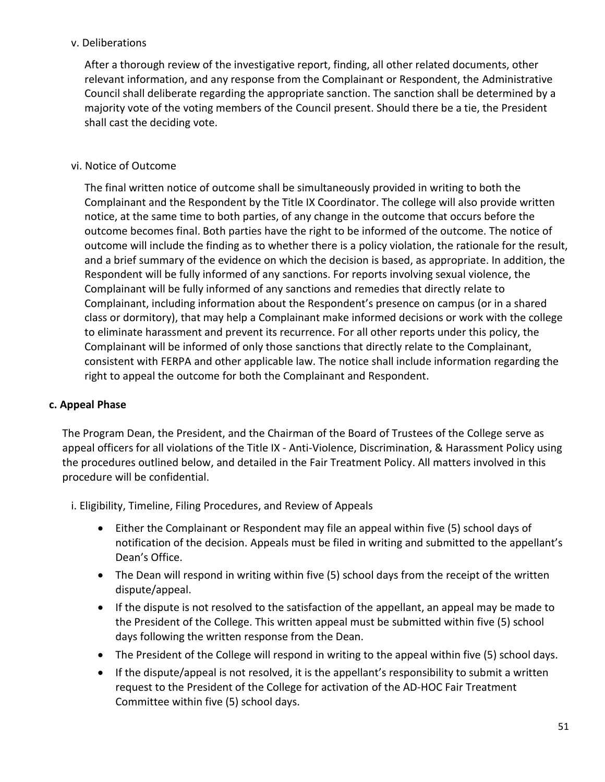# v. Deliberations

After a thorough review of the investigative report, finding, all other related documents, other relevant information, and any response from the Complainant or Respondent, the Administrative Council shall deliberate regarding the appropriate sanction. The sanction shall be determined by a majority vote of the voting members of the Council present. Should there be a tie, the President shall cast the deciding vote.

#### vi. Notice of Outcome

The final written notice of outcome shall be simultaneously provided in writing to both the Complainant and the Respondent by the Title IX Coordinator. The college will also provide written notice, at the same time to both parties, of any change in the outcome that occurs before the outcome becomes final. Both parties have the right to be informed of the outcome. The notice of outcome will include the finding as to whether there is a policy violation, the rationale for the result, and a brief summary of the evidence on which the decision is based, as appropriate. In addition, the Respondent will be fully informed of any sanctions. For reports involving sexual violence, the Complainant will be fully informed of any sanctions and remedies that directly relate to Complainant, including information about the Respondent's presence on campus (or in a shared class or dormitory), that may help a Complainant make informed decisions or work with the college to eliminate harassment and prevent its recurrence. For all other reports under this policy, the Complainant will be informed of only those sanctions that directly relate to the Complainant, consistent with FERPA and other applicable law. The notice shall include information regarding the right to appeal the outcome for both the Complainant and Respondent.

# **c. Appeal Phase**

The Program Dean, the President, and the Chairman of the Board of Trustees of the College serve as appeal officers for all violations of the Title IX - Anti-Violence, Discrimination, & Harassment Policy using the procedures outlined below, and detailed in the Fair Treatment Policy. All matters involved in this procedure will be confidential.

i. Eligibility, Timeline, Filing Procedures, and Review of Appeals

- Either the Complainant or Respondent may file an appeal within five (5) school days of notification of the decision. Appeals must be filed in writing and submitted to the appellant's Dean's Office.
- The Dean will respond in writing within five (5) school days from the receipt of the written dispute/appeal.
- If the dispute is not resolved to the satisfaction of the appellant, an appeal may be made to the President of the College. This written appeal must be submitted within five (5) school days following the written response from the Dean.
- The President of the College will respond in writing to the appeal within five (5) school days.
- If the dispute/appeal is not resolved, it is the appellant's responsibility to submit a written request to the President of the College for activation of the AD-HOC Fair Treatment Committee within five (5) school days.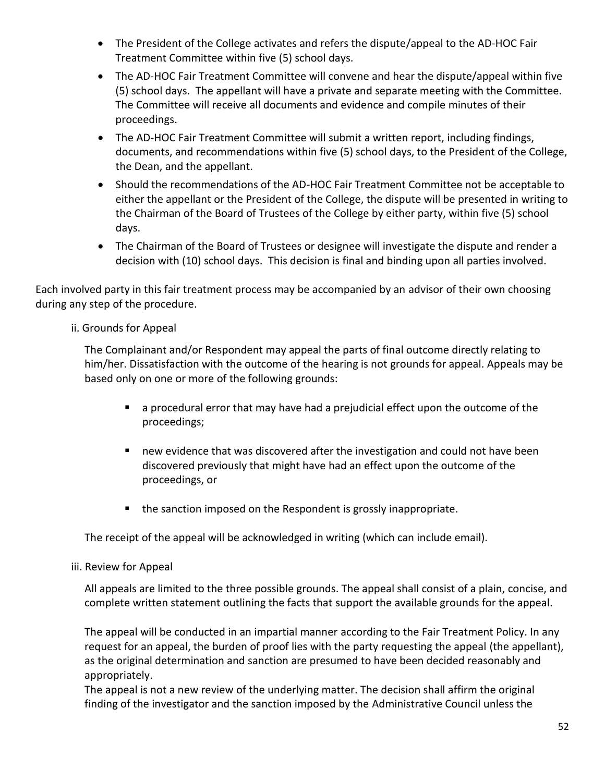- The President of the College activates and refers the dispute/appeal to the AD-HOC Fair Treatment Committee within five (5) school days.
- The AD-HOC Fair Treatment Committee will convene and hear the dispute/appeal within five (5) school days. The appellant will have a private and separate meeting with the Committee. The Committee will receive all documents and evidence and compile minutes of their proceedings.
- The AD-HOC Fair Treatment Committee will submit a written report, including findings, documents, and recommendations within five (5) school days, to the President of the College, the Dean, and the appellant.
- Should the recommendations of the AD-HOC Fair Treatment Committee not be acceptable to either the appellant or the President of the College, the dispute will be presented in writing to the Chairman of the Board of Trustees of the College by either party, within five (5) school days.
- The Chairman of the Board of Trustees or designee will investigate the dispute and render a decision with (10) school days. This decision is final and binding upon all parties involved.

Each involved party in this fair treatment process may be accompanied by an advisor of their own choosing during any step of the procedure.

# ii. Grounds for Appeal

The Complainant and/or Respondent may appeal the parts of final outcome directly relating to him/her. Dissatisfaction with the outcome of the hearing is not grounds for appeal. Appeals may be based only on one or more of the following grounds:

- a procedural error that may have had a prejudicial effect upon the outcome of the proceedings;
- new evidence that was discovered after the investigation and could not have been discovered previously that might have had an effect upon the outcome of the proceedings, or
- the sanction imposed on the Respondent is grossly inappropriate.

The receipt of the appeal will be acknowledged in writing (which can include email).

# iii. Review for Appeal

All appeals are limited to the three possible grounds. The appeal shall consist of a plain, concise, and complete written statement outlining the facts that support the available grounds for the appeal.

The appeal will be conducted in an impartial manner according to the Fair Treatment Policy. In any request for an appeal, the burden of proof lies with the party requesting the appeal (the appellant), as the original determination and sanction are presumed to have been decided reasonably and appropriately.

The appeal is not a new review of the underlying matter. The decision shall affirm the original finding of the investigator and the sanction imposed by the Administrative Council unless the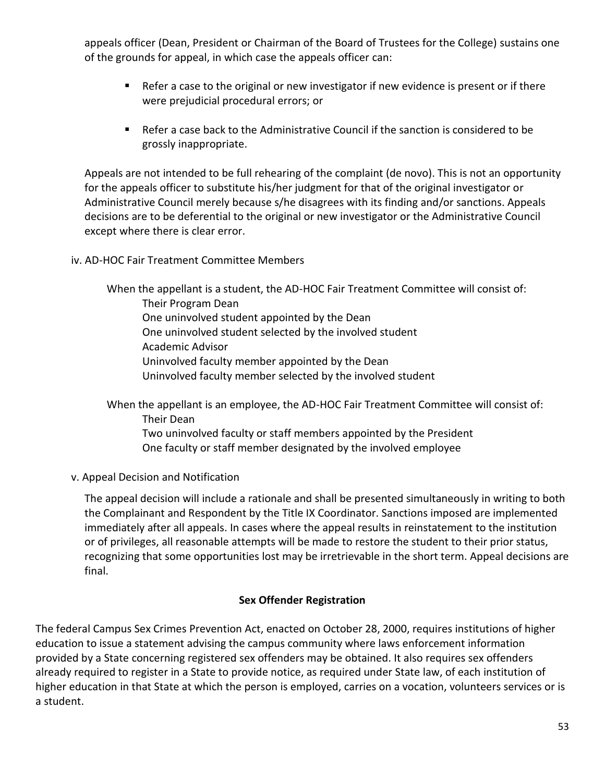appeals officer (Dean, President or Chairman of the Board of Trustees for the College) sustains one of the grounds for appeal, in which case the appeals officer can:

- Refer a case to the original or new investigator if new evidence is present or if there were prejudicial procedural errors; or
- Refer a case back to the Administrative Council if the sanction is considered to be grossly inappropriate.

Appeals are not intended to be full rehearing of the complaint (de novo). This is not an opportunity for the appeals officer to substitute his/her judgment for that of the original investigator or Administrative Council merely because s/he disagrees with its finding and/or sanctions. Appeals decisions are to be deferential to the original or new investigator or the Administrative Council except where there is clear error.

iv. AD-HOC Fair Treatment Committee Members

When the appellant is a student, the AD-HOC Fair Treatment Committee will consist of: Their Program Dean One uninvolved student appointed by the Dean One uninvolved student selected by the involved student Academic Advisor Uninvolved faculty member appointed by the Dean Uninvolved faculty member selected by the involved student

When the appellant is an employee, the AD-HOC Fair Treatment Committee will consist of: Their Dean Two uninvolved faculty or staff members appointed by the President One faculty or staff member designated by the involved employee

v. Appeal Decision and Notification

The appeal decision will include a rationale and shall be presented simultaneously in writing to both the Complainant and Respondent by the Title IX Coordinator. Sanctions imposed are implemented immediately after all appeals. In cases where the appeal results in reinstatement to the institution or of privileges, all reasonable attempts will be made to restore the student to their prior status, recognizing that some opportunities lost may be irretrievable in the short term. Appeal decisions are final.

# **Sex Offender Registration**

The federal Campus Sex Crimes Prevention Act, enacted on October 28, 2000, requires institutions of higher education to issue a statement advising the campus community where laws enforcement information provided by a State concerning registered sex offenders may be obtained. It also requires sex offenders already required to register in a State to provide notice, as required under State law, of each institution of higher education in that State at which the person is employed, carries on a vocation, volunteers services or is a student.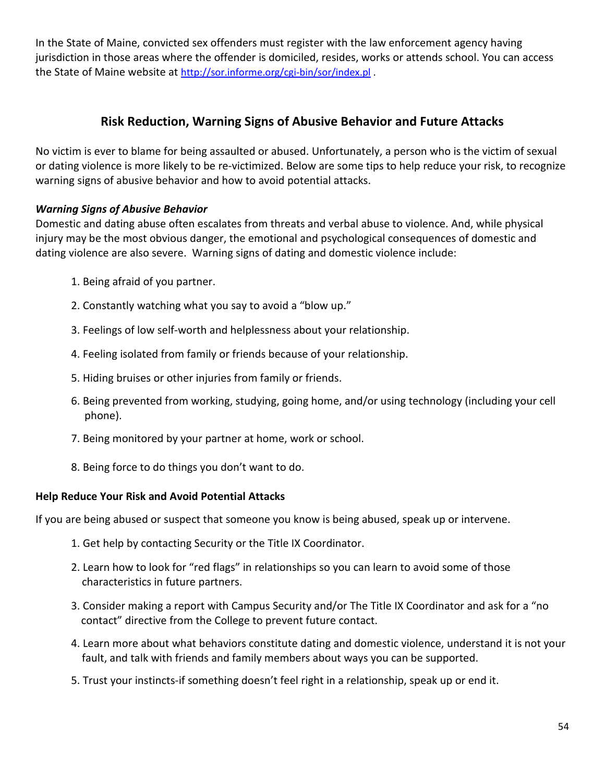In the State of Maine, convicted sex offenders must register with the law enforcement agency having jurisdiction in those areas where the offender is domiciled, resides, works or attends school. You can access the State of Maine website at <http://sor.informe.org/cgi-bin/sor/index.pl> .

# **Risk Reduction, Warning Signs of Abusive Behavior and Future Attacks**

No victim is ever to blame for being assaulted or abused. Unfortunately, a person who is the victim of sexual or dating violence is more likely to be re‐victimized. Below are some tips to help reduce your risk, to recognize warning signs of abusive behavior and how to avoid potential attacks.

# *Warning Signs of Abusive Behavior*

Domestic and dating abuse often escalates from threats and verbal abuse to violence. And, while physical injury may be the most obvious danger, the emotional and psychological consequences of domestic and dating violence are also severe. Warning signs of dating and domestic violence include:

- 1. Being afraid of you partner.
- 2. Constantly watching what you say to avoid a "blow up."
- 3. Feelings of low self‐worth and helplessness about your relationship.
- 4. Feeling isolated from family or friends because of your relationship.
- 5. Hiding bruises or other injuries from family or friends.
- 6. Being prevented from working, studying, going home, and/or using technology (including your cell phone).
- 7. Being monitored by your partner at home, work or school.
- 8. Being force to do things you don't want to do.

# **Help Reduce Your Risk and Avoid Potential Attacks**

If you are being abused or suspect that someone you know is being abused, speak up or intervene.

- 1. Get help by contacting Security or the Title IX Coordinator.
- 2. Learn how to look for "red flags" in relationships so you can learn to avoid some of those characteristics in future partners.
- 3. Consider making a report with Campus Security and/or The Title IX Coordinator and ask for a "no contact" directive from the College to prevent future contact.
- 4. Learn more about what behaviors constitute dating and domestic violence, understand it is not your fault, and talk with friends and family members about ways you can be supported.
- 5. Trust your instincts-if something doesn't feel right in a relationship, speak up or end it.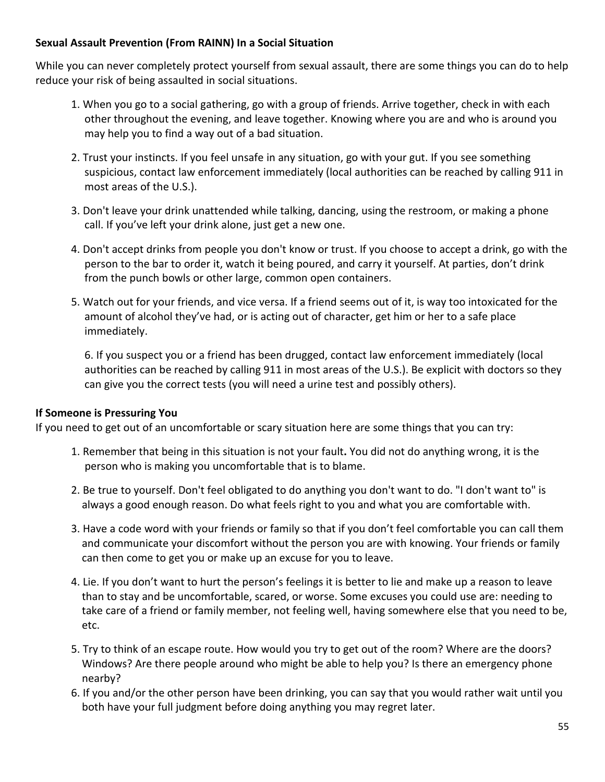# **Sexual Assault Prevention (From RAINN) In a Social Situation**

While you can never completely protect yourself from sexual assault, there are some things you can do to help reduce your risk of being assaulted in social situations.

- 1. When you go to a social gathering, go with a group of friends. Arrive together, check in with each other throughout the evening, and leave together. Knowing where you are and who is around you may help you to find a way out of a bad situation.
- 2. Trust your instincts. If you feel unsafe in any situation, go with your gut. If you see something suspicious, contact law enforcement immediately (local authorities can be reached by calling 911 in most areas of the U.S.).
- 3. Don't leave your drink unattended while talking, dancing, using the restroom, or making a phone call. If you've left your drink alone, just get a new one.
- 4. Don't accept drinks from people you don't know or trust. If you choose to accept a drink, go with the person to the bar to order it, watch it being poured, and carry it yourself. At parties, don't drink from the punch bowls or other large, common open containers.
- 5. Watch out for your friends, and vice versa. If a friend seems out of it, is way too intoxicated for the amount of alcohol they've had, or is acting out of character, get him or her to a safe place immediately.

6. If you suspect you or a friend has been drugged, contact law enforcement immediately (local authorities can be reached by calling 911 in most areas of the U.S.). Be explicit with doctors so they can give you the correct tests (you will need a urine test and possibly others).

# **If Someone is Pressuring You**

If you need to get out of an uncomfortable or scary situation here are some things that you can try:

- 1. Remember that being in this situation is not your fault**.** You did not do anything wrong, it is the person who is making you uncomfortable that is to blame.
- 2. Be true to yourself. Don't feel obligated to do anything you don't want to do. "I don't want to" is always a good enough reason. Do what feels right to you and what you are comfortable with.
- 3. Have a code word with your friends or family so that if you don't feel comfortable you can call them and communicate your discomfort without the person you are with knowing. Your friends or family can then come to get you or make up an excuse for you to leave.
- 4. Lie. If you don't want to hurt the person's feelings it is better to lie and make up a reason to leave than to stay and be uncomfortable, scared, or worse. Some excuses you could use are: needing to take care of a friend or family member, not feeling well, having somewhere else that you need to be, etc.
- 5. Try to think of an escape route. How would you try to get out of the room? Where are the doors? Windows? Are there people around who might be able to help you? Is there an emergency phone nearby?
- 6. If you and/or the other person have been drinking, you can say that you would rather wait until you both have your full judgment before doing anything you may regret later.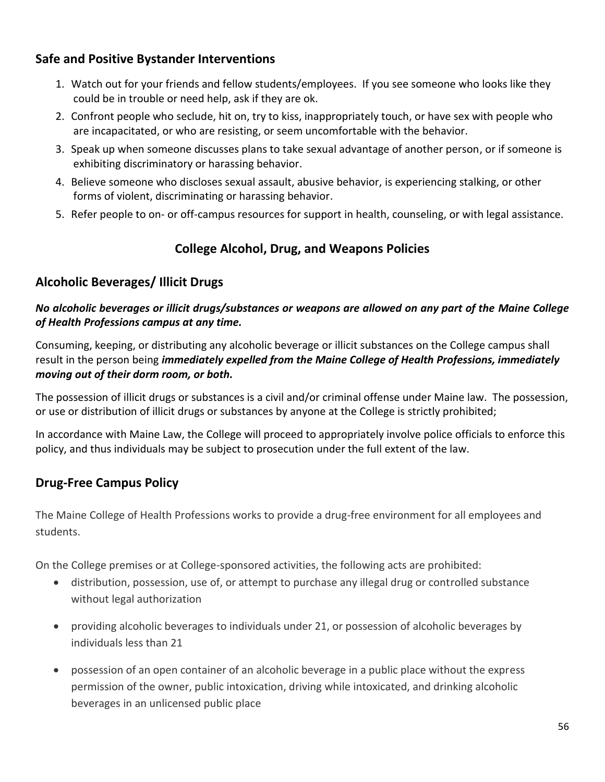# **Safe and Positive Bystander Interventions**

- 1. Watch out for your friends and fellow students/employees. If you see someone who looks like they could be in trouble or need help, ask if they are ok.
- 2. Confront people who seclude, hit on, try to kiss, inappropriately touch, or have sex with people who are incapacitated, or who are resisting, or seem uncomfortable with the behavior.
- 3. Speak up when someone discusses plans to take sexual advantage of another person, or if someone is exhibiting discriminatory or harassing behavior.
- 4. Believe someone who discloses sexual assault, abusive behavior, is experiencing stalking, or other forms of violent, discriminating or harassing behavior.
- 5. Refer people to on- or off-campus resources for support in health, counseling, or with legal assistance.

# **College Alcohol, Drug, and Weapons Policies**

# **Alcoholic Beverages/ Illicit Drugs**

# *No alcoholic beverages or illicit drugs/substances or weapons are allowed on any part of the Maine College of Health Professions campus at any time.*

Consuming, keeping, or distributing any alcoholic beverage or illicit substances on the College campus shall result in the person being *immediately expelled from the Maine College of Health Professions, immediately moving out of their dorm room, or both.*

The possession of illicit drugs or substances is a civil and/or criminal offense under Maine law. The possession, or use or distribution of illicit drugs or substances by anyone at the College is strictly prohibited;

In accordance with Maine Law, the College will proceed to appropriately involve police officials to enforce this policy, and thus individuals may be subject to prosecution under the full extent of the law.

# **Drug-Free Campus Policy**

The Maine College of Health Professions works to provide a drug-free environment for all employees and students.

On the College premises or at College-sponsored activities, the following acts are prohibited:

- distribution, possession, use of, or attempt to purchase any illegal drug or controlled substance without legal authorization
- providing alcoholic beverages to individuals under 21, or possession of alcoholic beverages by individuals less than 21
- possession of an open container of an alcoholic beverage in a public place without the express permission of the owner, public intoxication, driving while intoxicated, and drinking alcoholic beverages in an unlicensed public place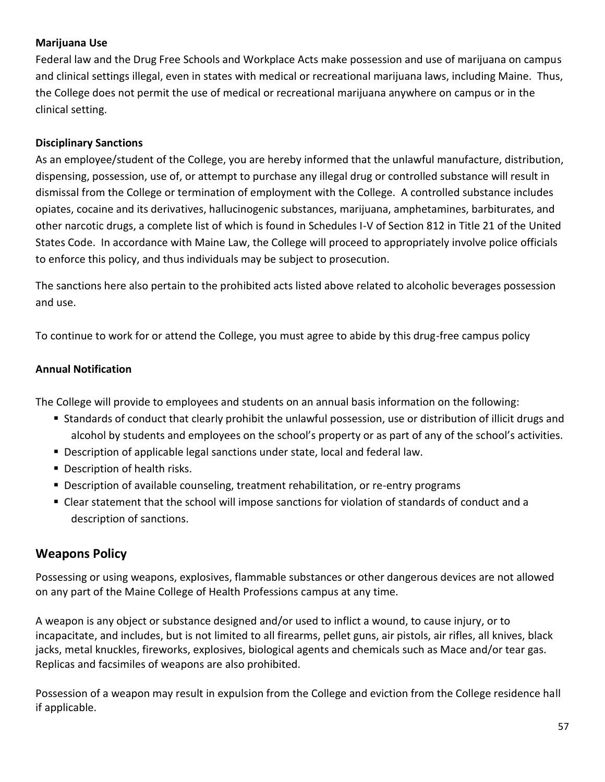# **Marijuana Use**

Federal law and the Drug Free Schools and Workplace Acts make possession and use of marijuana on campus and clinical settings illegal, even in states with medical or recreational marijuana laws, including Maine. Thus, the College does not permit the use of medical or recreational marijuana anywhere on campus or in the clinical setting.

#### **Disciplinary Sanctions**

As an employee/student of the College, you are hereby informed that the unlawful manufacture, distribution, dispensing, possession, use of, or attempt to purchase any illegal drug or controlled substance will result in dismissal from the College or termination of employment with the College. A controlled substance includes opiates, cocaine and its derivatives, hallucinogenic substances, marijuana, amphetamines, barbiturates, and other narcotic drugs, a complete list of which is found in Schedules I-V of Section 812 in Title 21 of the United States Code. In accordance with Maine Law, the College will proceed to appropriately involve police officials to enforce this policy, and thus individuals may be subject to prosecution.

The sanctions here also pertain to the prohibited acts listed above related to alcoholic beverages possession and use.

To continue to work for or attend the College, you must agree to abide by this drug-free campus policy

#### **Annual Notification**

The College will provide to employees and students on an annual basis information on the following:

- Standards of conduct that clearly prohibit the unlawful possession, use or distribution of illicit drugs and alcohol by students and employees on the school's property or as part of any of the school's activities.
- Description of applicable legal sanctions under state, local and federal law.
- Description of health risks.
- **Description of available counseling, treatment rehabilitation, or re-entry programs**
- **EXECT** Clear statement that the school will impose sanctions for violation of standards of conduct and a description of sanctions.

# **Weapons Policy**

Possessing or using weapons, explosives, flammable substances or other dangerous devices are not allowed on any part of the Maine College of Health Professions campus at any time.

A weapon is any object or substance designed and/or used to inflict a wound, to cause injury, or to incapacitate, and includes, but is not limited to all firearms, pellet guns, air pistols, air rifles, all knives, black jacks, metal knuckles, fireworks, explosives, biological agents and chemicals such as Mace and/or tear gas. Replicas and facsimiles of weapons are also prohibited.

Possession of a weapon may result in expulsion from the College and eviction from the College residence hall if applicable.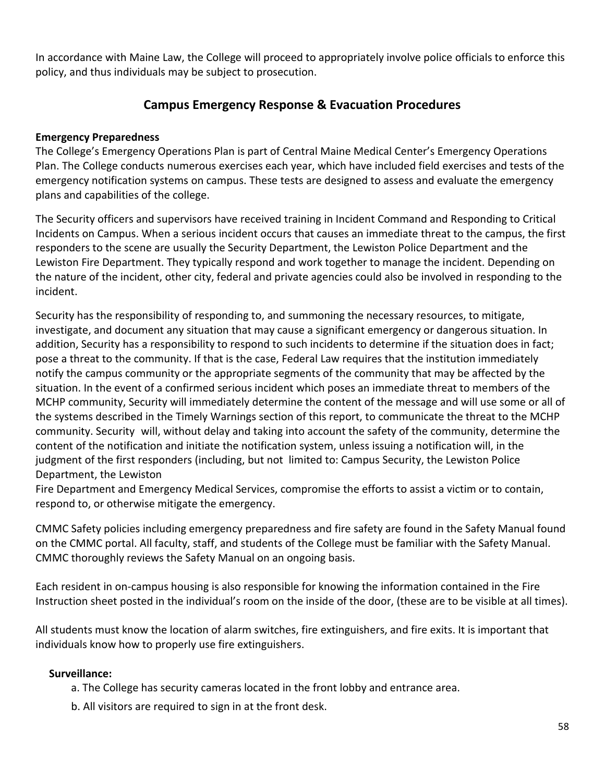In accordance with Maine Law, the College will proceed to appropriately involve police officials to enforce this policy, and thus individuals may be subject to prosecution.

# **Campus Emergency Response & Evacuation Procedures**

#### **Emergency Preparedness**

The College's Emergency Operations Plan is part of Central Maine Medical Center's Emergency Operations Plan. The College conducts numerous exercises each year, which have included field exercises and tests of the emergency notification systems on campus. These tests are designed to assess and evaluate the emergency plans and capabilities of the college.

The Security officers and supervisors have received training in Incident Command and Responding to Critical Incidents on Campus. When a serious incident occurs that causes an immediate threat to the campus, the first responders to the scene are usually the Security Department, the Lewiston Police Department and the Lewiston Fire Department. They typically respond and work together to manage the incident. Depending on the nature of the incident, other city, federal and private agencies could also be involved in responding to the incident.

Security has the responsibility of responding to, and summoning the necessary resources, to mitigate, investigate, and document any situation that may cause a significant emergency or dangerous situation. In addition, Security has a responsibility to respond to such incidents to determine if the situation does in fact; pose a threat to the community. If that is the case, Federal Law requires that the institution immediately notify the campus community or the appropriate segments of the community that may be affected by the situation. In the event of a confirmed serious incident which poses an immediate threat to members of the MCHP community, Security will immediately determine the content of the message and will use some or all of the systems described in the Timely Warnings section of this report, to communicate the threat to the MCHP community. Security will, without delay and taking into account the safety of the community, determine the content of the notification and initiate the notification system, unless issuing a notification will, in the judgment of the first responders (including, but not limited to: Campus Security, the Lewiston Police Department, the Lewiston

Fire Department and Emergency Medical Services, compromise the efforts to assist a victim or to contain, respond to, or otherwise mitigate the emergency.

CMMC Safety policies including emergency preparedness and fire safety are found in the Safety Manual found on the CMMC portal. All faculty, staff, and students of the College must be familiar with the Safety Manual. CMMC thoroughly reviews the Safety Manual on an ongoing basis.

Each resident in on-campus housing is also responsible for knowing the information contained in the Fire Instruction sheet posted in the individual's room on the inside of the door, (these are to be visible at all times).

All students must know the location of alarm switches, fire extinguishers, and fire exits. It is important that individuals know how to properly use fire extinguishers.

#### **Surveillance:**

- a. The College has security cameras located in the front lobby and entrance area.
- b. All visitors are required to sign in at the front desk.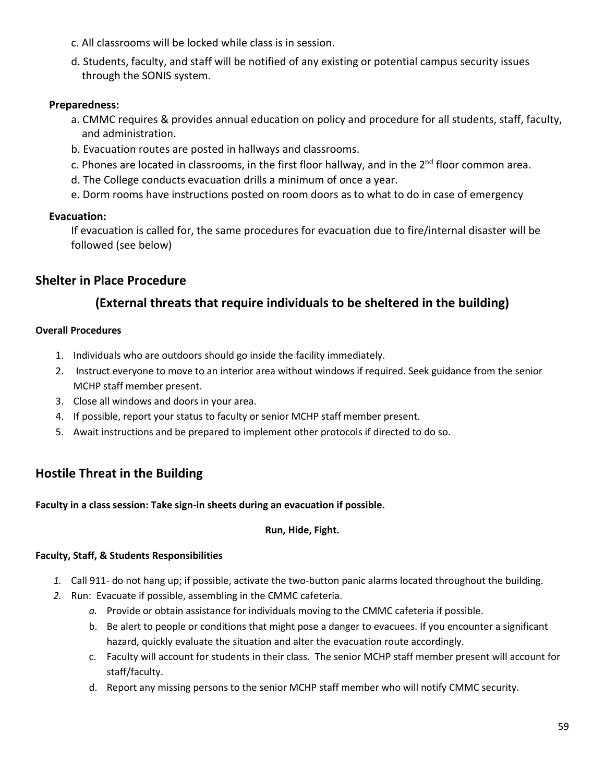- c. All classrooms will be locked while class is in session.
- d. Students, faculty, and staff will be notified of any existing or potential campus security issues through the SONIS system.

#### **Preparedness:**

- a. CMMC requires & provides annual education on policy and procedure for all students, staff, faculty, and administration.
- b. Evacuation routes are posted in hallways and classrooms.
- c. Phones are located in classrooms, in the first floor hallway, and in the 2<sup>nd</sup> floor common area.
- d. The College conducts evacuation drills a minimum of once a year.
- e. Dorm rooms have instructions posted on room doors as to what to do in case of emergency

#### **Evacuation:**

If evacuation is called for, the same procedures for evacuation due to fire/internal disaster will be followed (see below)

# **Shelter in Place Procedure**

# **(External threats that require individuals to be sheltered in the building)**

#### **Overall Procedures**

- 1. Individuals who are outdoors should go inside the facility immediately.
- 2. Instruct everyone to move to an interior area without windows if required. Seek guidance from the senior MCHP staff member present.
- 3. Close all windows and doors in your area.
- 4. If possible, report your status to faculty or senior MCHP staff member present.
- 5. Await instructions and be prepared to implement other protocols if directed to do so.

# **Hostile Threat in the Building**

**Faculty in a class session: Take sign-in sheets during an evacuation if possible.** 

#### **Run, Hide, Fight.**

#### **Faculty, Staff, & Students Responsibilities**

- *1.* Call 911- do not hang up; if possible, activate the two-button panic alarms located throughout the building.
- *2.* Run: Evacuate if possible, assembling in the CMMC cafeteria.
	- *a.* Provide or obtain assistance for individuals moving to the CMMC cafeteria if possible.
	- b. Be alert to people or conditions that might pose a danger to evacuees. If you encounter a significant hazard, quickly evaluate the situation and alter the evacuation route accordingly.
	- c. Faculty will account for students in their class. The senior MCHP staff member present will account for staff/faculty.
	- d. Report any missing persons to the senior MCHP staff member who will notify CMMC security.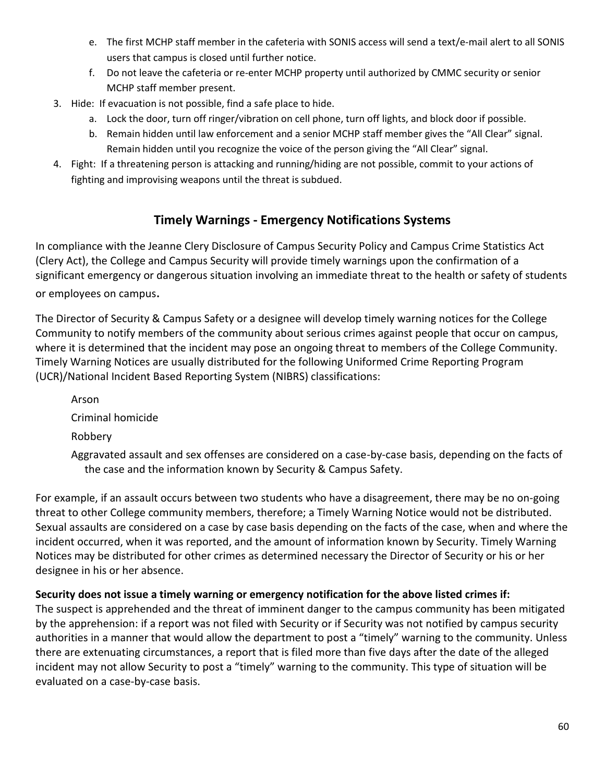- e. The first MCHP staff member in the cafeteria with SONIS access will send a text/e-mail alert to all SONIS users that campus is closed until further notice.
- f. Do not leave the cafeteria or re-enter MCHP property until authorized by CMMC security or senior MCHP staff member present.
- 3. Hide: If evacuation is not possible, find a safe place to hide.
	- a. Lock the door, turn off ringer/vibration on cell phone, turn off lights, and block door if possible.
	- b. Remain hidden until law enforcement and a senior MCHP staff member gives the "All Clear" signal. Remain hidden until you recognize the voice of the person giving the "All Clear" signal.
- 4. Fight: If a threatening person is attacking and running/hiding are not possible, commit to your actions of fighting and improvising weapons until the threat is subdued.

# **Timely Warnings - Emergency Notifications Systems**

In compliance with the Jeanne Clery Disclosure of Campus Security Policy and Campus Crime Statistics Act (Clery Act), the College and Campus Security will provide timely warnings upon the confirmation of a significant emergency or dangerous situation involving an immediate threat to the health or safety of students

or employees on campus.

The Director of Security & Campus Safety or a designee will develop timely warning notices for the College Community to notify members of the community about serious crimes against people that occur on campus, where it is determined that the incident may pose an ongoing threat to members of the College Community. Timely Warning Notices are usually distributed for the following Uniformed Crime Reporting Program (UCR)/National Incident Based Reporting System (NIBRS) classifications:

Arson Criminal homicide Robbery

Aggravated assault and sex offenses are considered on a case‐by-case basis, depending on the facts of the case and the information known by Security & Campus Safety.

For example, if an assault occurs between two students who have a disagreement, there may be no on‐going threat to other College community members, therefore; a Timely Warning Notice would not be distributed. Sexual assaults are considered on a case by case basis depending on the facts of the case, when and where the incident occurred, when it was reported, and the amount of information known by Security. Timely Warning Notices may be distributed for other crimes as determined necessary the Director of Security or his or her designee in his or her absence.

# **Security does not issue a timely warning or emergency notification for the above listed crimes if:**

The suspect is apprehended and the threat of imminent danger to the campus community has been mitigated by the apprehension: if a report was not filed with Security or if Security was not notified by campus security authorities in a manner that would allow the department to post a "timely" warning to the community. Unless there are extenuating circumstances, a report that is filed more than five days after the date of the alleged incident may not allow Security to post a "timely" warning to the community. This type of situation will be evaluated on a case‐by‐case basis.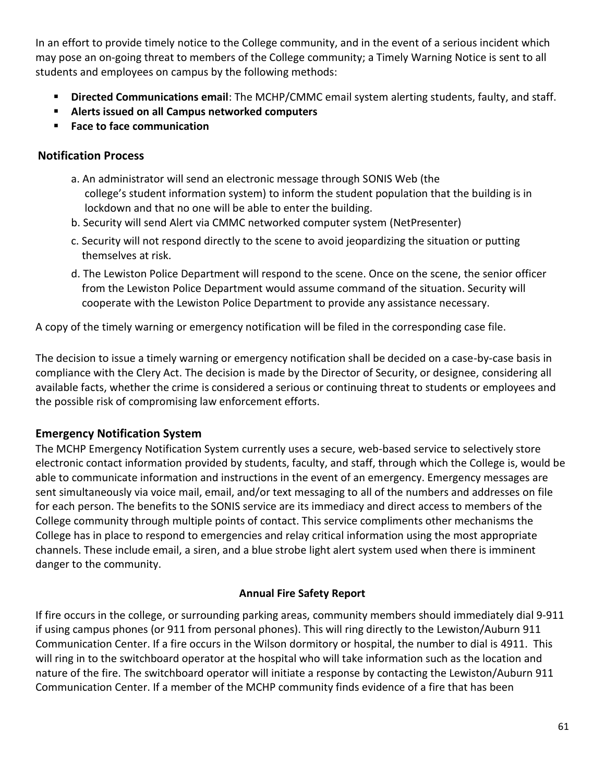In an effort to provide timely notice to the College community, and in the event of a serious incident which may pose an on‐going threat to members of the College community; a Timely Warning Notice is sent to all students and employees on campus by the following methods:

- **Directed Communications email:** The MCHP/CMMC email system alerting students, faulty, and staff.
- **Alerts issued on all Campus networked computers**
- **Face to face communication**

# **Notification Process**

- a. An administrator will send an electronic message through SONIS Web (the college's student information system) to inform the student population that the building is in lockdown and that no one will be able to enter the building.
- b. Security will send Alert via CMMC networked computer system (NetPresenter)
- c. Security will not respond directly to the scene to avoid jeopardizing the situation or putting themselves at risk.
- d. The Lewiston Police Department will respond to the scene. Once on the scene, the senior officer from the Lewiston Police Department would assume command of the situation. Security will cooperate with the Lewiston Police Department to provide any assistance necessary.

A copy of the timely warning or emergency notification will be filed in the corresponding case file.

The decision to issue a timely warning or emergency notification shall be decided on a case-by-case basis in compliance with the Clery Act. The decision is made by the Director of Security, or designee, considering all available facts, whether the crime is considered a serious or continuing threat to students or employees and the possible risk of compromising law enforcement efforts.

# **Emergency Notification System**

The MCHP Emergency Notification System currently uses a secure, web-based service to selectively store electronic contact information provided by students, faculty, and staff, through which the College is, would be able to communicate information and instructions in the event of an emergency. Emergency messages are sent simultaneously via voice mail, email, and/or text messaging to all of the numbers and addresses on file for each person. The benefits to the SONIS service are its immediacy and direct access to members of the College community through multiple points of contact. This service compliments other mechanisms the College has in place to respond to emergencies and relay critical information using the most appropriate channels. These include email, a siren, and a blue strobe light alert system used when there is imminent danger to the community.

# **Annual Fire Safety Report**

If fire occurs in the college, or surrounding parking areas, community members should immediately dial 9-911 if using campus phones (or 911 from personal phones). This will ring directly to the Lewiston/Auburn 911 Communication Center. If a fire occurs in the Wilson dormitory or hospital, the number to dial is 4911. This will ring in to the switchboard operator at the hospital who will take information such as the location and nature of the fire. The switchboard operator will initiate a response by contacting the Lewiston/Auburn 911 Communication Center. If a member of the MCHP community finds evidence of a fire that has been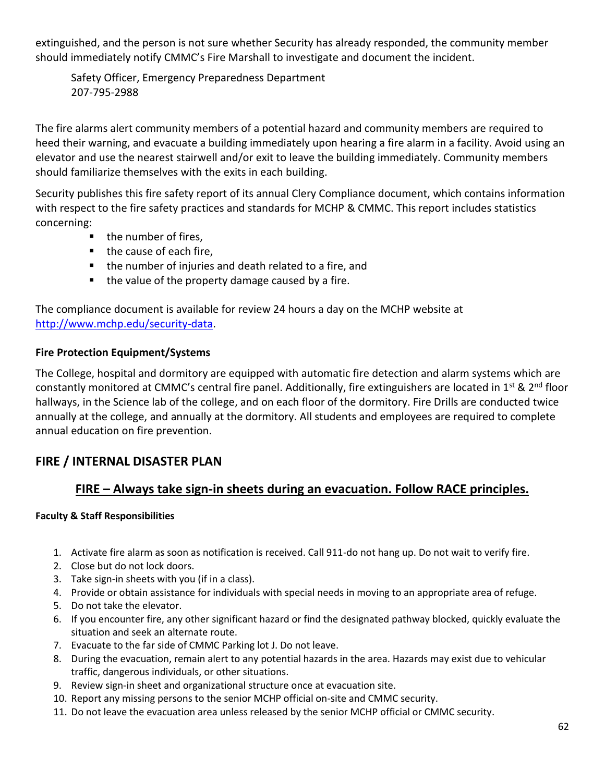extinguished, and the person is not sure whether Security has already responded, the community member should immediately notify CMMC's Fire Marshall to investigate and document the incident.

Safety Officer, Emergency Preparedness Department 207-795-2988

The fire alarms alert community members of a potential hazard and community members are required to heed their warning, and evacuate a building immediately upon hearing a fire alarm in a facility. Avoid using an elevator and use the nearest stairwell and/or exit to leave the building immediately. Community members should familiarize themselves with the exits in each building.

Security publishes this fire safety report of its annual Clery Compliance document, which contains information with respect to the fire safety practices and standards for MCHP & CMMC. This report includes statistics concerning:

- the number of fires,
- the cause of each fire,
- the number of injuries and death related to a fire, and
- the value of the property damage caused by a fire.

The compliance document is available for review 24 hours a day on the MCHP website at [http://www.mchp.edu/security-data.](http://www.mchp.edu/security-data)

# **Fire Protection Equipment/Systems**

The College, hospital and dormitory are equipped with automatic fire detection and alarm systems which are constantly monitored at CMMC's central fire panel. Additionally, fire extinguishers are located in 1<sup>st</sup> & 2<sup>nd</sup> floor hallways, in the Science lab of the college, and on each floor of the dormitory. Fire Drills are conducted twice annually at the college, and annually at the dormitory. All students and employees are required to complete annual education on fire prevention.

# **FIRE / INTERNAL DISASTER PLAN**

# **FIRE – Always take sign-in sheets during an evacuation. Follow RACE principles.**

# **Faculty & Staff Responsibilities**

- 1. Activate fire alarm as soon as notification is received. Call 911-do not hang up. Do not wait to verify fire.
- 2. Close but do not lock doors.
- 3. Take sign-in sheets with you (if in a class).
- 4. Provide or obtain assistance for individuals with special needs in moving to an appropriate area of refuge.
- 5. Do not take the elevator.
- 6. If you encounter fire, any other significant hazard or find the designated pathway blocked, quickly evaluate the situation and seek an alternate route.
- 7. Evacuate to the far side of CMMC Parking lot J. Do not leave.
- 8. During the evacuation, remain alert to any potential hazards in the area. Hazards may exist due to vehicular traffic, dangerous individuals, or other situations.
- 9. Review sign-in sheet and organizational structure once at evacuation site.
- 10. Report any missing persons to the senior MCHP official on-site and CMMC security.
- 11. Do not leave the evacuation area unless released by the senior MCHP official or CMMC security.